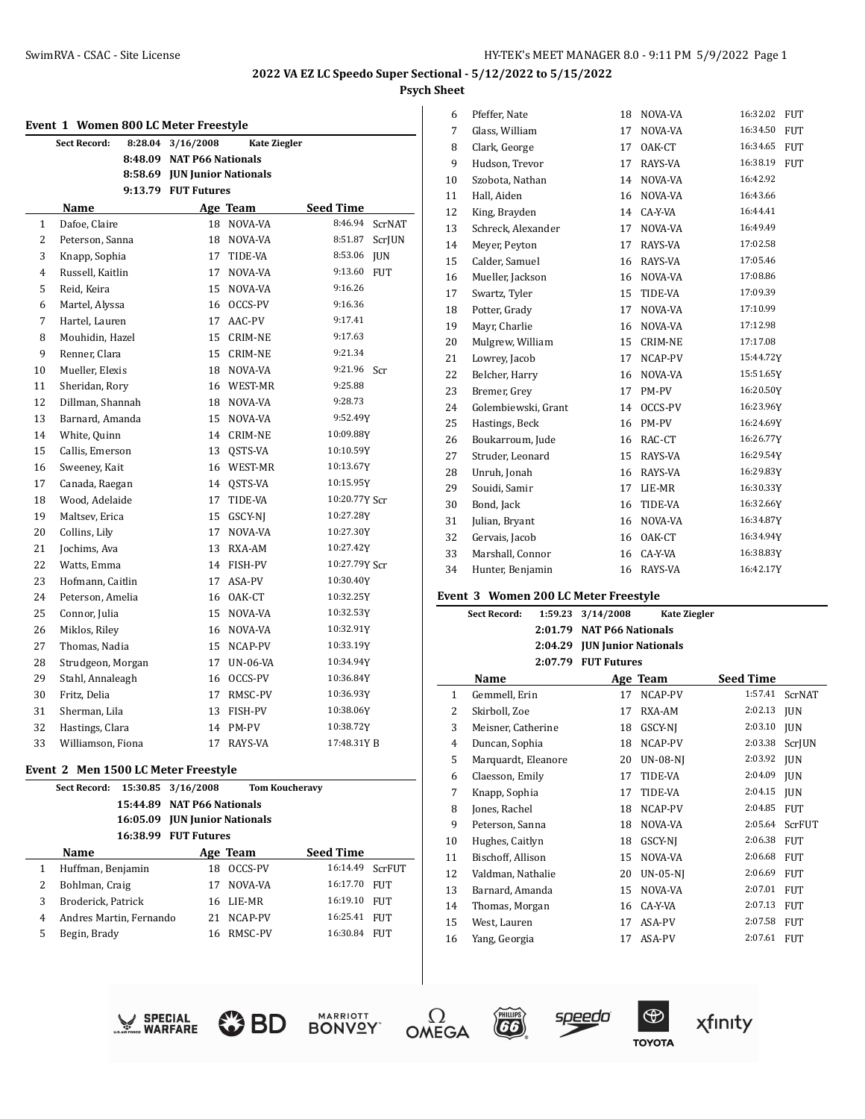# **2022 VA EZ LC Speedo Super Sectional - 5/12/2022 to 5/15/2022**

# **Psych Sheet**

|                | Event 1 Women 800 LC Meter Freestyle |  |                              |                     |                  |               |
|----------------|--------------------------------------|--|------------------------------|---------------------|------------------|---------------|
|                | Sect Record:<br>8:28.04              |  | 3/16/2008                    | <b>Kate Ziegler</b> |                  |               |
|                | 8:48.09                              |  | <b>NAT P66 Nationals</b>     |                     |                  |               |
|                |                                      |  | 8:58.69 JUN Junior Nationals |                     |                  |               |
|                |                                      |  | 9:13.79 FUT Futures          |                     |                  |               |
|                | Name                                 |  |                              | Age Team            | <b>Seed Time</b> |               |
| 1              | Dafoe, Claire                        |  | 18                           | NOVA-VA             | 8:46.94          | <b>ScrNAT</b> |
| $\overline{2}$ | Peterson, Sanna                      |  | 18                           | NOVA-VA             | 8:51.87          | ScrJUN        |
| 3              | Knapp, Sophia                        |  | 17                           | TIDE-VA             | 8:53.06          | <b>JUN</b>    |
| 4              | Russell, Kaitlin                     |  | 17                           | NOVA-VA             | 9:13.60          | <b>FUT</b>    |
| 5              | Reid, Keira                          |  | 15                           | NOVA-VA             | 9:16.26          |               |
| 6              | Martel, Alyssa                       |  | 16                           | OCCS-PV             | 9:16.36          |               |
| 7              | Hartel, Lauren                       |  | 17                           | AAC-PV              | 9:17.41          |               |
| 8              | Mouhidin, Hazel                      |  | 15                           | CRIM-NE             | 9:17.63          |               |
| 9              | Renner, Clara                        |  | 15                           | <b>CRIM-NE</b>      | 9:21.34          |               |
| 10             | Mueller, Elexis                      |  | 18                           | NOVA-VA             | 9:21.96 Scr      |               |
| 11             | Sheridan, Rory                       |  | 16                           | WEST-MR             | 9:25.88          |               |
| 12             | Dillman, Shannah                     |  | 18                           | NOVA-VA             | 9:28.73          |               |
| 13             | Barnard, Amanda                      |  | 15                           | NOVA-VA             | 9:52.49Y         |               |
| 14             | White, Quinn                         |  | 14                           | CRIM-NE             | 10:09.88Y        |               |
| 15             | Callis, Emerson                      |  | 13                           | OSTS-VA             | 10:10.59Y        |               |
| 16             | Sweeney, Kait                        |  | 16                           | WEST-MR             | 10:13.67Y        |               |
| 17             | Canada, Raegan                       |  | 14                           | QSTS-VA             | 10:15.95Y        |               |
| 18             | Wood, Adelaide                       |  | 17                           | TIDE-VA             | 10:20.77Y Scr    |               |
| 19             | Maltsev, Erica                       |  | 15                           | GSCY-NJ             | 10:27.28Y        |               |
| 20             | Collins, Lily                        |  | 17                           | NOVA-VA             | 10:27.30Y        |               |
| 21             | Jochims, Ava                         |  | 13                           | RXA-AM              | 10:27.42Y        |               |
| 22             | Watts, Emma                          |  | 14                           | <b>FISH-PV</b>      | 10:27.79Y Scr    |               |
| 23             | Hofmann, Caitlin                     |  | 17                           | ASA-PV              | 10:30.40Y        |               |
| 24             | Peterson, Amelia                     |  | 16                           | OAK-CT              | 10:32.25Y        |               |
| 25             | Connor, Julia                        |  | 15                           | NOVA-VA             | 10:32.53Y        |               |
| 26             | Miklos, Riley                        |  | 16                           | NOVA-VA             | 10:32.91Y        |               |
| 27             | Thomas, Nadia                        |  | 15                           | NCAP-PV             | 10:33.19Y        |               |
| 28             | Strudgeon, Morgan                    |  | 17                           | UN-06-VA            | 10:34.94Y        |               |
| 29             | Stahl, Annaleagh                     |  | 16                           | OCCS-PV             | 10:36.84Y        |               |
| 30             | Fritz, Delia                         |  | 17                           | RMSC-PV             | 10:36.93Y        |               |
| 31             | Sherman, Lila                        |  | 13                           | FISH-PV             | 10:38.06Y        |               |
| 32             | Hastings, Clara                      |  | 14                           | PM-PV               | 10:38.72Y        |               |
| 33             | Williamson, Fiona                    |  | 17                           | RAYS-VA             | 17:48.31YB       |               |

## **Event 2 Men 1500 LC Meter Freestyle**

|   | Sect Record:            | 16:05.09 | 15:30.85 3/16/2008<br>15:44.89 NAT P66 Nationals<br><b>JUN Junior Nationals</b> |          | <b>Tom Koucheravy</b> |            |
|---|-------------------------|----------|---------------------------------------------------------------------------------|----------|-----------------------|------------|
|   |                         | 16:38.99 | <b>FUT Futures</b>                                                              |          |                       |            |
|   | Name                    |          |                                                                                 | Age Team | <b>Seed Time</b>      |            |
| 1 | Huffman, Benjamin       |          | 18                                                                              | OCCS-PV  | 16:14.49              | ScrFUT     |
| 2 | Bohlman, Craig          |          | 17                                                                              | NOVA-VA  | 16:17.70              | <b>FUT</b> |
| 3 | Broderick, Patrick      |          | 16                                                                              | LIE-MR   | 16:19.10              | FUT        |
| 4 | Andres Martin, Fernando |          | 21                                                                              | NCAP-PV  | 16:25.41              | FUT        |
| 5 | Begin, Brady            |          | 16                                                                              | RMSC-PV  | 16:30.84              | <b>FUT</b> |
|   |                         |          |                                                                                 |          |                       |            |

| 6  | Pfeffer, Nate       | 18 | NOVA-VA        | 16:32.02<br><b>FUT</b> |
|----|---------------------|----|----------------|------------------------|
| 7  | Glass, William      | 17 | NOVA-VA        | 16:34.50<br><b>FUT</b> |
| 8  | Clark, George       | 17 | OAK-CT         | 16:34.65<br><b>FUT</b> |
| 9  | Hudson, Trevor      | 17 | RAYS-VA        | 16:38.19<br><b>FUT</b> |
| 10 | Szobota, Nathan     | 14 | NOVA-VA        | 16:42.92               |
| 11 | Hall, Aiden         | 16 | NOVA-VA        | 16:43.66               |
| 12 | King, Brayden       | 14 | CA-Y-VA        | 16:44.41               |
| 13 | Schreck, Alexander  | 17 | NOVA-VA        | 16:49.49               |
| 14 | Meyer, Peyton       | 17 | RAYS-VA        | 17:02.58               |
| 15 | Calder, Samuel      | 16 | RAYS-VA        | 17:05.46               |
| 16 | Mueller, Jackson    | 16 | NOVA-VA        | 17:08.86               |
| 17 | Swartz, Tyler       | 15 | TIDE-VA        | 17:09.39               |
| 18 | Potter, Grady       | 17 | NOVA-VA        | 17:10.99               |
| 19 | Mayr, Charlie       | 16 | NOVA-VA        | 17:12.98               |
| 20 | Mulgrew, William    | 15 | <b>CRIM-NE</b> | 17:17.08               |
| 21 | Lowrey, Jacob       | 17 | NCAP-PV        | 15:44.72Y              |
| 22 | Belcher, Harry      | 16 | NOVA-VA        | 15:51.65Y              |
| 23 | Bremer, Grey        | 17 | PM-PV          | 16:20.50Y              |
| 24 | Golembiewski, Grant | 14 | OCCS-PV        | 16:23.96Y              |
| 25 | Hastings, Beck      | 16 | PM-PV          | 16:24.69Y              |
| 26 | Boukarroum, Jude    | 16 | RAC-CT         | 16:26.77Y              |
| 27 | Struder, Leonard    | 15 | RAYS-VA        | 16:29.54Y              |
| 28 | Unruh, Jonah        | 16 | RAYS-VA        | 16:29.83Y              |
| 29 | Souidi, Samir       | 17 | LIE-MR         | 16:30.33Y              |
| 30 | Bond, Jack          | 16 | TIDE-VA        | 16:32.66Y              |
| 31 | Julian, Bryant      | 16 | NOVA-VA        | 16:34.87Y              |
| 32 | Gervais, Jacob      | 16 | OAK-CT         | 16:34.94Y              |
| 33 | Marshall, Connor    | 16 | CA-Y-VA        | 16:38.83Y              |
| 34 | Hunter, Benjamin    | 16 | RAYS-VA        | 16:42.17Y              |
|    |                     |    |                |                        |

#### **Event 3 Women 200 LC Meter Freestyle**

|                | Event 3 Women 200 LC Meter Freestyle |         |                             |                     |                  |               |  |  |  |
|----------------|--------------------------------------|---------|-----------------------------|---------------------|------------------|---------------|--|--|--|
|                | <b>Sect Record:</b>                  | 1:59.23 | 3/14/2008                   | <b>Kate Ziegler</b> |                  |               |  |  |  |
|                |                                      | 2:01.79 | <b>NAT P66 Nationals</b>    |                     |                  |               |  |  |  |
|                |                                      | 2:04.29 | <b>JUN Junior Nationals</b> |                     |                  |               |  |  |  |
|                |                                      | 2:07.79 | <b>FUT Futures</b>          |                     |                  |               |  |  |  |
|                | Name                                 |         |                             | Age Team            | <b>Seed Time</b> |               |  |  |  |
| 1              | Gemmell, Erin                        |         | 17                          | NCAP-PV             | 1:57.41          | <b>ScrNAT</b> |  |  |  |
| $\overline{c}$ | Skirboll, Zoe                        |         | 17                          | RXA-AM              | 2:02.13          | <b>JUN</b>    |  |  |  |
| 3              | Meisner, Catherine                   |         | 18                          | GSCY-NI             | 2:03.10          | <b>IUN</b>    |  |  |  |
| 4              | Duncan, Sophia                       |         | 18                          | NCAP-PV             | 2:03.38          | ScrJUN        |  |  |  |
| 5              | Marquardt, Eleanore                  |         | 20                          | <b>UN-08-NI</b>     | 2:03.92          | <b>JUN</b>    |  |  |  |
| 6              | Claesson, Emily                      |         | 17                          | <b>TIDE-VA</b>      | 2:04.09          | <b>JUN</b>    |  |  |  |
| 7              | Knapp, Sophia                        |         | 17                          | TIDE-VA             | 2:04.15          | <b>IUN</b>    |  |  |  |
| 8              | Jones, Rachel                        |         | 18                          | NCAP-PV             | 2:04.85          | <b>FUT</b>    |  |  |  |
| 9              | Peterson, Sanna                      |         | 18                          | NOVA-VA             | 2:05.64          | ScrFUT        |  |  |  |
| 10             | Hughes, Caitlyn                      |         | 18                          | GSCY-NI             | 2:06.38          | <b>FUT</b>    |  |  |  |
| 11             | Bischoff, Allison                    |         | 15                          | NOVA-VA             | 2:06.68          | <b>FUT</b>    |  |  |  |
| 12             | Valdman, Nathalie                    |         | 20                          | $UN-05-NJ$          | 2:06.69          | <b>FUT</b>    |  |  |  |
| 13             | Barnard, Amanda                      |         | 15                          | NOVA-VA             | 2:07.01          | <b>FUT</b>    |  |  |  |
| 14             | Thomas, Morgan                       |         | 16                          | CA-Y-VA             | 2:07.13          | <b>FUT</b>    |  |  |  |
| 15             | West, Lauren                         |         | 17                          | ASA-PV              | 2:07.58          | <b>FUT</b>    |  |  |  |
| 16             | Yang, Georgia                        |         | 17                          | ASA-PV              | 2:07.61          | <b>FUT</b>    |  |  |  |
|                |                                      |         |                             |                     |                  |               |  |  |  |











speedo

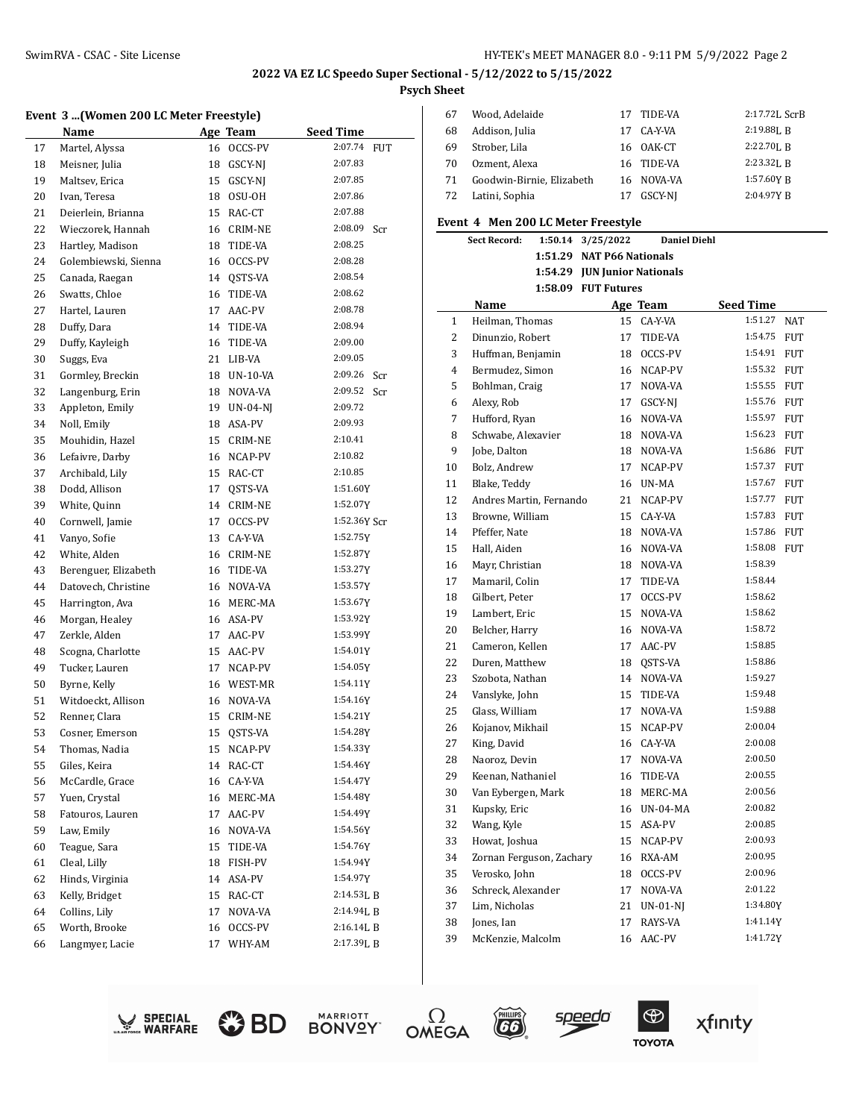# **Event 3 ...(Women 200 LC Meter Freestyle)**

|    | Event 5 (women 200 LC meter rreestyle) |    |                 |                  |     |
|----|----------------------------------------|----|-----------------|------------------|-----|
|    | Name                                   |    | Age Team        | <b>Seed Time</b> |     |
| 17 | Martel, Alyssa                         | 16 | OCCS-PV         | 2:07.74          | FUT |
| 18 | Meisner, Julia                         | 18 | GSCY-NJ         | 2:07.83          |     |
| 19 | Maltsev, Erica                         | 15 | GSCY-NJ         | 2:07.85          |     |
| 20 | Ivan, Teresa                           | 18 | OSU-OH          | 2:07.86          |     |
| 21 | Deierlein, Brianna                     | 15 | RAC-CT          | 2:07.88          |     |
| 22 | Wieczorek, Hannah                      | 16 | <b>CRIM-NE</b>  | 2:08.09          | Scr |
| 23 | Hartley, Madison                       | 18 | TIDE-VA         | 2:08.25          |     |
| 24 | Golembiewski, Sienna                   | 16 | OCCS-PV         | 2:08.28          |     |
| 25 | Canada, Raegan                         | 14 | QSTS-VA         | 2:08.54          |     |
| 26 | Swatts, Chloe                          | 16 | TIDE-VA         | 2:08.62          |     |
| 27 | Hartel, Lauren                         | 17 | AAC-PV          | 2:08.78          |     |
| 28 | Duffy, Dara                            | 14 | TIDE-VA         | 2:08.94          |     |
| 29 | Duffy, Kayleigh                        | 16 | TIDE-VA         | 2:09.00          |     |
| 30 | Suggs, Eva                             | 21 | LIB-VA          | 2:09.05          |     |
| 31 | Gormley, Breckin                       | 18 | <b>UN-10-VA</b> | 2:09.26          | Scr |
| 32 | Langenburg, Erin                       | 18 | NOVA-VA         | 2:09.52          | Scr |
| 33 | Appleton, Emily                        | 19 | <b>UN-04-NI</b> | 2:09.72          |     |
| 34 | Noll, Emily                            | 18 | ASA-PV          | 2:09.93          |     |
| 35 | Mouhidin, Hazel                        | 15 | CRIM-NE         | 2:10.41          |     |
| 36 | Lefaivre, Darby                        | 16 | NCAP-PV         | 2:10.82          |     |
| 37 | Archibald, Lily                        | 15 | RAC-CT          | 2:10.85          |     |
| 38 | Dodd, Allison                          | 17 | QSTS-VA         | 1:51.60Y         |     |
| 39 | White, Quinn                           | 14 | CRIM-NE         | 1:52.07Y         |     |
| 40 | Cornwell, Jamie                        | 17 | OCCS-PV         | 1:52.36Y Scr     |     |
| 41 | Vanyo, Sofie                           | 13 | CA-Y-VA         | 1:52.75Y         |     |
| 42 | White, Alden                           | 16 | CRIM-NE         | 1:52.87Y         |     |
| 43 | Berenguer, Elizabeth                   | 16 | TIDE-VA         | 1:53.27Y         |     |
| 44 | Datovech, Christine                    | 16 | NOVA-VA         | 1:53.57Y         |     |
| 45 | Harrington, Ava                        | 16 | MERC-MA         | 1:53.67Y         |     |
| 46 | Morgan, Healey                         | 16 | ASA-PV          | 1:53.92Y         |     |
| 47 | Zerkle, Alden                          | 17 | AAC-PV          | 1:53.99Y         |     |
| 48 | Scogna, Charlotte                      | 15 | AAC-PV          | 1:54.01Y         |     |
| 49 | Tucker, Lauren                         | 17 | NCAP-PV         | 1:54.05Y         |     |
| 50 | Byrne, Kelly                           | 16 | WEST-MR         | 1:54.11Y         |     |
| 51 | Witdoeckt, Allison                     | 16 | NOVA-VA         | 1:54.16Y         |     |
| 52 | Renner, Clara                          | 15 | <b>CRIM-NE</b>  | 1:54.21Y         |     |
| 53 | Cosner, Emerson                        | 15 | QSTS-VA         | 1:54.28Y         |     |
| 54 | Thomas, Nadia                          |    | 15 NCAP-PV      | 1:54.33Y         |     |
| 55 | Giles, Keira                           |    | 14 RAC-CT       | 1:54.46Y         |     |
| 56 | McCardle, Grace                        | 16 | CA-Y-VA         | 1:54.47Y         |     |
| 57 | Yuen, Crystal                          | 16 | MERC-MA         | 1:54.48Y         |     |
| 58 | Fatouros, Lauren                       | 17 | AAC-PV          | 1:54.49Y         |     |
| 59 | Law, Emily                             | 16 | NOVA-VA         | 1:54.56Y         |     |
| 60 | Teague, Sara                           | 15 | TIDE-VA         | 1:54.76Y         |     |
| 61 | Cleal, Lilly                           | 18 | FISH-PV         | 1:54.94Y         |     |
| 62 | Hinds, Virginia                        | 14 | ASA-PV          | 1:54.97Y         |     |
| 63 | Kelly, Bridget                         | 15 | RAC-CT          | 2:14.53LB        |     |
| 64 | Collins, Lily                          | 17 | NOVA-VA         | 2:14.94LB        |     |
| 65 | Worth, Brooke                          | 16 | OCCS-PV         | 2:16.14L B       |     |
| 66 | Langmyer, Lacie                        | 17 | WHY-AM          | 2:17.39LB        |     |
|    |                                        |    |                 |                  |     |
|    |                                        |    |                 |                  |     |

| -67 | Wood, Adelaide            | 17 TIDE-VA | 2:17.72L ScrB            |
|-----|---------------------------|------------|--------------------------|
| 68  | Addison, Julia            | 17 CA-Y-VA | $2:19.88$ <sub>L</sub> B |
| 69  | Strober, Lila             | 16 0AK-CT  | $2:22.70$ , B            |
| 70  | Ozment, Alexa             | 16 TIDE-VA | $2:23.32$ , R            |
| 71  | Goodwin-Birnie, Elizabeth | 16 NOVA-VA | 1:57.60Y R               |
| 72  | Latini, Sophia            | GSCY-NI    | 2:04.97YB                |

#### **Event 4 Men 200 LC Meter Freestyle**

|                | <b>Sect Record:</b>      | 1:50.14 | 3/25/2022                    | <b>Daniel Diehl</b> |                  |            |
|----------------|--------------------------|---------|------------------------------|---------------------|------------------|------------|
|                |                          |         | 1:51.29 NAT P66 Nationals    |                     |                  |            |
|                |                          |         | 1:54.29 JUN Junior Nationals |                     |                  |            |
|                |                          |         | 1:58.09 FUT Futures          |                     |                  |            |
|                | Name                     |         |                              | Age Team            | <b>Seed Time</b> |            |
| $\mathbf{1}$   | Heilman, Thomas          |         |                              | 15 CA-Y-VA          | 1:51.27          | <b>NAT</b> |
| 2              | Dinunzio, Robert         |         | 17                           | TIDE-VA             | 1:54.75 FUT      |            |
| 3              | Huffman, Benjamin        |         | 18                           | OCCS-PV             | 1:54.91 FUT      |            |
| $\overline{4}$ | Bermudez, Simon          |         | 16                           | NCAP-PV             | 1:55.32 FUT      |            |
| 5              | Bohlman, Craig           |         | 17                           | NOVA-VA             | 1:55.55 FUT      |            |
| 6              | Alexy, Rob               |         | 17                           | GSCY-NI             | 1:55.76 FUT      |            |
| 7              | Hufford, Ryan            |         | 16                           | NOVA-VA             | 1:55.97 FUT      |            |
| 8              | Schwabe, Alexavier       |         | 18                           | NOVA-VA             | 1:56.23 FUT      |            |
| 9              | Jobe, Dalton             |         | 18                           | NOVA-VA             | 1:56.86 FUT      |            |
| 10             | Bolz, Andrew             |         | 17                           | NCAP-PV             | 1:57.37 FUT      |            |
| 11             | Blake, Teddy             |         | 16                           | UN-MA               | 1:57.67          | <b>FUT</b> |
| 12             | Andres Martin, Fernando  |         | 21                           | NCAP-PV             | 1:57.77 FUT      |            |
| 13             | Browne, William          |         | 15                           | CA-Y-VA             | 1:57.83 FUT      |            |
| 14             | Pfeffer, Nate            |         | 18                           | NOVA-VA             | 1:57.86 FUT      |            |
| 15             | Hall, Aiden              |         | 16                           | NOVA-VA             | 1:58.08 FUT      |            |
| 16             | Mayr, Christian          |         | 18                           | NOVA-VA             | 1:58.39          |            |
| 17             | Mamaril, Colin           |         | 17                           | TIDE-VA             | 1:58.44          |            |
| 18             | Gilbert, Peter           |         | 17                           | OCCS-PV             | 1:58.62          |            |
| 19             | Lambert, Eric            |         | 15                           | NOVA-VA             | 1:58.62          |            |
| 20             | Belcher, Harry           |         | 16                           | NOVA-VA             | 1:58.72          |            |
| 21             | Cameron, Kellen          |         | 17                           | AAC-PV              | 1:58.85          |            |
| 22             | Duren, Matthew           |         | 18                           | QSTS-VA             | 1:58.86          |            |
| 23             | Szobota, Nathan          |         | 14                           | NOVA-VA             | 1:59.27          |            |
| 24             | Vanslyke, John           |         | 15                           | TIDE-VA             | 1:59.48          |            |
| 25             | Glass, William           |         | 17                           | NOVA-VA             | 1:59.88          |            |
| 26             | Kojanov, Mikhail         |         | 15                           | NCAP-PV             | 2:00.04          |            |
| 27             | King, David              |         | 16                           | CA-Y-VA             | 2:00.08          |            |
| 28             | Naoroz, Devin            |         | 17                           | NOVA-VA             | 2:00.50          |            |
| 29             | Keenan, Nathaniel        |         | 16                           | TIDE-VA             | 2:00.55          |            |
| 30             | Van Eybergen, Mark       |         | 18                           | MERC-MA             | 2:00.56          |            |
| 31             | Kupsky, Eric             |         | 16                           | UN-04-MA            | 2:00.82          |            |
| 32             | Wang, Kyle               |         | 15                           | ASA-PV              | 2:00.85          |            |
| 33             | Howat, Joshua            |         | 15                           | NCAP-PV             | 2:00.93          |            |
| 34             | Zornan Ferguson, Zachary |         | 16                           | RXA-AM              | 2:00.95          |            |
| 35             | Verosko, John            |         | 18                           | OCCS-PV             | 2:00.96          |            |
| 36             | Schreck, Alexander       |         | 17                           | NOVA-VA             | 2:01.22          |            |
| 37             | Lim, Nicholas            |         | 21                           | $UN-01-NJ$          | 1:34.80Y         |            |
| 38             | Jones, Ian               |         | 17                           | RAYS-VA             | 1:41.14Y         |            |
| 39             | McKenzie, Malcolm        |         | 16                           | AAC-PV              | 1:41.72Y         |            |
|                |                          |         |                              |                     |                  |            |









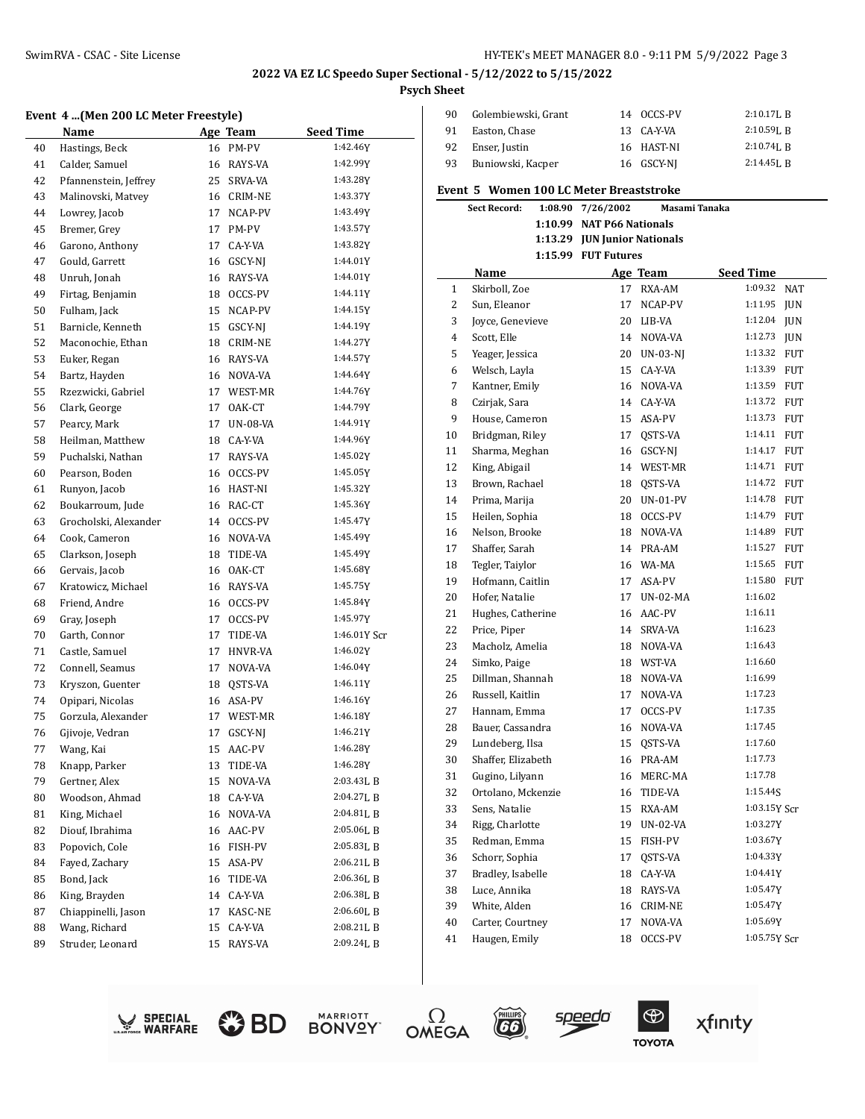#### **Event 4 ...(Men 200 LC Meter Freestyle)**

|    | Event  4 …(Men 200 LC Meter Freestyle) |    |                 |                  |
|----|----------------------------------------|----|-----------------|------------------|
|    | Name                                   |    | Age Team        | <b>Seed Time</b> |
| 40 | Hastings, Beck                         | 16 | PM-PV           | 1:42.46Y         |
| 41 | Calder, Samuel                         | 16 | RAYS-VA         | 1:42.99Y         |
| 42 | Pfannenstein, Jeffrey                  | 25 | SRVA-VA         | 1:43.28Y         |
| 43 | Malinovski, Matvey                     |    | 16 CRIM-NE      | 1:43.37Y         |
| 44 | Lowrey, Jacob                          | 17 | NCAP-PV         | 1:43.49Y         |
| 45 | Bremer, Grey                           | 17 | PM-PV           | 1:43.57Y         |
| 46 | Garono, Anthony                        | 17 | CA-Y-VA         | 1:43.82Y         |
| 47 | Gould, Garrett                         | 16 | GSCY-NJ         | 1:44.01Y         |
| 48 | Unruh, Jonah                           | 16 | RAYS-VA         | 1:44.01Y         |
| 49 | Firtag, Benjamin                       | 18 | OCCS-PV         | 1:44.11Y         |
| 50 | Fulham, Jack                           | 15 | NCAP-PV         | 1:44.15Y         |
| 51 | Barnicle, Kenneth                      | 15 | GSCY-NJ         | 1:44.19Y         |
| 52 | Maconochie, Ethan                      | 18 | <b>CRIM-NE</b>  | 1:44.27Y         |
| 53 | Euker, Regan                           | 16 | RAYS-VA         | 1:44.57Y         |
| 54 | Bartz, Hayden                          | 16 | NOVA-VA         | 1:44.64Y         |
| 55 | Rzezwicki, Gabriel                     | 17 | WEST-MR         | 1:44.76Y         |
| 56 | Clark, George                          | 17 | OAK-CT          | 1:44.79Y         |
| 57 | Pearcy, Mark                           | 17 | <b>UN-08-VA</b> | 1:44.91Y         |
| 58 | Heilman, Matthew                       | 18 | CA-Y-VA         | 1:44.96Y         |
| 59 | Puchalski, Nathan                      | 17 | RAYS-VA         | 1:45.02Y         |
| 60 | Pearson, Boden                         | 16 | OCCS-PV         | 1:45.05Y         |
| 61 | Runyon, Jacob                          | 16 | HAST-NI         | 1:45.32Y         |
| 62 | Boukarroum, Jude                       | 16 | RAC-CT          | 1:45.36Y         |
| 63 | Grocholski, Alexander                  | 14 | OCCS-PV         | 1:45.47Y         |
| 64 | Cook, Cameron                          | 16 | NOVA-VA         | 1:45.49Y         |
| 65 | Clarkson, Joseph                       | 18 | TIDE-VA         | 1:45.49Y         |
| 66 | Gervais, Jacob                         | 16 | OAK-CT          | 1:45.68Y         |
| 67 | Kratowicz, Michael                     | 16 | RAYS-VA         | 1:45.75Y         |
| 68 | Friend, Andre                          | 16 | OCCS-PV         | 1:45.84Y         |
| 69 | Gray, Joseph                           | 17 | OCCS-PV         | 1:45.97Y         |
| 70 | Garth, Connor                          | 17 | TIDE-VA         | 1:46.01Y Scr     |
| 71 | Castle, Samuel                         | 17 | HNVR-VA         | 1:46.02Y         |
| 72 | Connell, Seamus                        | 17 | NOVA-VA         | 1:46.04Y         |
| 73 | Kryszon, Guenter                       | 18 | QSTS-VA         | 1:46.11Y         |
| 74 | Opipari, Nicolas                       | 16 | ASA-PV          | 1:46.16Y         |
| 75 | Gorzula, Alexander                     | 17 | WEST-MR         | 1:46.18Y         |
| 76 | Gjivoje, Vedran                        | 17 | GSCY-NJ         | 1:46.21Y         |
| 77 | Wang, Kai                              | 15 | AAC-PV          | 1:46.28Y         |
| 78 | Knapp, Parker                          | 13 | TIDE-VA         | 1:46.28Y         |
| 79 | Gertner, Alex                          | 15 | NOVA-VA         | 2:03.43LB        |
| 80 | Woodson, Ahmad                         | 18 | CA-Y-VA         | 2:04.27L B       |
| 81 | King, Michael                          | 16 | NOVA-VA         | 2:04.81L B       |
| 82 | Diouf, Ibrahima                        | 16 | AAC-PV          | 2:05.06LB        |
| 83 | Popovich, Cole                         | 16 | FISH-PV         | 2:05.83LB        |
| 84 | Fayed, Zachary                         | 15 | ASA-PV          | 2:06.21L B       |
| 85 | Bond, Jack                             | 16 | TIDE-VA         | 2:06.36LB        |
| 86 | King, Brayden                          | 14 | CA-Y-VA         | 2:06.38LB        |
| 87 | Chiappinelli, Jason                    | 17 | KASC-NE         | 2:06.60L B       |
| 88 | Wang, Richard                          | 15 | CA-Y-VA         | 2:08.21L B       |
| 89 | Struder, Leonard                       | 15 | RAYS-VA         | 2:09.24LB        |
|    |                                        |    |                 |                  |
|    |                                        |    |                 |                  |

| 90 | Golembiewski, Grant | 14 OCCS-PV | $2:10.17$ . R  |
|----|---------------------|------------|----------------|
| 91 | Easton, Chase       | 13 CA-Y-VA | $2:10.59$ . R  |
| 92 | Enser, Justin       | 16 HAST-NI | $2:10.74I$ . R |
| 93 | Buniowski, Kacper   | 16 GSCY-NI | $2:14.45$ , R  |

#### **Event 5 Women 100 LC Meter Breaststroke**

|    | <b>Sect Record:</b> | 1:08.90 | 7/26/2002                    | Masami Tanaka   |                  |            |
|----|---------------------|---------|------------------------------|-----------------|------------------|------------|
|    |                     |         | 1:10.99 NAT P66 Nationals    |                 |                  |            |
|    |                     |         | 1:13.29 JUN Junior Nationals |                 |                  |            |
|    |                     |         | 1:15.99 FUT Futures          |                 |                  |            |
|    | Name                |         |                              | Age Team        | <b>Seed Time</b> |            |
| 1  | Skirboll, Zoe       |         | 17                           | RXA-AM          | 1:09.32 NAT      |            |
| 2  | Sun, Eleanor        |         | 17                           | NCAP-PV         | 1:11.95          | <b>JUN</b> |
| 3  | Joyce, Genevieve    |         |                              | 20 LIB-VA       | 1:12.04 JUN      |            |
| 4  | Scott, Elle         |         |                              | 14 NOVA-VA      | 1:12.73 JUN      |            |
| 5  | Yeager, Jessica     |         | 20                           | UN-03-NJ        | 1:13.32 FUT      |            |
| 6  | Welsch, Layla       |         |                              | 15 CA-Y-VA      | 1:13.39 FUT      |            |
| 7  | Kantner, Emily      |         |                              | 16 NOVA-VA      | 1:13.59 FUT      |            |
| 8  | Czirjak, Sara       |         | 14                           | CA-Y-VA         | 1:13.72 FUT      |            |
| 9  | House, Cameron      |         |                              | 15 ASA-PV       | 1:13.73 FUT      |            |
| 10 | Bridgman, Riley     |         | 17                           | QSTS-VA         | 1:14.11 FUT      |            |
| 11 | Sharma, Meghan      |         | 16                           | GSCY-NJ         | 1:14.17          | <b>FUT</b> |
| 12 | King, Abigail       |         | 14                           | WEST-MR         | 1:14.71 FUT      |            |
| 13 | Brown, Rachael      |         | 18                           | QSTS-VA         | 1:14.72 FUT      |            |
| 14 | Prima, Marija       |         | 20                           | <b>UN-01-PV</b> | 1:14.78 FUT      |            |
| 15 | Heilen, Sophia      |         | 18                           | OCCS-PV         | 1:14.79 FUT      |            |
| 16 | Nelson, Brooke      |         | 18                           | NOVA-VA         | 1:14.89 FUT      |            |
| 17 | Shaffer, Sarah      |         |                              | 14 PRA-AM       | 1:15.27          | <b>FUT</b> |
| 18 | Tegler, Taiylor     |         |                              | 16 WA-MA        | 1:15.65 FUT      |            |
| 19 | Hofmann, Caitlin    |         |                              | 17 ASA-PV       | 1:15.80 FUT      |            |
| 20 | Hofer. Natalie      |         | 17                           | <b>UN-02-MA</b> | 1:16.02          |            |
| 21 | Hughes, Catherine   |         |                              | 16 AAC-PV       | 1:16.11          |            |
| 22 | Price, Piper        |         | 14                           | SRVA-VA         | 1:16.23          |            |
| 23 | Macholz, Amelia     |         | 18                           | NOVA-VA         | 1:16.43          |            |
| 24 | Simko, Paige        |         | 18                           | WST-VA          | 1:16.60          |            |
| 25 | Dillman, Shannah    |         | 18                           | NOVA-VA         | 1:16.99          |            |
| 26 | Russell, Kaitlin    |         | 17                           | NOVA-VA         | 1:17.23          |            |
| 27 | Hannam, Emma        |         | 17                           | OCCS-PV         | 1:17.35          |            |
| 28 | Bauer, Cassandra    |         | 16                           | NOVA-VA         | 1:17.45          |            |
| 29 | Lundeberg, Ilsa     |         | 15                           | QSTS-VA         | 1:17.60          |            |
| 30 | Shaffer, Elizabeth  |         |                              | 16 PRA-AM       | 1:17.73          |            |
| 31 | Gugino, Lilyann     |         |                              | 16 MERC-MA      | 1:17.78          |            |
| 32 | Ortolano, Mckenzie  |         | 16                           | TIDE-VA         | 1:15.44S         |            |
| 33 | Sens, Natalie       |         | 15                           | RXA-AM          | 1:03.15Y Scr     |            |
| 34 | Rigg, Charlotte     |         | 19                           | UN-02-VA        | 1:03.27Y         |            |
| 35 | Redman, Emma        |         | 15                           | FISH-PV         | 1:03.67Y         |            |
| 36 | Schorr, Sophia      |         | 17                           | QSTS-VA         | 1:04.33Y         |            |
| 37 | Bradley, Isabelle   |         | 18                           | CA-Y-VA         | 1:04.41Y         |            |
| 38 | Luce, Annika        |         | 18                           | RAYS-VA         | 1:05.47Y         |            |
| 39 | White, Alden        |         | 16                           | CRIM-NE         | 1:05.47Y         |            |
| 40 | Carter, Courtney    |         | 17                           | NOVA-VA         | 1:05.69Y         |            |
| 41 | Haugen, Emily       |         | 18                           | OCCS-PV         | 1:05.75Y Scr     |            |











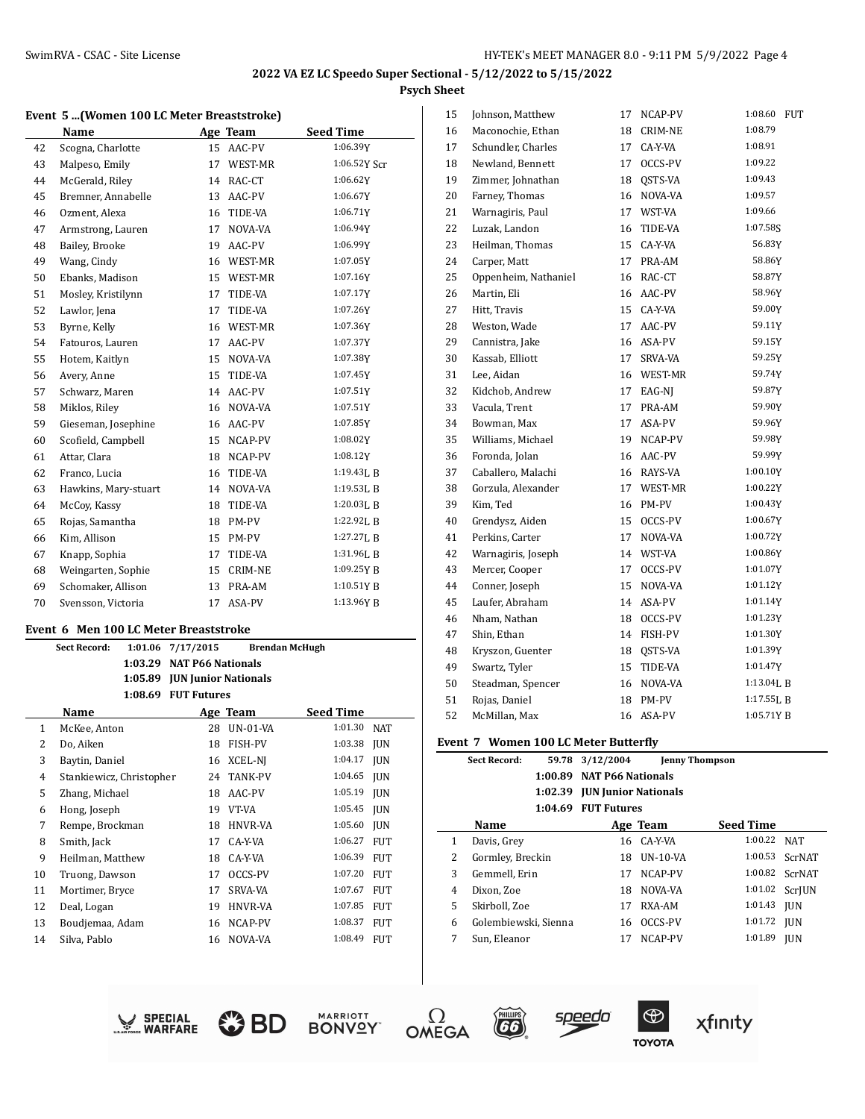#### **Event 5 ...(Women 100 LC Meter Breaststroke)**

|    | <b>Name</b>          |    | Age Team       | <b>Seed Time</b> |
|----|----------------------|----|----------------|------------------|
| 42 | Scogna, Charlotte    | 15 | AAC-PV         | 1:06.39Y         |
| 43 | Malpeso, Emily       | 17 | WEST-MR        | 1:06.52Y Scr     |
| 44 | McGerald, Riley      | 14 | RAC-CT         | 1:06.62Y         |
| 45 | Bremner, Annabelle   | 13 | AAC-PV         | 1:06.67Y         |
| 46 | Ozment, Alexa        | 16 | TIDE-VA        | 1:06.71Y         |
| 47 | Armstrong, Lauren    | 17 | NOVA-VA        | 1:06.94Y         |
| 48 | Bailey, Brooke       | 19 | AAC-PV         | 1:06.99Y         |
| 49 | Wang, Cindy          | 16 | WEST-MR        | 1:07.05Y         |
| 50 | Ebanks, Madison      | 15 | WEST-MR        | 1:07.16Y         |
| 51 | Mosley, Kristilynn   | 17 | TIDE-VA        | 1:07.17Y         |
| 52 | Lawlor, Jena         | 17 | TIDE-VA        | 1:07.26Y         |
| 53 | Byrne, Kelly         | 16 | WEST-MR        | 1:07.36Y         |
| 54 | Fatouros, Lauren     | 17 | AAC-PV         | 1:07.37Y         |
| 55 | Hotem, Kaitlyn       | 15 | NOVA-VA        | 1:07.38Y         |
| 56 | Avery, Anne          | 15 | TIDE-VA        | 1:07.45Y         |
| 57 | Schwarz, Maren       | 14 | AAC-PV         | 1:07.51Y         |
| 58 | Miklos, Riley        | 16 | NOVA-VA        | 1:07.51Y         |
| 59 | Gieseman, Josephine  | 16 | AAC-PV         | 1:07.85Y         |
| 60 | Scofield, Campbell   | 15 | NCAP-PV        | 1:08.02Y         |
| 61 | Attar, Clara         | 18 | NCAP-PV        | 1:08.12Y         |
| 62 | Franco, Lucia        | 16 | TIDE-VA        | 1:19.43L B       |
| 63 | Hawkins, Mary-stuart | 14 | NOVA-VA        | $1:19.53$ J, B   |
| 64 | McCoy, Kassy         | 18 | TIDE-VA        | 1:20.03LB        |
| 65 | Rojas, Samantha      | 18 | PM-PV          | 1:22.92LB        |
| 66 | Kim. Allison         | 15 | PM-PV          | 1:27.27LB        |
| 67 | Knapp, Sophia        | 17 | TIDE-VA        | 1:31.96LB        |
| 68 | Weingarten, Sophie   | 15 | <b>CRIM-NE</b> | 1:09.25YB        |
| 69 | Schomaker, Allison   | 13 | PRA-AM         | 1:10.51YB        |
| 70 | Svensson, Victoria   | 17 | ASA-PV         | 1:13.96Y B       |
|    |                      |    |                |                  |

#### **Event 6 Men 100 LC Meter Breaststroke**

|    | <b>Sect Record:</b>      | 1:01.06 | 7/17/2015                   |                | <b>Brendan McHugh</b> |            |
|----|--------------------------|---------|-----------------------------|----------------|-----------------------|------------|
|    |                          | 1:03.29 | <b>NAT P66 Nationals</b>    |                |                       |            |
|    |                          | 1:05.89 | <b>JUN Junior Nationals</b> |                |                       |            |
|    |                          | 1:08.69 | <b>FUT Futures</b>          |                |                       |            |
|    | Name                     |         |                             | Age Team       | <b>Seed Time</b>      |            |
| 1  | McKee, Anton             |         | 28                          | $UN-01-VA$     | 1:01.30               | <b>NAT</b> |
| 2  | Do, Aiken                |         | 18                          | FISH-PV        | 1:03.38               | <b>IUN</b> |
| 3  | Baytin, Daniel           |         | 16                          | XCEL-NJ        | 1:04.17               | <b>IUN</b> |
| 4  | Stankiewicz, Christopher |         | 24                          | TANK-PV        | 1:04.65               | <b>IUN</b> |
| 5  | Zhang, Michael           |         | 18                          | AAC-PV         | 1:05.19               | <b>IUN</b> |
| 6  | Hong, Joseph             |         | 19                          | VT-VA          | 1:05.45               | <b>IUN</b> |
| 7  | Rempe, Brockman          |         | 18                          | <b>HNVR-VA</b> | 1:05.60               | <b>IUN</b> |
| 8  | Smith, Jack              |         | 17                          | CA-Y-VA        | 1:06.27               | <b>FUT</b> |
| 9  | Heilman, Matthew         |         | 18                          | CA-Y-VA        | 1:06.39               | <b>FUT</b> |
| 10 | Truong, Dawson           |         | 17                          | OCCS-PV        | 1:07.20               | <b>FUT</b> |
| 11 | Mortimer, Bryce          |         | 17                          | <b>SRVA-VA</b> | 1:07.67               | <b>FUT</b> |
| 12 | Deal, Logan              |         | 19                          | HNVR-VA        | 1:07.85               | <b>FUT</b> |
| 13 | Boudjemaa, Adam          |         | 16                          | NCAP-PV        | 1:08.37               | <b>FUT</b> |
| 14 | Silva, Pablo             |         | 16                          | NOVA-VA        | 1:08.49               | <b>FUT</b> |

| 15 | Johnson, Matthew     | 17 | NCAP-PV        | 1:08.60<br><b>FUT</b> |
|----|----------------------|----|----------------|-----------------------|
| 16 | Maconochie, Ethan    | 18 | <b>CRIM-NE</b> | 1:08.79               |
| 17 | Schundler, Charles   | 17 | CA-Y-VA        | 1:08.91               |
| 18 | Newland, Bennett     | 17 | OCCS-PV        | 1:09.22               |
| 19 | Zimmer, Johnathan    | 18 | OSTS-VA        | 1:09.43               |
| 20 | Farney, Thomas       | 16 | NOVA-VA        | 1:09.57               |
| 21 | Warnagiris, Paul     | 17 | WST-VA         | 1:09.66               |
| 22 | Luzak, Landon        | 16 | TIDE-VA        | 1:07.585              |
| 23 | Heilman, Thomas      | 15 | CA-Y-VA        | 56.83Y                |
| 24 | Carper, Matt         | 17 | PRA-AM         | 58.86Y                |
| 25 | Oppenheim, Nathaniel | 16 | RAC-CT         | 58.87Y                |
| 26 | Martin, Eli          | 16 | AAC-PV         | 58.96Y                |
| 27 | Hitt, Travis         | 15 | CA-Y-VA        | 59.00Y                |
| 28 | Weston, Wade         | 17 | AAC-PV         | 59.11Y                |
| 29 | Cannistra, Jake      | 16 | ASA-PV         | 59.15Y                |
| 30 | Kassab, Elliott      | 17 | SRVA-VA        | 59.25Y                |
| 31 | Lee, Aidan           | 16 | WEST-MR        | 59.74Y                |
| 32 | Kidchob, Andrew      | 17 | EAG-NJ         | 59.87Y                |
| 33 | Vacula, Trent        | 17 | PRA-AM         | 59.90Y                |
| 34 | Bowman, Max          | 17 | ASA-PV         | 59.96Y                |
| 35 | Williams, Michael    | 19 | NCAP-PV        | 59.98Y                |
| 36 | Foronda, Jolan       | 16 | AAC-PV         | 59.99Y                |
| 37 | Caballero, Malachi   | 16 | RAYS-VA        | 1:00.10Y              |
| 38 | Gorzula, Alexander   | 17 | WEST-MR        | 1:00.22Y              |
| 39 | Kim, Ted             | 16 | PM-PV          | 1:00.43Y              |
| 40 | Grendysz, Aiden      | 15 | OCCS-PV        | 1:00.67Y              |
| 41 | Perkins, Carter      | 17 | NOVA-VA        | 1:00.72Y              |
| 42 | Warnagiris, Joseph   | 14 | WST-VA         | 1:00.86Y              |
| 43 | Mercer, Cooper       | 17 | OCCS-PV        | 1:01.07Y              |
| 44 | Conner, Joseph       | 15 | NOVA-VA        | 1:01.12Y              |
| 45 | Laufer. Abraham      | 14 | ASA-PV         | 1:01.14Y              |
| 46 | Nham, Nathan         | 18 | OCCS-PV        | 1:01.23Y              |
| 47 | Shin, Ethan          | 14 | FISH-PV        | 1:01.30Y              |
| 48 | Kryszon, Guenter     | 18 | QSTS-VA        | 1:01.39Y              |
| 49 | Swartz, Tyler        | 15 | TIDE-VA        | 1:01.47Y              |
| 50 | Steadman, Spencer    | 16 | NOVA-VA        | 1:13.04L B            |
| 51 | Rojas, Daniel        | 18 | PM-PV          | 1:17.55L B            |
| 52 | McMillan, Max        | 16 | ASA-PV         | 1:05.71YB             |

#### **Event 7 Women 100 LC Meter Butterfly**

|   | <b>Sect Record:</b>  |         | 59.78 3/12/2004                     | <b>Jenny Thompson</b> |                  |                |
|---|----------------------|---------|-------------------------------------|-----------------------|------------------|----------------|
|   |                      |         | 1:00.89 NAT P66 Nationals           |                       |                  |                |
|   |                      |         | 1:02.39 <b>JUN</b> Junior Nationals |                       |                  |                |
|   |                      | 1:04.69 | <b>FUT Futures</b>                  |                       |                  |                |
|   | <b>Name</b>          |         |                                     | Age Team              | <b>Seed Time</b> |                |
| 1 | Davis, Grey          |         |                                     | 16 CA-Y-VA            | 1:00.22 NAT      |                |
| 2 | Gormley, Breckin     |         |                                     | 18 UN-10-VA           |                  | 1:00.53 ScrNAT |
| 3 | Gemmell, Erin        |         | 17                                  | NCAP-PV               |                  | 1:00.82 ScrNAT |
| 4 | Dixon, Zoe           |         | 18                                  | NOVA-VA               |                  | 1:01.02 ScrJUN |
| 5 | Skirboll, Zoe        |         | 17                                  | RXA-AM                | 1:01.43          | <b>IUN</b>     |
| 6 | Golembiewski, Sienna |         |                                     | 16 OCCS-PV            | 1:01.72          | IUN            |
| 7 | Sun, Eleanor         |         |                                     | 17 NCAP-PV            | 1:01.89          | <b>IUN</b>     |













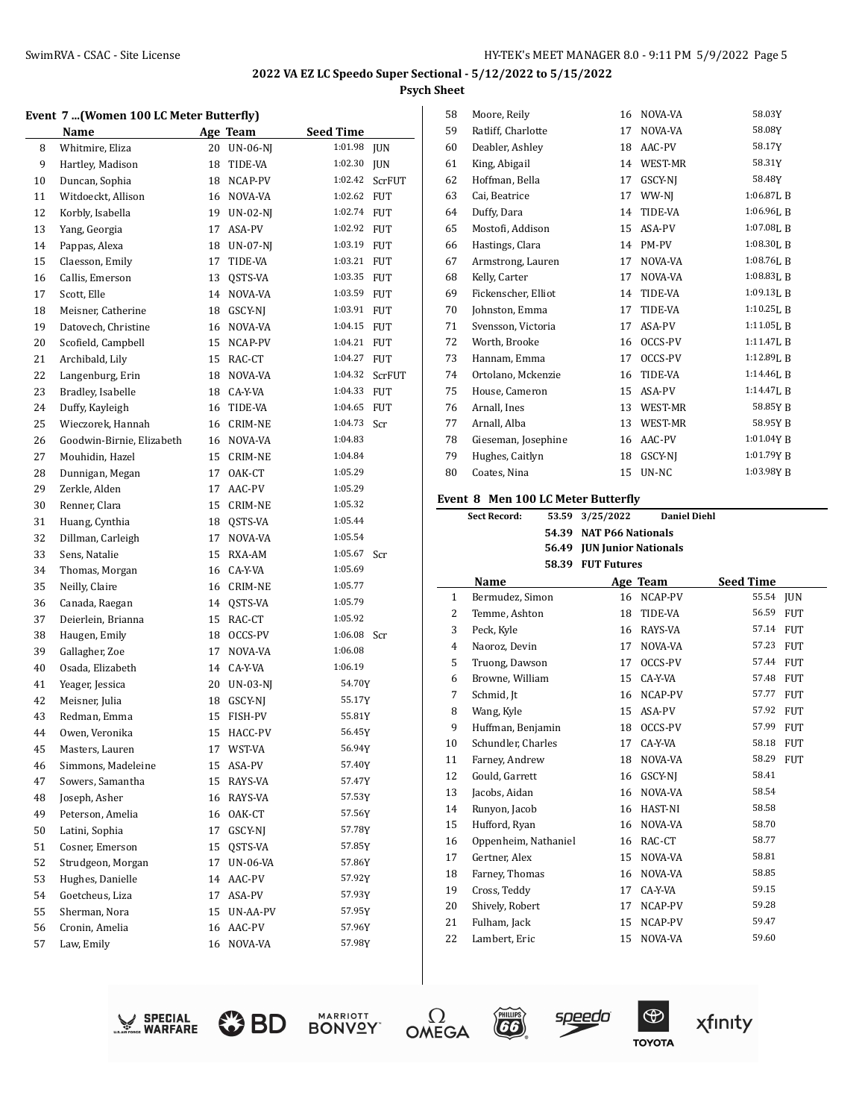# **Event 7.** *(Women 100 LC Meter Butterfly)*

| <b>Seed Time</b><br><b>Name</b><br>Age Team<br>1:01.98<br>Whitmire, Eliza<br>8<br>20<br><b>UN-06-NJ</b><br>9<br>Hartley, Madison<br>1:02.30<br>18<br>TIDE-VA<br>Duncan, Sophia<br>1:02.42<br>10<br>18<br>NCAP-PV<br>Witdoeckt, Allison<br>1:02.62<br>11<br>NOVA-VA<br>16<br>1:02.74<br>12<br>Korbly, Isabella<br>$UN-02-NI$<br>19<br>13<br>1:02.92<br>Yang, Georgia<br>17<br>ASA-PV<br>Pappas, Alexa<br>1:03.19<br>14<br>18<br><b>UN-07-NJ</b><br>1:03.21<br>15<br>Claesson, Emily<br>17<br>TIDE-VA<br>1:03.35<br>16<br>Callis, Emerson<br>13<br>QSTS-VA<br>1:03.59<br>17<br>Scott, Elle<br>14<br>NOVA-VA<br>1:03.91<br>Meisner, Catherine<br>GSCY-NJ<br>18<br>18<br>1:04.15<br>Datovech, Christine<br>19<br>NOVA-VA<br>16<br>1:04.21<br>Scofield, Campbell<br>20<br>15<br>NCAP-PV<br>1:04.27<br>21<br>Archibald, Lily<br>15<br>RAC-CT<br>22<br>Langenburg, Erin<br>1:04.32<br>18<br>NOVA-VA<br>Bradley, Isabelle<br>1:04.33<br>23<br>18<br>CA-Y-VA<br>24<br>Duffy, Kayleigh<br>TIDE-VA<br>1:04.65<br>16<br>1:04.73<br>25<br>Wieczorek, Hannah<br><b>CRIM-NE</b><br>16<br>1:04.83<br>Goodwin-Birnie, Elizabeth<br>26<br>NOVA-VA<br>16<br>1:04.84<br>27<br>Mouhidin, Hazel<br>CRIM-NE<br>15<br>1:05.29<br>28<br>Dunnigan, Megan<br>17<br>OAK-CT<br>1:05.29<br>29<br>Zerkle, Alden<br>17<br>AAC-PV<br>1:05.32<br>30<br>Renner, Clara<br>15<br>CRIM-NE<br>1:05.44<br>31<br>Huang, Cynthia<br>QSTS-VA<br>18<br>1:05.54<br>Dillman, Carleigh<br>32<br>17<br>NOVA-VA<br>1:05.67<br>33<br>Sens, Natalie<br>15<br>RXA-AM<br>1:05.69<br>34<br>Thomas, Morgan<br>CA-Y-VA<br>16<br>Neilly, Claire<br>1:05.77<br>35<br>16<br>CRIM-NE<br>1:05.79<br>36<br>Canada, Raegan<br>QSTS-VA<br>14<br>37<br>1:05.92<br>Deierlein, Brianna<br>15<br>RAC-CT<br>1:06.08<br>38<br>Haugen, Emily<br>OCCS-PV<br>18<br>1:06.08<br>39<br>Gallagher, Zoe<br>NOVA-VA<br>17<br>1:06.19<br>40<br>Osada, Elizabeth<br>14<br>CA-Y-VA<br>54.70Y<br>41<br>Yeager, Jessica<br>20<br>UN-03-NJ<br>42<br>Meisner, Julia<br>GSCY-NJ<br>55.17Y<br>18<br>55.81Y<br>43<br>Redman, Emma<br>15<br>FISH-PV<br>56.45Y<br>Owen, Veronika<br>44<br>15<br>HACC-PV<br>45<br>17 WST-VA<br>56.94Y<br>Masters, Lauren<br>57.40Y<br>Simmons, Madeleine<br>46<br>15 ASA-PV<br>47<br>Sowers, Samantha<br>57.47Y<br>15<br>RAYS-VA<br>48<br>Joseph, Asher<br>57.53Y<br>16<br>RAYS-VA<br>57.56Y<br>49<br>Peterson, Amelia<br>16<br>OAK-CT<br>Latini, Sophia<br>57.78Y<br>50<br>17<br>GSCY-NJ<br>51<br>Cosner, Emerson<br>QSTS-VA<br>57.85Y<br>15<br>52<br>57.86Y<br>Strudgeon, Morgan<br>17<br>UN-06-VA<br>53<br>Hughes, Danielle<br>57.92Y<br>14<br>AAC-PV<br>54<br>Goetcheus, Liza<br>17<br>57.93Y<br>ASA-PV<br>55<br>Sherman, Nora<br>57.95Y<br>15<br>UN-AA-PV<br>Cronin, Amelia<br>57.96Y<br>56<br>16<br>AAC-PV<br>57<br>Law, Emily<br>57.98Y<br>16<br>NOVA-VA | Event 7 (women too la meter butterny) |  |            |
|-----------------------------------------------------------------------------------------------------------------------------------------------------------------------------------------------------------------------------------------------------------------------------------------------------------------------------------------------------------------------------------------------------------------------------------------------------------------------------------------------------------------------------------------------------------------------------------------------------------------------------------------------------------------------------------------------------------------------------------------------------------------------------------------------------------------------------------------------------------------------------------------------------------------------------------------------------------------------------------------------------------------------------------------------------------------------------------------------------------------------------------------------------------------------------------------------------------------------------------------------------------------------------------------------------------------------------------------------------------------------------------------------------------------------------------------------------------------------------------------------------------------------------------------------------------------------------------------------------------------------------------------------------------------------------------------------------------------------------------------------------------------------------------------------------------------------------------------------------------------------------------------------------------------------------------------------------------------------------------------------------------------------------------------------------------------------------------------------------------------------------------------------------------------------------------------------------------------------------------------------------------------------------------------------------------------------------------------------------------------------------------------------------------------------------------------------------------------------------------------------------------------------------------------------------------------------------------------------------------------------------------------------------------------------------------------------------------------------------------------------------------------------------------------------------|---------------------------------------|--|------------|
|                                                                                                                                                                                                                                                                                                                                                                                                                                                                                                                                                                                                                                                                                                                                                                                                                                                                                                                                                                                                                                                                                                                                                                                                                                                                                                                                                                                                                                                                                                                                                                                                                                                                                                                                                                                                                                                                                                                                                                                                                                                                                                                                                                                                                                                                                                                                                                                                                                                                                                                                                                                                                                                                                                                                                                                                     |                                       |  |            |
|                                                                                                                                                                                                                                                                                                                                                                                                                                                                                                                                                                                                                                                                                                                                                                                                                                                                                                                                                                                                                                                                                                                                                                                                                                                                                                                                                                                                                                                                                                                                                                                                                                                                                                                                                                                                                                                                                                                                                                                                                                                                                                                                                                                                                                                                                                                                                                                                                                                                                                                                                                                                                                                                                                                                                                                                     |                                       |  | <b>JUN</b> |
|                                                                                                                                                                                                                                                                                                                                                                                                                                                                                                                                                                                                                                                                                                                                                                                                                                                                                                                                                                                                                                                                                                                                                                                                                                                                                                                                                                                                                                                                                                                                                                                                                                                                                                                                                                                                                                                                                                                                                                                                                                                                                                                                                                                                                                                                                                                                                                                                                                                                                                                                                                                                                                                                                                                                                                                                     |                                       |  | <b>JUN</b> |
|                                                                                                                                                                                                                                                                                                                                                                                                                                                                                                                                                                                                                                                                                                                                                                                                                                                                                                                                                                                                                                                                                                                                                                                                                                                                                                                                                                                                                                                                                                                                                                                                                                                                                                                                                                                                                                                                                                                                                                                                                                                                                                                                                                                                                                                                                                                                                                                                                                                                                                                                                                                                                                                                                                                                                                                                     |                                       |  | ScrFUT     |
|                                                                                                                                                                                                                                                                                                                                                                                                                                                                                                                                                                                                                                                                                                                                                                                                                                                                                                                                                                                                                                                                                                                                                                                                                                                                                                                                                                                                                                                                                                                                                                                                                                                                                                                                                                                                                                                                                                                                                                                                                                                                                                                                                                                                                                                                                                                                                                                                                                                                                                                                                                                                                                                                                                                                                                                                     |                                       |  | <b>FUT</b> |
|                                                                                                                                                                                                                                                                                                                                                                                                                                                                                                                                                                                                                                                                                                                                                                                                                                                                                                                                                                                                                                                                                                                                                                                                                                                                                                                                                                                                                                                                                                                                                                                                                                                                                                                                                                                                                                                                                                                                                                                                                                                                                                                                                                                                                                                                                                                                                                                                                                                                                                                                                                                                                                                                                                                                                                                                     |                                       |  | FUT        |
|                                                                                                                                                                                                                                                                                                                                                                                                                                                                                                                                                                                                                                                                                                                                                                                                                                                                                                                                                                                                                                                                                                                                                                                                                                                                                                                                                                                                                                                                                                                                                                                                                                                                                                                                                                                                                                                                                                                                                                                                                                                                                                                                                                                                                                                                                                                                                                                                                                                                                                                                                                                                                                                                                                                                                                                                     |                                       |  | FUT        |
|                                                                                                                                                                                                                                                                                                                                                                                                                                                                                                                                                                                                                                                                                                                                                                                                                                                                                                                                                                                                                                                                                                                                                                                                                                                                                                                                                                                                                                                                                                                                                                                                                                                                                                                                                                                                                                                                                                                                                                                                                                                                                                                                                                                                                                                                                                                                                                                                                                                                                                                                                                                                                                                                                                                                                                                                     |                                       |  | FUT        |
|                                                                                                                                                                                                                                                                                                                                                                                                                                                                                                                                                                                                                                                                                                                                                                                                                                                                                                                                                                                                                                                                                                                                                                                                                                                                                                                                                                                                                                                                                                                                                                                                                                                                                                                                                                                                                                                                                                                                                                                                                                                                                                                                                                                                                                                                                                                                                                                                                                                                                                                                                                                                                                                                                                                                                                                                     |                                       |  | FUT        |
|                                                                                                                                                                                                                                                                                                                                                                                                                                                                                                                                                                                                                                                                                                                                                                                                                                                                                                                                                                                                                                                                                                                                                                                                                                                                                                                                                                                                                                                                                                                                                                                                                                                                                                                                                                                                                                                                                                                                                                                                                                                                                                                                                                                                                                                                                                                                                                                                                                                                                                                                                                                                                                                                                                                                                                                                     |                                       |  | FUT        |
|                                                                                                                                                                                                                                                                                                                                                                                                                                                                                                                                                                                                                                                                                                                                                                                                                                                                                                                                                                                                                                                                                                                                                                                                                                                                                                                                                                                                                                                                                                                                                                                                                                                                                                                                                                                                                                                                                                                                                                                                                                                                                                                                                                                                                                                                                                                                                                                                                                                                                                                                                                                                                                                                                                                                                                                                     |                                       |  | FUT        |
|                                                                                                                                                                                                                                                                                                                                                                                                                                                                                                                                                                                                                                                                                                                                                                                                                                                                                                                                                                                                                                                                                                                                                                                                                                                                                                                                                                                                                                                                                                                                                                                                                                                                                                                                                                                                                                                                                                                                                                                                                                                                                                                                                                                                                                                                                                                                                                                                                                                                                                                                                                                                                                                                                                                                                                                                     |                                       |  | FUT        |
|                                                                                                                                                                                                                                                                                                                                                                                                                                                                                                                                                                                                                                                                                                                                                                                                                                                                                                                                                                                                                                                                                                                                                                                                                                                                                                                                                                                                                                                                                                                                                                                                                                                                                                                                                                                                                                                                                                                                                                                                                                                                                                                                                                                                                                                                                                                                                                                                                                                                                                                                                                                                                                                                                                                                                                                                     |                                       |  | FUT        |
|                                                                                                                                                                                                                                                                                                                                                                                                                                                                                                                                                                                                                                                                                                                                                                                                                                                                                                                                                                                                                                                                                                                                                                                                                                                                                                                                                                                                                                                                                                                                                                                                                                                                                                                                                                                                                                                                                                                                                                                                                                                                                                                                                                                                                                                                                                                                                                                                                                                                                                                                                                                                                                                                                                                                                                                                     |                                       |  | FUT        |
|                                                                                                                                                                                                                                                                                                                                                                                                                                                                                                                                                                                                                                                                                                                                                                                                                                                                                                                                                                                                                                                                                                                                                                                                                                                                                                                                                                                                                                                                                                                                                                                                                                                                                                                                                                                                                                                                                                                                                                                                                                                                                                                                                                                                                                                                                                                                                                                                                                                                                                                                                                                                                                                                                                                                                                                                     |                                       |  | FUT        |
|                                                                                                                                                                                                                                                                                                                                                                                                                                                                                                                                                                                                                                                                                                                                                                                                                                                                                                                                                                                                                                                                                                                                                                                                                                                                                                                                                                                                                                                                                                                                                                                                                                                                                                                                                                                                                                                                                                                                                                                                                                                                                                                                                                                                                                                                                                                                                                                                                                                                                                                                                                                                                                                                                                                                                                                                     |                                       |  | ScrFUT     |
|                                                                                                                                                                                                                                                                                                                                                                                                                                                                                                                                                                                                                                                                                                                                                                                                                                                                                                                                                                                                                                                                                                                                                                                                                                                                                                                                                                                                                                                                                                                                                                                                                                                                                                                                                                                                                                                                                                                                                                                                                                                                                                                                                                                                                                                                                                                                                                                                                                                                                                                                                                                                                                                                                                                                                                                                     |                                       |  | <b>FUT</b> |
|                                                                                                                                                                                                                                                                                                                                                                                                                                                                                                                                                                                                                                                                                                                                                                                                                                                                                                                                                                                                                                                                                                                                                                                                                                                                                                                                                                                                                                                                                                                                                                                                                                                                                                                                                                                                                                                                                                                                                                                                                                                                                                                                                                                                                                                                                                                                                                                                                                                                                                                                                                                                                                                                                                                                                                                                     |                                       |  | FUT        |
|                                                                                                                                                                                                                                                                                                                                                                                                                                                                                                                                                                                                                                                                                                                                                                                                                                                                                                                                                                                                                                                                                                                                                                                                                                                                                                                                                                                                                                                                                                                                                                                                                                                                                                                                                                                                                                                                                                                                                                                                                                                                                                                                                                                                                                                                                                                                                                                                                                                                                                                                                                                                                                                                                                                                                                                                     |                                       |  | Scr        |
|                                                                                                                                                                                                                                                                                                                                                                                                                                                                                                                                                                                                                                                                                                                                                                                                                                                                                                                                                                                                                                                                                                                                                                                                                                                                                                                                                                                                                                                                                                                                                                                                                                                                                                                                                                                                                                                                                                                                                                                                                                                                                                                                                                                                                                                                                                                                                                                                                                                                                                                                                                                                                                                                                                                                                                                                     |                                       |  |            |
|                                                                                                                                                                                                                                                                                                                                                                                                                                                                                                                                                                                                                                                                                                                                                                                                                                                                                                                                                                                                                                                                                                                                                                                                                                                                                                                                                                                                                                                                                                                                                                                                                                                                                                                                                                                                                                                                                                                                                                                                                                                                                                                                                                                                                                                                                                                                                                                                                                                                                                                                                                                                                                                                                                                                                                                                     |                                       |  |            |
|                                                                                                                                                                                                                                                                                                                                                                                                                                                                                                                                                                                                                                                                                                                                                                                                                                                                                                                                                                                                                                                                                                                                                                                                                                                                                                                                                                                                                                                                                                                                                                                                                                                                                                                                                                                                                                                                                                                                                                                                                                                                                                                                                                                                                                                                                                                                                                                                                                                                                                                                                                                                                                                                                                                                                                                                     |                                       |  |            |
|                                                                                                                                                                                                                                                                                                                                                                                                                                                                                                                                                                                                                                                                                                                                                                                                                                                                                                                                                                                                                                                                                                                                                                                                                                                                                                                                                                                                                                                                                                                                                                                                                                                                                                                                                                                                                                                                                                                                                                                                                                                                                                                                                                                                                                                                                                                                                                                                                                                                                                                                                                                                                                                                                                                                                                                                     |                                       |  |            |
|                                                                                                                                                                                                                                                                                                                                                                                                                                                                                                                                                                                                                                                                                                                                                                                                                                                                                                                                                                                                                                                                                                                                                                                                                                                                                                                                                                                                                                                                                                                                                                                                                                                                                                                                                                                                                                                                                                                                                                                                                                                                                                                                                                                                                                                                                                                                                                                                                                                                                                                                                                                                                                                                                                                                                                                                     |                                       |  |            |
|                                                                                                                                                                                                                                                                                                                                                                                                                                                                                                                                                                                                                                                                                                                                                                                                                                                                                                                                                                                                                                                                                                                                                                                                                                                                                                                                                                                                                                                                                                                                                                                                                                                                                                                                                                                                                                                                                                                                                                                                                                                                                                                                                                                                                                                                                                                                                                                                                                                                                                                                                                                                                                                                                                                                                                                                     |                                       |  |            |
|                                                                                                                                                                                                                                                                                                                                                                                                                                                                                                                                                                                                                                                                                                                                                                                                                                                                                                                                                                                                                                                                                                                                                                                                                                                                                                                                                                                                                                                                                                                                                                                                                                                                                                                                                                                                                                                                                                                                                                                                                                                                                                                                                                                                                                                                                                                                                                                                                                                                                                                                                                                                                                                                                                                                                                                                     |                                       |  |            |
|                                                                                                                                                                                                                                                                                                                                                                                                                                                                                                                                                                                                                                                                                                                                                                                                                                                                                                                                                                                                                                                                                                                                                                                                                                                                                                                                                                                                                                                                                                                                                                                                                                                                                                                                                                                                                                                                                                                                                                                                                                                                                                                                                                                                                                                                                                                                                                                                                                                                                                                                                                                                                                                                                                                                                                                                     |                                       |  | Scr        |
|                                                                                                                                                                                                                                                                                                                                                                                                                                                                                                                                                                                                                                                                                                                                                                                                                                                                                                                                                                                                                                                                                                                                                                                                                                                                                                                                                                                                                                                                                                                                                                                                                                                                                                                                                                                                                                                                                                                                                                                                                                                                                                                                                                                                                                                                                                                                                                                                                                                                                                                                                                                                                                                                                                                                                                                                     |                                       |  |            |
|                                                                                                                                                                                                                                                                                                                                                                                                                                                                                                                                                                                                                                                                                                                                                                                                                                                                                                                                                                                                                                                                                                                                                                                                                                                                                                                                                                                                                                                                                                                                                                                                                                                                                                                                                                                                                                                                                                                                                                                                                                                                                                                                                                                                                                                                                                                                                                                                                                                                                                                                                                                                                                                                                                                                                                                                     |                                       |  |            |
|                                                                                                                                                                                                                                                                                                                                                                                                                                                                                                                                                                                                                                                                                                                                                                                                                                                                                                                                                                                                                                                                                                                                                                                                                                                                                                                                                                                                                                                                                                                                                                                                                                                                                                                                                                                                                                                                                                                                                                                                                                                                                                                                                                                                                                                                                                                                                                                                                                                                                                                                                                                                                                                                                                                                                                                                     |                                       |  |            |
|                                                                                                                                                                                                                                                                                                                                                                                                                                                                                                                                                                                                                                                                                                                                                                                                                                                                                                                                                                                                                                                                                                                                                                                                                                                                                                                                                                                                                                                                                                                                                                                                                                                                                                                                                                                                                                                                                                                                                                                                                                                                                                                                                                                                                                                                                                                                                                                                                                                                                                                                                                                                                                                                                                                                                                                                     |                                       |  |            |
|                                                                                                                                                                                                                                                                                                                                                                                                                                                                                                                                                                                                                                                                                                                                                                                                                                                                                                                                                                                                                                                                                                                                                                                                                                                                                                                                                                                                                                                                                                                                                                                                                                                                                                                                                                                                                                                                                                                                                                                                                                                                                                                                                                                                                                                                                                                                                                                                                                                                                                                                                                                                                                                                                                                                                                                                     |                                       |  | Scr        |
|                                                                                                                                                                                                                                                                                                                                                                                                                                                                                                                                                                                                                                                                                                                                                                                                                                                                                                                                                                                                                                                                                                                                                                                                                                                                                                                                                                                                                                                                                                                                                                                                                                                                                                                                                                                                                                                                                                                                                                                                                                                                                                                                                                                                                                                                                                                                                                                                                                                                                                                                                                                                                                                                                                                                                                                                     |                                       |  |            |
|                                                                                                                                                                                                                                                                                                                                                                                                                                                                                                                                                                                                                                                                                                                                                                                                                                                                                                                                                                                                                                                                                                                                                                                                                                                                                                                                                                                                                                                                                                                                                                                                                                                                                                                                                                                                                                                                                                                                                                                                                                                                                                                                                                                                                                                                                                                                                                                                                                                                                                                                                                                                                                                                                                                                                                                                     |                                       |  |            |
|                                                                                                                                                                                                                                                                                                                                                                                                                                                                                                                                                                                                                                                                                                                                                                                                                                                                                                                                                                                                                                                                                                                                                                                                                                                                                                                                                                                                                                                                                                                                                                                                                                                                                                                                                                                                                                                                                                                                                                                                                                                                                                                                                                                                                                                                                                                                                                                                                                                                                                                                                                                                                                                                                                                                                                                                     |                                       |  |            |
|                                                                                                                                                                                                                                                                                                                                                                                                                                                                                                                                                                                                                                                                                                                                                                                                                                                                                                                                                                                                                                                                                                                                                                                                                                                                                                                                                                                                                                                                                                                                                                                                                                                                                                                                                                                                                                                                                                                                                                                                                                                                                                                                                                                                                                                                                                                                                                                                                                                                                                                                                                                                                                                                                                                                                                                                     |                                       |  |            |
|                                                                                                                                                                                                                                                                                                                                                                                                                                                                                                                                                                                                                                                                                                                                                                                                                                                                                                                                                                                                                                                                                                                                                                                                                                                                                                                                                                                                                                                                                                                                                                                                                                                                                                                                                                                                                                                                                                                                                                                                                                                                                                                                                                                                                                                                                                                                                                                                                                                                                                                                                                                                                                                                                                                                                                                                     |                                       |  |            |
|                                                                                                                                                                                                                                                                                                                                                                                                                                                                                                                                                                                                                                                                                                                                                                                                                                                                                                                                                                                                                                                                                                                                                                                                                                                                                                                                                                                                                                                                                                                                                                                                                                                                                                                                                                                                                                                                                                                                                                                                                                                                                                                                                                                                                                                                                                                                                                                                                                                                                                                                                                                                                                                                                                                                                                                                     |                                       |  |            |
|                                                                                                                                                                                                                                                                                                                                                                                                                                                                                                                                                                                                                                                                                                                                                                                                                                                                                                                                                                                                                                                                                                                                                                                                                                                                                                                                                                                                                                                                                                                                                                                                                                                                                                                                                                                                                                                                                                                                                                                                                                                                                                                                                                                                                                                                                                                                                                                                                                                                                                                                                                                                                                                                                                                                                                                                     |                                       |  |            |
|                                                                                                                                                                                                                                                                                                                                                                                                                                                                                                                                                                                                                                                                                                                                                                                                                                                                                                                                                                                                                                                                                                                                                                                                                                                                                                                                                                                                                                                                                                                                                                                                                                                                                                                                                                                                                                                                                                                                                                                                                                                                                                                                                                                                                                                                                                                                                                                                                                                                                                                                                                                                                                                                                                                                                                                                     |                                       |  |            |
|                                                                                                                                                                                                                                                                                                                                                                                                                                                                                                                                                                                                                                                                                                                                                                                                                                                                                                                                                                                                                                                                                                                                                                                                                                                                                                                                                                                                                                                                                                                                                                                                                                                                                                                                                                                                                                                                                                                                                                                                                                                                                                                                                                                                                                                                                                                                                                                                                                                                                                                                                                                                                                                                                                                                                                                                     |                                       |  |            |
|                                                                                                                                                                                                                                                                                                                                                                                                                                                                                                                                                                                                                                                                                                                                                                                                                                                                                                                                                                                                                                                                                                                                                                                                                                                                                                                                                                                                                                                                                                                                                                                                                                                                                                                                                                                                                                                                                                                                                                                                                                                                                                                                                                                                                                                                                                                                                                                                                                                                                                                                                                                                                                                                                                                                                                                                     |                                       |  |            |
|                                                                                                                                                                                                                                                                                                                                                                                                                                                                                                                                                                                                                                                                                                                                                                                                                                                                                                                                                                                                                                                                                                                                                                                                                                                                                                                                                                                                                                                                                                                                                                                                                                                                                                                                                                                                                                                                                                                                                                                                                                                                                                                                                                                                                                                                                                                                                                                                                                                                                                                                                                                                                                                                                                                                                                                                     |                                       |  |            |
|                                                                                                                                                                                                                                                                                                                                                                                                                                                                                                                                                                                                                                                                                                                                                                                                                                                                                                                                                                                                                                                                                                                                                                                                                                                                                                                                                                                                                                                                                                                                                                                                                                                                                                                                                                                                                                                                                                                                                                                                                                                                                                                                                                                                                                                                                                                                                                                                                                                                                                                                                                                                                                                                                                                                                                                                     |                                       |  |            |
|                                                                                                                                                                                                                                                                                                                                                                                                                                                                                                                                                                                                                                                                                                                                                                                                                                                                                                                                                                                                                                                                                                                                                                                                                                                                                                                                                                                                                                                                                                                                                                                                                                                                                                                                                                                                                                                                                                                                                                                                                                                                                                                                                                                                                                                                                                                                                                                                                                                                                                                                                                                                                                                                                                                                                                                                     |                                       |  |            |
|                                                                                                                                                                                                                                                                                                                                                                                                                                                                                                                                                                                                                                                                                                                                                                                                                                                                                                                                                                                                                                                                                                                                                                                                                                                                                                                                                                                                                                                                                                                                                                                                                                                                                                                                                                                                                                                                                                                                                                                                                                                                                                                                                                                                                                                                                                                                                                                                                                                                                                                                                                                                                                                                                                                                                                                                     |                                       |  |            |
|                                                                                                                                                                                                                                                                                                                                                                                                                                                                                                                                                                                                                                                                                                                                                                                                                                                                                                                                                                                                                                                                                                                                                                                                                                                                                                                                                                                                                                                                                                                                                                                                                                                                                                                                                                                                                                                                                                                                                                                                                                                                                                                                                                                                                                                                                                                                                                                                                                                                                                                                                                                                                                                                                                                                                                                                     |                                       |  |            |
|                                                                                                                                                                                                                                                                                                                                                                                                                                                                                                                                                                                                                                                                                                                                                                                                                                                                                                                                                                                                                                                                                                                                                                                                                                                                                                                                                                                                                                                                                                                                                                                                                                                                                                                                                                                                                                                                                                                                                                                                                                                                                                                                                                                                                                                                                                                                                                                                                                                                                                                                                                                                                                                                                                                                                                                                     |                                       |  |            |
|                                                                                                                                                                                                                                                                                                                                                                                                                                                                                                                                                                                                                                                                                                                                                                                                                                                                                                                                                                                                                                                                                                                                                                                                                                                                                                                                                                                                                                                                                                                                                                                                                                                                                                                                                                                                                                                                                                                                                                                                                                                                                                                                                                                                                                                                                                                                                                                                                                                                                                                                                                                                                                                                                                                                                                                                     |                                       |  |            |
|                                                                                                                                                                                                                                                                                                                                                                                                                                                                                                                                                                                                                                                                                                                                                                                                                                                                                                                                                                                                                                                                                                                                                                                                                                                                                                                                                                                                                                                                                                                                                                                                                                                                                                                                                                                                                                                                                                                                                                                                                                                                                                                                                                                                                                                                                                                                                                                                                                                                                                                                                                                                                                                                                                                                                                                                     |                                       |  |            |
|                                                                                                                                                                                                                                                                                                                                                                                                                                                                                                                                                                                                                                                                                                                                                                                                                                                                                                                                                                                                                                                                                                                                                                                                                                                                                                                                                                                                                                                                                                                                                                                                                                                                                                                                                                                                                                                                                                                                                                                                                                                                                                                                                                                                                                                                                                                                                                                                                                                                                                                                                                                                                                                                                                                                                                                                     |                                       |  |            |
|                                                                                                                                                                                                                                                                                                                                                                                                                                                                                                                                                                                                                                                                                                                                                                                                                                                                                                                                                                                                                                                                                                                                                                                                                                                                                                                                                                                                                                                                                                                                                                                                                                                                                                                                                                                                                                                                                                                                                                                                                                                                                                                                                                                                                                                                                                                                                                                                                                                                                                                                                                                                                                                                                                                                                                                                     |                                       |  |            |

| 58 | Moore, Reily        | 16 | NOVA-VA        | 58.03Y         |
|----|---------------------|----|----------------|----------------|
| 59 | Ratliff, Charlotte  | 17 | NOVA-VA        | 58.08Y         |
| 60 | Deabler, Ashley     | 18 | AAC-PV         | 58.17Y         |
| 61 | King, Abigail       | 14 | WEST-MR        | 58.31Y         |
| 62 | Hoffman, Bella      | 17 | GSCY-NJ        | 58.48Y         |
| 63 | Cai, Beatrice       | 17 | WW-NJ          | 1:06.87LB      |
| 64 | Duffy, Dara         | 14 | TIDE-VA        | $1:06.96$ . B  |
| 65 | Mostofi, Addison    | 15 | ASA-PV         | $1:07.08$ J, B |
| 66 | Hastings, Clara     | 14 | PM-PV          | 1:08.30LB      |
| 67 | Armstrong, Lauren   | 17 | NOVA-VA        | $1:08.76$ , B  |
| 68 | Kelly, Carter       | 17 | NOVA-VA        | 1:08.83L B     |
| 69 | Fickenscher, Elliot | 14 | TIDE-VA        | 1:09.13LB      |
| 70 | Johnston, Emma      | 17 | TIDE-VA        | 1:10.25L B     |
| 71 | Svensson, Victoria  | 17 | ASA-PV         | 1:11.05L B     |
| 72 | Worth, Brooke       | 16 | OCCS-PV        | 1:11.47LB      |
| 73 | Hannam, Emma        | 17 | OCCS-PV        | $1:12.89$ LB   |
| 74 | Ortolano, Mckenzie  | 16 | TIDE-VA        | $1:14.46$ . B  |
| 75 | House, Cameron      | 15 | ASA-PV         | 1:14.47LB      |
| 76 | Arnall, Ines        | 13 | <b>WEST-MR</b> | 58.85Y B       |
| 77 | Arnall, Alba        | 13 | <b>WEST-MR</b> | 58.95Y B       |
| 78 | Gieseman, Josephine | 16 | AAC-PV         | 1:01.04YB      |
| 79 | Hughes, Caitlyn     | 18 | GSCY-NJ        | 1:01.79Y B     |
| 80 | Coates, Nina        | 15 | UN-NC          | 1:03.98Y B     |

#### **Event 8 Men 100 LC Meter Butterfly**

|              | <b>Sect Record:</b><br>53.59 | 3/25/2022                   | <b>Daniel Diehl</b> |                  |            |
|--------------|------------------------------|-----------------------------|---------------------|------------------|------------|
|              | 54.39                        | <b>NAT P66 Nationals</b>    |                     |                  |            |
|              | 56.49                        | <b>JUN Junior Nationals</b> |                     |                  |            |
|              |                              | 58.39 FUT Futures           |                     |                  |            |
|              | Name                         |                             | Age Team            | <b>Seed Time</b> |            |
| $\mathbf{1}$ | Bermudez, Simon              | 16                          | NCAP-PV             | 55.54            | <b>JUN</b> |
| 2            | Temme, Ashton                | 18                          | TIDE-VA             | 56.59            | <b>FUT</b> |
| 3            | Peck, Kyle                   | 16                          | RAYS-VA             | 57.14            | <b>FUT</b> |
| 4            | Naoroz, Devin                | 17                          | NOVA-VA             | 57.23            | <b>FUT</b> |
| 5            | Truong, Dawson               | 17                          | OCCS-PV             | 57.44            | <b>FUT</b> |
| 6            | Browne, William              | 15                          | CA-Y-VA             | 57.48            | <b>FUT</b> |
| 7            | Schmid, It                   | 16                          | NCAP-PV             | 57.77            | <b>FUT</b> |
| 8            | Wang, Kyle                   | 15                          | ASA-PV              | 57.92            | <b>FUT</b> |
| 9            | Huffman, Benjamin            | 18                          | OCCS-PV             | 57.99            | <b>FUT</b> |
| 10           | Schundler, Charles           | 17                          | CA-Y-VA             | 58.18            | <b>FUT</b> |
| 11           | Farney, Andrew               | 18                          | NOVA-VA             | 58.29            | <b>FUT</b> |
| 12           | Gould, Garrett               | 16                          | GSCY-NI             | 58.41            |            |
| 13           | Jacobs, Aidan                | 16                          | NOVA-VA             | 58.54            |            |
| 14           | Runyon, Jacob                | 16                          | <b>HAST-NI</b>      | 58.58            |            |
| 15           | Hufford, Ryan                | 16                          | NOVA-VA             | 58.70            |            |
| 16           | Oppenheim, Nathaniel         | 16                          | RAC-CT              | 58.77            |            |
| 17           | Gertner, Alex                | 15                          | NOVA-VA             | 58.81            |            |
| 18           | Farney, Thomas               | 16                          | NOVA-VA             | 58.85            |            |
| 19           | Cross, Teddy                 | 17                          | CA-Y-VA             | 59.15            |            |
| 20           | Shively, Robert              | 17                          | NCAP-PV             | 59.28            |            |
| 21           | Fulham, Jack                 | 15                          | NCAP-PV             | 59.47            |            |
| 22           | Lambert, Eric                | 15                          | NOVA-VA             | 59.60            |            |
|              |                              |                             |                     |                  |            |













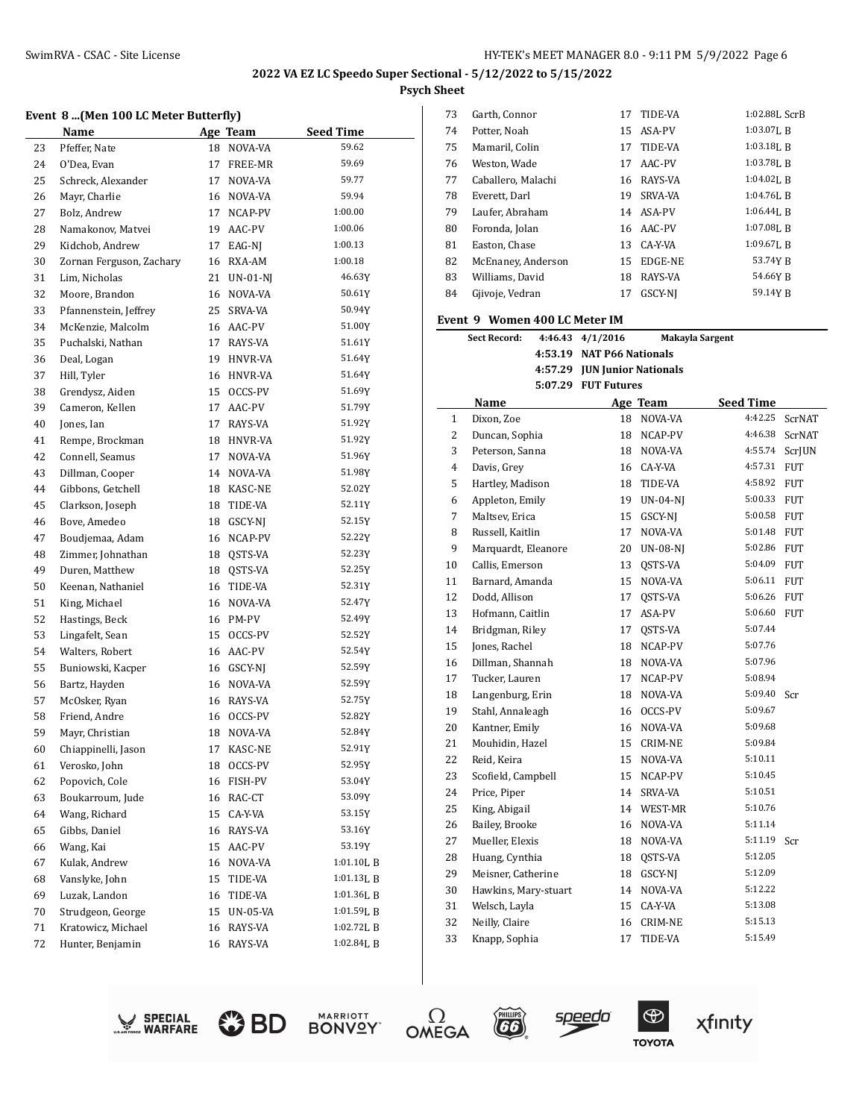#### **Event 8 ...(Men 100 LC Meter Butterfly)**

|          | <b>Name</b>              |          | <b>Age Team</b>     | <b>Seed Time</b> |
|----------|--------------------------|----------|---------------------|------------------|
| 23       | Pfeffer, Nate            | 18       | NOVA-VA             | 59.62            |
| 24       | O'Dea, Evan              | 17       | FREE-MR             | 59.69            |
| 25       | Schreck, Alexander       | 17       | NOVA-VA             | 59.77            |
| 26       | Mayr, Charlie            | 16       | NOVA-VA             | 59.94            |
| 27       | Bolz, Andrew             | 17       | NCAP-PV             | 1:00.00          |
| 28       | Namakonov, Matvei        | 19       | AAC-PV              | 1:00.06          |
| 29       | Kidchob, Andrew          |          | 17 EAG-NJ           | 1:00.13          |
| 30       | Zornan Ferguson, Zachary | 16       | RXA-AM              | 1:00.18          |
| 31       | Lim, Nicholas            | 21       | $UN-01-NI$          | 46.63Y           |
| 32       | Moore, Brandon           | 16       | NOVA-VA             | 50.61Y           |
| 33       | Pfannenstein, Jeffrey    | 25       | SRVA-VA             | 50.94Y           |
| 34       | McKenzie, Malcolm        | 16       | AAC-PV              | 51.00Y           |
| 35       | Puchalski, Nathan        | 17       | RAYS-VA             | 51.61Y           |
| 36       | Deal, Logan              | 19       | HNVR-VA             | 51.64Y           |
| 37       | Hill, Tyler              |          | 16 HNVR-VA          | 51.64Y           |
| 38       | Grendysz, Aiden          | 15       | OCCS-PV             | 51.69Y           |
| 39       | Cameron, Kellen          | 17       | AAC-PV              | 51.79Y           |
| 40       | Jones, Ian               | 17       | RAYS-VA             | 51.92Y           |
| 41       | Rempe, Brockman          |          | 18 HNVR-VA          | 51.92Y           |
| 42       | Connell, Seamus          | 17       | NOVA-VA             | 51.96Y           |
| 43       | Dillman, Cooper          | 14       | NOVA-VA             | 51.98Y           |
| 44       | Gibbons, Getchell        | 18       | KASC-NE             | 52.02Y           |
| 45       | Clarkson, Joseph         | 18       | TIDE-VA             | 52.11Y           |
| 46       | Bove, Amedeo             | 18       | GSCY-NJ             | 52.15Y           |
| 47       | Boudjemaa, Adam          | 16       | NCAP-PV             | 52.22Y           |
| 48       | Zimmer, Johnathan        | 18       | QSTS-VA             | 52.23Y           |
| 49       | Duren, Matthew           | 18       | QSTS-VA             | 52.25Y           |
| 50       | Keenan, Nathaniel        | 16       | TIDE-VA             | 52.31Y           |
| 51       | King, Michael            | 16       | NOVA-VA             | 52.47Y           |
| 52       | Hastings, Beck           | 16       | PM-PV               | 52.49Y           |
| 53       | Lingafelt, Sean          | 15       | OCCS-PV             | 52.52Y           |
| 54       | Walters, Robert          | 16       | AAC-PV              | 52.54Y           |
| 55       | Buniowski, Kacper        |          | 16 GSCY-NJ          | 52.59Y           |
| 56       | Bartz, Hayden            | 16       | NOVA-VA             | 52.59Y           |
| 57       | McOsker, Ryan            | 16       | RAYS-VA             | 52.75Y           |
| 58       | Friend, Andre            | 16       | OCCS-PV             | 52.82Y           |
| 59       | Mayr, Christian          | 18       | NOVA-VA             | 52.84Y           |
| 60       | Chiappinelli, Jason      | 17       | KASC-NE             | 52.91Y           |
| 61       | Verosko, John            | 18       | OCCS-PV             | 52.95Y           |
| 62       | Popovich, Cole           | 16       | FISH-PV             | 53.04Y           |
| 63       | Boukarroum, Jude         | 16       | RAC-CT              | 53.09Y           |
| 64       | Wang, Richard            | 15       | CA-Y-VA             | 53.15Y           |
| 65       | Gibbs, Daniel            | 16       | RAYS-VA             | 53.16Y           |
| 66       | Wang, Kai                | 15       | AAC-PV              | 53.19Y           |
| 67       | Kulak, Andrew            | 16       | NOVA-VA             | 1:01.10LB        |
|          | Vanslyke, John           |          |                     | 1:01.13L B       |
| 68<br>69 | Luzak, Landon            | 15<br>16 | TIDE-VA             | 1:01.36LB        |
| 70       | Strudgeon, George        | 15       | TIDE-VA<br>UN-05-VA | 1:01.59LB        |
|          | Kratowicz, Michael       |          |                     | 1:02.72LB        |
| 71<br>72 | Hunter, Benjamin         | 16       | RAYS-VA<br>RAYS-VA  | 1:02.84L B       |
|          |                          | 16       |                     |                  |

| 73 | Garth, Connor      | 17 | TIDE-VA | 1:02.88L ScrB  |
|----|--------------------|----|---------|----------------|
| 74 | Potter, Noah       | 15 | ASA-PV  | $1:03.07$ J, B |
| 75 | Mamaril, Colin     | 17 | TIDE-VA | $1:03.18$ , B  |
| 76 | Weston, Wade       | 17 | AAC-PV  | 1:03.78L R     |
| 77 | Caballero, Malachi | 16 | RAYS-VA | $1:04.02$ I. R |
| 78 | Everett, Darl      | 19 | SRVA-VA | $1:04.76$ , B  |
| 79 | Laufer, Abraham    | 14 | ASA-PV  | $1:06.44$ LR   |
| 80 | Foronda, Jolan     | 16 | AAC-PV  | $1:07.08$ LR   |
| 81 | Easton, Chase      | 13 | CA-Y-VA | 1:09.67LB      |
| 82 | McEnaney, Anderson | 15 | EDGE-NE | 53.74Y B       |
| 83 | Williams, David    | 18 | RAYS-VA | 54.66Y R       |
| 84 | Gjivoje, Vedran    | 17 | GSCY-NI | 59.14Y B       |

#### **Event 9 Women 400 LC Meter IM**

|                | <b>Sect Record:</b>  | 4:46.43 | 4/1/2016                     |                 | Makayla Sargent  |            |
|----------------|----------------------|---------|------------------------------|-----------------|------------------|------------|
|                |                      |         | 4:53.19 NAT P66 Nationals    |                 |                  |            |
|                |                      |         | 4:57.29 JUN Junior Nationals |                 |                  |            |
|                |                      |         | 5:07.29 FUT Futures          |                 |                  |            |
|                | Name                 |         |                              | Age Team        | <b>Seed Time</b> |            |
| 1              | Dixon, Zoe           |         | 18                           | NOVA-VA         | 4:42.25          | ScrNAT     |
| $\overline{c}$ | Duncan, Sophia       |         | 18                           | NCAP-PV         | 4:46.38          | ScrNAT     |
| 3              | Peterson, Sanna      |         | 18                           | NOVA-VA         | 4:55.74          | ScrJUN     |
| $\overline{4}$ | Davis, Grey          |         | 16                           | CA-Y-VA         | 4:57.31          | <b>FUT</b> |
| 5              | Hartley, Madison     |         | 18                           | TIDE-VA         | 4:58.92          | <b>FUT</b> |
| 6              | Appleton, Emily      |         | 19                           | <b>UN-04-NI</b> | 5:00.33          | <b>FUT</b> |
| $\overline{7}$ | Maltsev, Erica       |         | 15                           | GSCY-NJ         | 5:00.58 FUT      |            |
| 8              | Russell, Kaitlin     |         | 17                           | NOVA-VA         | 5:01.48 FUT      |            |
| 9              | Marquardt, Eleanore  |         | 20                           | UN-08-NJ        | 5:02.86          | <b>FUT</b> |
| 10             | Callis, Emerson      |         | 13                           | QSTS-VA         | 5:04.09 FUT      |            |
| 11             | Barnard, Amanda      |         | 15                           | NOVA-VA         | 5:06.11 FUT      |            |
| 12             | Dodd, Allison        |         | 17                           | OSTS-VA         | 5:06.26 FUT      |            |
| 13             | Hofmann, Caitlin     |         | 17                           | ASA-PV          | 5:06.60 FUT      |            |
| 14             | Bridgman, Riley      |         | 17                           | QSTS-VA         | 5:07.44          |            |
| 15             | Jones, Rachel        |         | 18                           | NCAP-PV         | 5:07.76          |            |
| 16             | Dillman, Shannah     |         | 18                           | NOVA-VA         | 5:07.96          |            |
| 17             | Tucker, Lauren       |         | 17                           | NCAP-PV         | 5:08.94          |            |
| 18             | Langenburg, Erin     |         | 18                           | NOVA-VA         | 5:09.40 Scr      |            |
| 19             | Stahl, Annaleagh     |         | 16                           | OCCS-PV         | 5:09.67          |            |
| 20             | Kantner, Emily       |         | 16                           | NOVA-VA         | 5:09.68          |            |
| 21             | Mouhidin, Hazel      |         | 15                           | <b>CRIM-NE</b>  | 5:09.84          |            |
| 22             | Reid, Keira          |         | 15                           | NOVA-VA         | 5:10.11          |            |
| 23             | Scofield, Campbell   |         | 15                           | NCAP-PV         | 5:10.45          |            |
| 24             | Price, Piper         |         | 14                           | <b>SRVA-VA</b>  | 5:10.51          |            |
| 25             | King, Abigail        |         | 14                           | WEST-MR         | 5:10.76          |            |
| 26             | Bailey, Brooke       |         | 16                           | NOVA-VA         | 5:11.14          |            |
| 27             | Mueller, Elexis      |         | 18                           | NOVA-VA         | 5:11.19          | Scr        |
| 28             | Huang, Cynthia       |         | 18                           | QSTS-VA         | 5:12.05          |            |
| 29             | Meisner, Catherine   |         | 18                           | GSCY-NJ         | 5:12.09          |            |
| 30             | Hawkins, Mary-stuart |         | 14                           | NOVA-VA         | 5:12.22          |            |
| 31             | Welsch, Layla        |         | 15                           | CA-Y-VA         | 5:13.08          |            |
| 32             | Neilly, Claire       |         | 16                           | <b>CRIM-NE</b>  | 5:15.13          |            |
| 33             | Knapp, Sophia        |         | 17                           | TIDE-VA         | 5:15.49          |            |
|                |                      |         |                              |                 |                  |            |













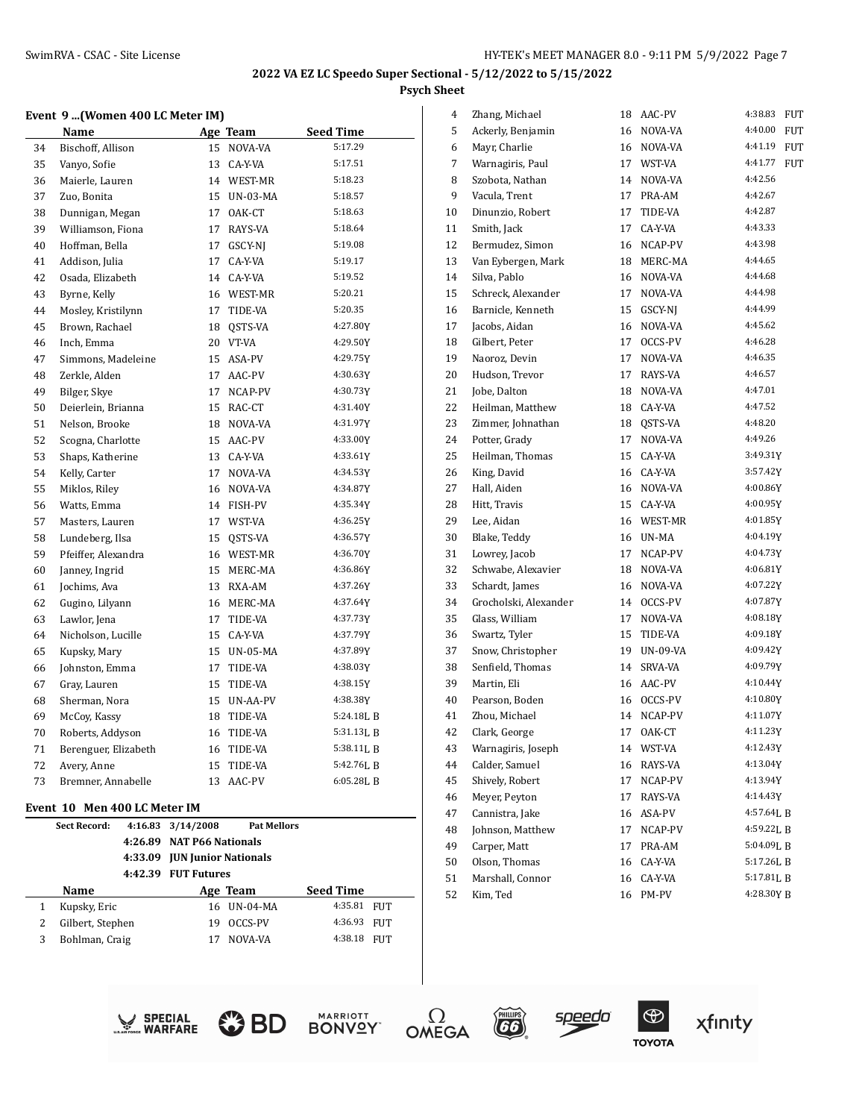#### **Event 9 ...(Women 400 LC Meter IM)**

|    | Name                 |    | Age Team        | <b>Seed Time</b> |
|----|----------------------|----|-----------------|------------------|
| 34 | Bischoff, Allison    | 15 | NOVA-VA         | 5:17.29          |
| 35 | Vanyo, Sofie         |    | 13 CA-Y-VA      | 5:17.51          |
| 36 | Maierle, Lauren      | 14 | WEST-MR         | 5:18.23          |
| 37 | Zuo, Bonita          | 15 | <b>UN-03-MA</b> | 5:18.57          |
| 38 | Dunnigan, Megan      | 17 | OAK-CT          | 5:18.63          |
| 39 | Williamson, Fiona    | 17 | RAYS-VA         | 5:18.64          |
| 40 | Hoffman, Bella       | 17 | GSCY-NJ         | 5:19.08          |
| 41 | Addison, Julia       | 17 | CA-Y-VA         | 5:19.17          |
| 42 | Osada, Elizabeth     | 14 | CA-Y-VA         | 5:19.52          |
| 43 | Byrne, Kelly         |    | 16 WEST-MR      | 5:20.21          |
| 44 | Mosley, Kristilynn   | 17 | TIDE-VA         | 5:20.35          |
| 45 | Brown, Rachael       | 18 | QSTS-VA         | 4:27.80Y         |
| 46 | Inch, Emma           | 20 | VT-VA           | 4:29.50Y         |
| 47 | Simmons, Madeleine   | 15 | ASA-PV          | 4:29.75Y         |
| 48 | Zerkle, Alden        | 17 | AAC-PV          | 4:30.63Y         |
| 49 | Bilger, Skye         | 17 | NCAP-PV         | 4:30.73Y         |
| 50 | Deierlein, Brianna   |    | 15 RAC-CT       | 4:31.40Y         |
| 51 | Nelson, Brooke       |    | 18 NOVA-VA      | 4:31.97Y         |
| 52 | Scogna, Charlotte    | 15 | AAC-PV          | 4:33.00Y         |
| 53 | Shaps, Katherine     | 13 | CA-Y-VA         | 4:33.61Y         |
| 54 | Kelly, Carter        | 17 | NOVA-VA         | 4:34.53Y         |
| 55 | Miklos, Riley        |    | 16 NOVA-VA      | 4:34.87Y         |
| 56 | Watts, Emma          |    | 14 FISH-PV      | 4:35.34Y         |
| 57 | Masters, Lauren      | 17 | WST-VA          | 4:36.25Y         |
| 58 | Lundeberg, Ilsa      | 15 | QSTS-VA         | 4:36.57Y         |
| 59 | Pfeiffer, Alexandra  |    | 16 WEST-MR      | 4:36.70Y         |
| 60 | Janney, Ingrid       |    | 15 MERC-MA      | 4:36.86Y         |
| 61 | Jochims, Ava         |    | 13 RXA-AM       | 4:37.26Y         |
| 62 | Gugino, Lilyann      | 16 | MERC-MA         | 4:37.64Y         |
| 63 | Lawlor, Jena         | 17 | TIDE-VA         | 4:37.73Y         |
| 64 | Nicholson, Lucille   | 15 | CA-Y-VA         | 4:37.79Y         |
| 65 | Kupsky, Mary         | 15 | <b>UN-05-MA</b> | 4:37.89Y         |
| 66 | Johnston, Emma       | 17 | TIDE-VA         | 4:38.03Y         |
| 67 | Gray, Lauren         | 15 | TIDE-VA         | 4:38.15Y         |
| 68 | Sherman, Nora        | 15 | UN-AA-PV        | 4:38.38Y         |
| 69 | McCoy, Kassy         | 18 | TIDE-VA         | 5:24.18LB        |
| 70 | Roberts, Addyson     | 16 | TIDE-VA         | 5:31.13LB        |
| 71 | Berenguer, Elizabeth |    | 16 TIDE-VA      | 5:38.11LB        |
| 72 | Avery, Anne          | 15 | TIDE-VA         | 5:42.76LB        |
| 73 | Bremner, Annabelle   | 13 | AAC-PV          | 6:05.28LB        |

# **Event 10 Men 400 LC Meter IM**

|   | <b>Sect Record:</b> | 4:16.83 3/14/2008<br>4:26.89 NAT P66 Nationals<br>4:33.09 <b>JUN</b> Junior Nationals | <b>Pat Mellors</b> |                  |            |
|---|---------------------|---------------------------------------------------------------------------------------|--------------------|------------------|------------|
|   | Name                | 4:42.39 FUT Futures                                                                   | Age Team           | <b>Seed Time</b> |            |
|   | Kupsky, Eric        |                                                                                       | 16 UN-04-MA        | 4:35.81          | <b>FUT</b> |
| 2 | Gilbert, Stephen    | 19                                                                                    | OCCS-PV            | 4:36.93          | FUT        |
| 3 | Bohlman, Craig      |                                                                                       | NOVA-VA            | 4:38.18          | FUT        |

| 4  | Zhang, Michael        | 18 | AAC-PV   | 4:38.83<br>FUT        |
|----|-----------------------|----|----------|-----------------------|
| 5  | Ackerly, Benjamin     | 16 | NOVA-VA  | 4:40.00<br><b>FUT</b> |
| 6  | Mayr, Charlie         | 16 | NOVA-VA  | 4:41.19<br><b>FUT</b> |
| 7  | Warnagiris, Paul      | 17 | WST-VA   | 4:41.77<br><b>FUT</b> |
| 8  | Szobota, Nathan       | 14 | NOVA-VA  | 4:42.56               |
| 9  | Vacula, Trent         | 17 | PRA-AM   | 4:42.67               |
| 10 | Dinunzio, Robert      | 17 | TIDE-VA  | 4:42.87               |
| 11 | Smith, Jack           | 17 | CA-Y-VA  | 4:43.33               |
| 12 | Bermudez, Simon       | 16 | NCAP-PV  | 4:43.98               |
| 13 | Van Eybergen, Mark    | 18 | MERC-MA  | 4:44.65               |
| 14 | Silva. Pablo          | 16 | NOVA-VA  | 4:44.68               |
| 15 | Schreck, Alexander    | 17 | NOVA-VA  | 4:44.98               |
| 16 | Barnicle, Kenneth     | 15 | GSCY-NJ  | 4:44.99               |
| 17 | Jacobs, Aidan         | 16 | NOVA-VA  | 4:45.62               |
| 18 | Gilbert, Peter        | 17 | OCCS-PV  | 4:46.28               |
| 19 | Naoroz, Devin         | 17 | NOVA-VA  | 4:46.35               |
| 20 | Hudson, Trevor        | 17 | RAYS-VA  | 4:46.57               |
| 21 | Jobe, Dalton          | 18 | NOVA-VA  | 4:47.01               |
| 22 | Heilman, Matthew      | 18 | CA-Y-VA  | 4:47.52               |
| 23 | Zimmer, Johnathan     | 18 | QSTS-VA  | 4:48.20               |
| 24 | Potter, Grady         | 17 | NOVA-VA  | 4:49.26               |
| 25 | Heilman, Thomas       | 15 | CA-Y-VA  | 3:49.31Y              |
| 26 | King, David           | 16 | CA-Y-VA  | 3:57.42Y              |
| 27 | Hall, Aiden           | 16 | NOVA-VA  | 4:00.86Y              |
| 28 | Hitt, Travis          | 15 | CA-Y-VA  | 4:00.95Y              |
| 29 | Lee, Aidan            | 16 | WEST-MR  | 4:01.85Y              |
| 30 | Blake, Teddy          | 16 | UN-MA    | 4:04.19Y              |
| 31 | Lowrey, Jacob         | 17 | NCAP-PV  | 4:04.73Y              |
| 32 | Schwabe, Alexavier    | 18 | NOVA-VA  | 4:06.81Y              |
| 33 | Schardt, James        | 16 | NOVA-VA  | 4:07.22Y              |
| 34 | Grocholski, Alexander | 14 | OCCS-PV  | 4:07.87Y              |
| 35 | Glass, William        | 17 | NOVA-VA  | 4:08.18Y              |
| 36 | Swartz, Tyler         | 15 | TIDE-VA  | 4:09.18Y              |
| 37 | Snow, Christopher     | 19 | UN-09-VA | 4:09.42Y              |
| 38 | Senfield, Thomas      | 14 | SRVA-VA  | 4:09.79Y              |
| 39 | Martin, Eli           | 16 | AAC-PV   | 4:10.44Y              |
| 40 | Pearson, Boden        | 16 | OCCS-PV  | 4:10.80Y              |
| 41 | Zhou, Michael         | 14 | NCAP-PV  | 4:11.07Y              |
| 42 | Clark, George         | 17 | OAK-CT   | 4:11.23Y              |
| 43 | Warnagiris, Joseph    | 14 | WST-VA   | 4:12.43Y              |
| 44 | Calder, Samuel        | 16 | RAYS-VA  | 4:13.04Y              |
| 45 | Shively, Robert       | 17 | NCAP-PV  | 4:13.94Y              |
| 46 | Meyer, Peyton         | 17 | RAYS-VA  | 4:14.43Y              |
| 47 | Cannistra, Jake       | 16 | ASA-PV   | 4:57.64L B            |
| 48 | Johnson, Matthew      | 17 | NCAP-PV  | 4:59.22LB             |
| 49 | Carper, Matt          | 17 | PRA-AM   | 5:04.09LB             |
| 50 | Olson, Thomas         | 16 | CA-Y-VA  | 5:17.26L B            |
| 51 | Marshall, Connor      | 16 | CA-Y-VA  | $5:17.81L$ B          |
| 52 | Kim, Ted              | 16 | PM-PV    | 4:28.30Y B            |











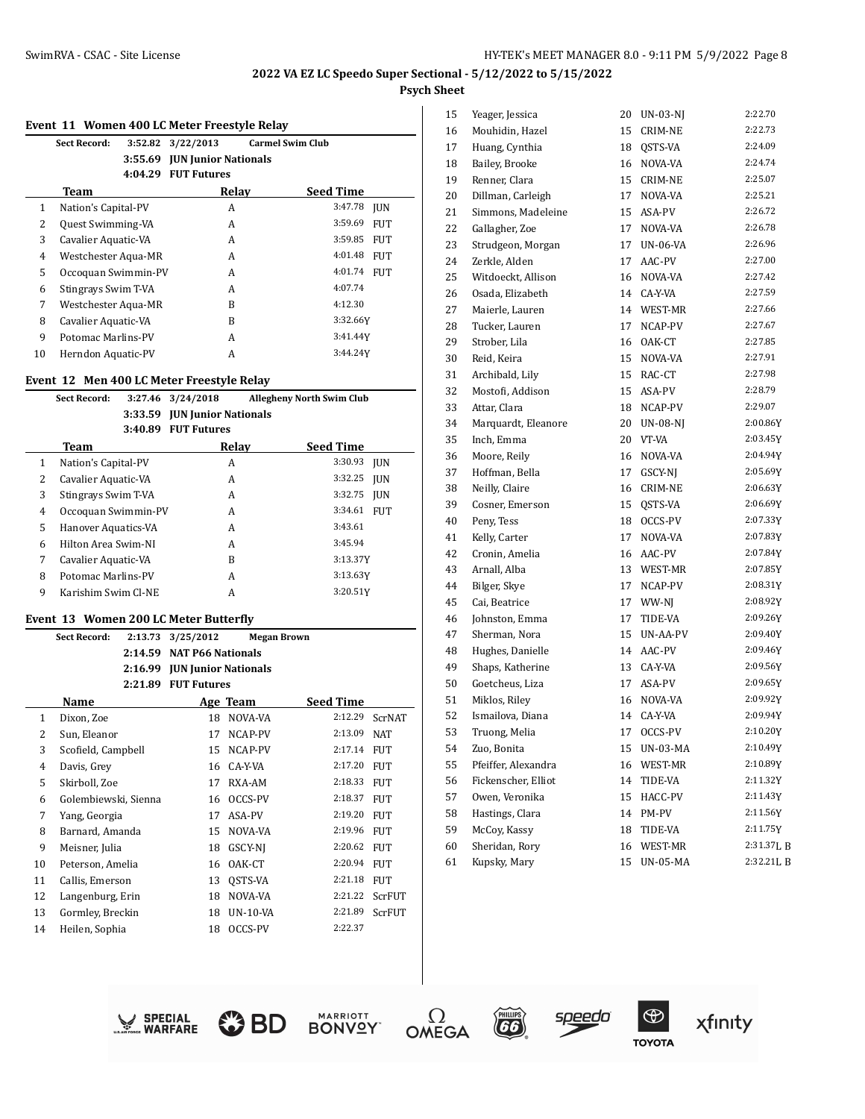#### **Event 11 Women 400 LC Meter Freestyle Relay**

|    | Sect Record:<br>3:52.82  | 3/22/2013                   | <b>Carmel Swim Club</b> |            |
|----|--------------------------|-----------------------------|-------------------------|------------|
|    | 3:55.69                  | <b>JUN Junior Nationals</b> |                         |            |
|    | 4:04.29                  | <b>FUT Futures</b>          |                         |            |
|    | Team                     | Relay                       | <b>Seed Time</b>        |            |
| 1  | Nation's Capital-PV      | A                           | 3:47.78                 | <b>IUN</b> |
| 2  | <b>Quest Swimming-VA</b> | A                           | 3:59.69                 | <b>FUT</b> |
| 3  | Cavalier Aquatic-VA      | A                           | 3:59.85                 | <b>FUT</b> |
| 4  | Westchester Aqua-MR      | A                           | 4:01.48                 | <b>FUT</b> |
| 5  | Occoquan Swimmin-PV      | A                           | 4:01.74                 | <b>FUT</b> |
| 6  | Stingrays Swim T-VA      | A                           | 4:07.74                 |            |
| 7  | Westchester Aqua-MR      | B                           | 4:12.30                 |            |
| 8  | Cavalier Aquatic-VA      | B                           | 3:32.66Y                |            |
| 9  | Potomac Marlins-PV       | A                           | 3:41.44Y                |            |
| 10 | Herndon Aquatic-PV       | А                           | 3:44.24Y                |            |

#### **Event 12 Men 400 LC Meter Freestyle Relay**

|              | <b>Sect Record:</b> | 3:27.46 | 3/24/2018                   | <b>Allegheny North Swim Club</b> |            |
|--------------|---------------------|---------|-----------------------------|----------------------------------|------------|
|              |                     | 3:33.59 | <b>JUN Junior Nationals</b> |                                  |            |
|              |                     | 3:40.89 | <b>FUT Futures</b>          |                                  |            |
|              | Team                |         | Relay                       | <b>Seed Time</b>                 |            |
| $\mathbf{1}$ | Nation's Capital-PV |         | A                           | 3:30.93                          | <b>JUN</b> |
| 2            | Cavalier Aquatic-VA |         | A                           | 3:32.25                          | <b>IUN</b> |
| 3            | Stingrays Swim T-VA |         | A                           | 3:32.75                          | <b>IUN</b> |
| 4            | Occoquan Swimmin-PV |         | A                           | 3:34.61                          | <b>FUT</b> |
| 5            | Hanover Aquatics-VA |         | A                           | 3:43.61                          |            |
| 6            | Hilton Area Swim-NI |         | A                           | 3:45.94                          |            |
| 7            | Cavalier Aquatic-VA |         | B                           | 3:13.37Y                         |            |
| 8            | Potomac Marlins-PV  |         | A                           | 3:13.63Y                         |            |
| 9            | Karishim Swim Cl-NE |         | A                           | 3:20.51Y                         |            |
|              |                     |         |                             |                                  |            |

#### **Event 13 Women 200 LC Meter Butterfly**

|                | <b>Sect Record:</b>  | 2:13.73 | 3/25/2012                   |                 | <b>Megan Brown</b> |               |
|----------------|----------------------|---------|-----------------------------|-----------------|--------------------|---------------|
|                |                      | 2:14.59 | <b>NAT P66 Nationals</b>    |                 |                    |               |
|                |                      | 2:16.99 | <b>JUN Junior Nationals</b> |                 |                    |               |
|                |                      | 2:21.89 | <b>FUT Futures</b>          |                 |                    |               |
|                | Name                 |         |                             | Age Team        | <b>Seed Time</b>   |               |
| $\mathbf{1}$   | Dixon, Zoe           |         | 18                          | NOVA-VA         | 2:12.29            | <b>ScrNAT</b> |
| 2              | Sun, Eleanor         |         | 17                          | NCAP-PV         | 2:13.09            | <b>NAT</b>    |
| 3              | Scofield, Campbell   |         | 15                          | NCAP-PV         | 2:17.14            | <b>FUT</b>    |
| $\overline{4}$ | Davis, Grey          |         | 16                          | CA-Y-VA         | 2:17.20            | <b>FUT</b>    |
| 5              | Skirboll, Zoe        |         | 17                          | RXA-AM          | 2:18.33            | <b>FUT</b>    |
| 6              | Golembiewski, Sienna |         | 16                          | OCCS-PV         | 2:18.37            | <b>FUT</b>    |
| 7              | Yang, Georgia        |         | 17                          | ASA-PV          | 2:19.20            | <b>FUT</b>    |
| 8              | Barnard, Amanda      |         | 15                          | NOVA-VA         | 2:19.96            | <b>FUT</b>    |
| 9              | Meisner, Julia       |         | 18                          | GSCY-NI         | 2:20.62            | <b>FUT</b>    |
| 10             | Peterson, Amelia     |         | 16                          | OAK-CT          | 2:20.94            | <b>FUT</b>    |
| 11             | Callis, Emerson      |         | 13                          | OSTS-VA         | 2:21.18            | <b>FUT</b>    |
| 12             | Langenburg, Erin     |         | 18                          | NOVA-VA         | 2:21.22            | ScrFUT        |
| 13             | Gormley, Breckin     |         | 18                          | <b>UN-10-VA</b> | 2:21.89            | <b>ScrFUT</b> |
| 14             | Heilen, Sophia       |         | 18                          | OCCS-PV         | 2:22.37            |               |

| 15 | Yeager, Jessica     | 20 | UN-03-NJ        | 2:22.70    |
|----|---------------------|----|-----------------|------------|
| 16 | Mouhidin, Hazel     | 15 | CRIM-NE         | 2:22.73    |
| 17 | Huang, Cynthia      | 18 | QSTS-VA         | 2:24.09    |
| 18 | Bailey, Brooke      | 16 | NOVA-VA         | 2:24.74    |
| 19 | Renner, Clara       | 15 | <b>CRIM-NE</b>  | 2:25.07    |
| 20 | Dillman, Carleigh   | 17 | NOVA-VA         | 2:25.21    |
| 21 | Simmons, Madeleine  | 15 | ASA-PV          | 2:26.72    |
| 22 | Gallagher, Zoe      | 17 | NOVA-VA         | 2:26.78    |
| 23 | Strudgeon, Morgan   | 17 | <b>UN-06-VA</b> | 2:26.96    |
| 24 | Zerkle, Alden       | 17 | AAC-PV          | 2:27.00    |
| 25 | Witdoeckt, Allison  | 16 | NOVA-VA         | 2:27.42    |
| 26 | Osada, Elizabeth    | 14 | CA-Y-VA         | 2:27.59    |
| 27 | Maierle, Lauren     | 14 | WEST-MR         | 2:27.66    |
| 28 | Tucker, Lauren      | 17 | NCAP-PV         | 2:27.67    |
| 29 | Strober, Lila       | 16 | OAK-CT          | 2:27.85    |
| 30 | Reid, Keira         | 15 | NOVA-VA         | 2:27.91    |
| 31 | Archibald, Lily     | 15 | RAC-CT          | 2:27.98    |
| 32 | Mostofi, Addison    | 15 | ASA-PV          | 2:28.79    |
| 33 | Attar, Clara        | 18 | NCAP-PV         | 2:29.07    |
| 34 | Marquardt, Eleanore | 20 | <b>UN-08-NJ</b> | 2:00.86Y   |
| 35 | Inch, Emma          | 20 | VT-VA           | 2:03.45Y   |
| 36 | Moore, Reily        | 16 | NOVA-VA         | 2:04.94Y   |
| 37 | Hoffman, Bella      | 17 | GSCY-NJ         | 2:05.69Y   |
| 38 | Neilly, Claire      | 16 | <b>CRIM-NE</b>  | 2:06.63Y   |
| 39 | Cosner, Emerson     | 15 | QSTS-VA         | 2:06.69Y   |
| 40 | Peny, Tess          | 18 | OCCS-PV         | 2:07.33Y   |
| 41 | Kelly, Carter       | 17 | NOVA-VA         | 2:07.83Y   |
| 42 | Cronin, Amelia      | 16 | AAC-PV          | 2:07.84Y   |
| 43 | Arnall, Alba        | 13 | WEST-MR         | 2:07.85Y   |
| 44 | Bilger, Skye        | 17 | NCAP-PV         | 2:08.31Y   |
| 45 | Cai, Beatrice       | 17 | WW-NJ           | 2:08.92Y   |
| 46 | Johnston, Emma      | 17 | TIDE-VA         | 2:09.26Y   |
| 47 | Sherman, Nora       | 15 | UN-AA-PV        | 2:09.40Y   |
| 48 | Hughes, Danielle    | 14 | AAC-PV          | 2:09.46Y   |
| 49 | Shaps, Katherine    | 13 | CA-Y-VA         | 2:09.56Y   |
| 50 | Goetcheus, Liza     | 17 | ASA-PV          | 2:09.65Y   |
| 51 | Miklos, Riley       | 16 | NOVA-VA         | 2:09.92Y   |
| 52 | Ismailova, Diana    | 14 | CA-Y-VA         | 2:09.94Y   |
| 53 | Truong, Melia       | 17 | OCCS-PV         | 2:10.20Y   |
| 54 | Zuo, Bonita         | 15 | UN-03-MA        | 2:10.49Y   |
| 55 | Pfeiffer, Alexandra | 16 | WEST-MR         | 2:10.89Y   |
| 56 | Fickenscher, Elliot | 14 | TIDE-VA         | 2:11.32Y   |
| 57 | Owen, Veronika      | 15 | HACC-PV         | 2:11.43Y   |
| 58 | Hastings, Clara     | 14 | PM-PV           | 2:11.56Y   |
| 59 | McCoy, Kassy        | 18 | TIDE-VA         | 2:11.75Y   |
| 60 | Sheridan, Rory      | 16 | WEST-MR         | 2:31.37L B |
| 61 | Kupsky, Mary        | 15 | <b>UN-05-MA</b> | 2:32.21L B |











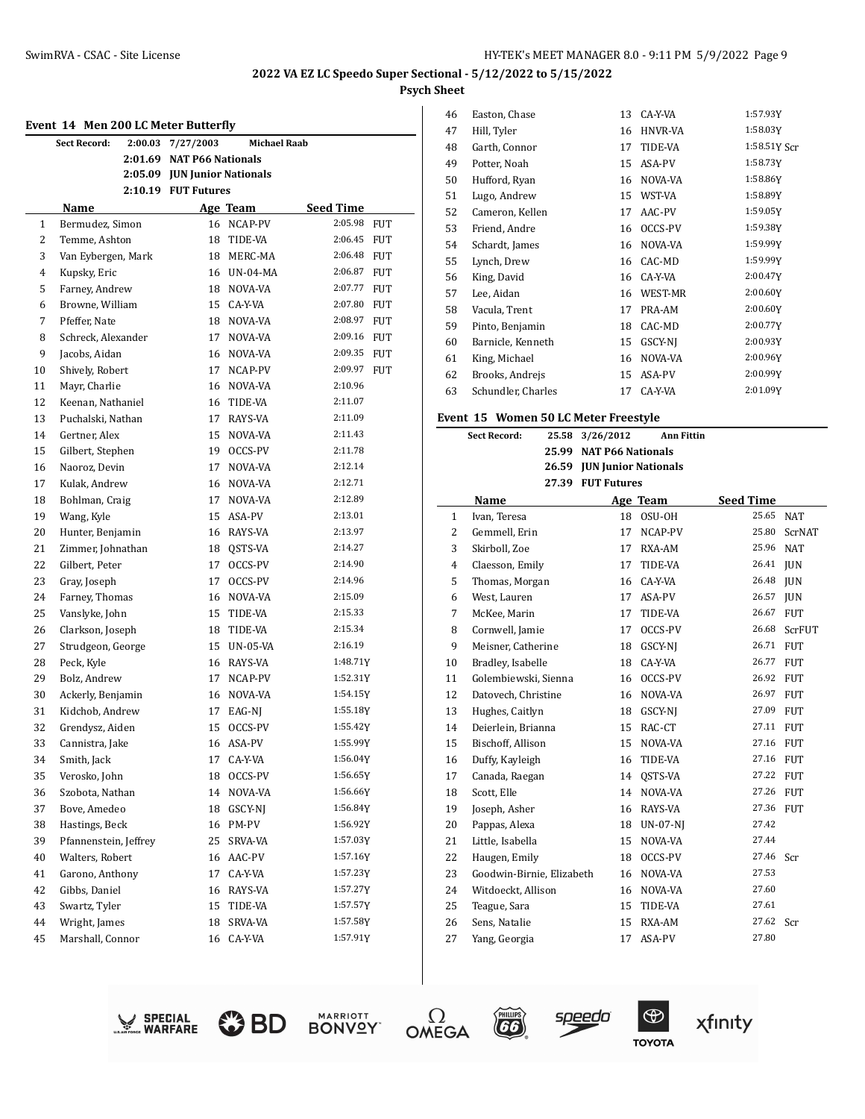|                | Event 14 Men 200 LC Meter Butterfly |         |                              |                     |                       |  |
|----------------|-------------------------------------|---------|------------------------------|---------------------|-----------------------|--|
|                | Sect Record:                        | 2:00.03 | 7/27/2003                    | <b>Michael Raab</b> |                       |  |
|                |                                     | 2:01.69 | <b>NAT P66 Nationals</b>     |                     |                       |  |
|                |                                     |         | 2:05.09 JUN Junior Nationals |                     |                       |  |
|                |                                     |         | 2:10.19 FUT Futures          |                     |                       |  |
|                | Name                                |         |                              | Age Team            | Seed Time             |  |
| $\mathbf{1}$   | Bermudez, Simon                     |         | 16                           | NCAP-PV             | 2:05.98<br><b>FUT</b> |  |
| $\overline{2}$ | Temme, Ashton                       |         | 18                           | TIDE-VA             | 2:06.45<br>FUT        |  |
| 3              | Van Eybergen, Mark                  |         |                              | 18 MERC-MA          | 2:06.48 FUT           |  |
| 4              | Kupsky, Eric                        |         |                              | 16 UN-04-MA         | 2:06.87<br>FUT        |  |
| 5              | Farney, Andrew                      |         |                              | 18 NOVA-VA          | 2:07.77<br><b>FUT</b> |  |
| 6              | Browne, William                     |         |                              | 15 CA-Y-VA          | 2:07.80<br><b>FUT</b> |  |
| 7              | Pfeffer, Nate                       |         | 18                           | NOVA-VA             | 2:08.97<br>FUT        |  |
| 8              | Schreck, Alexander                  |         | 17                           | NOVA-VA             | 2:09.16<br><b>FUT</b> |  |
| 9              | Jacobs, Aidan                       |         | 16                           | NOVA-VA             | 2:09.35<br><b>FUT</b> |  |
| 10             | Shively, Robert                     |         | 17                           | NCAP-PV             | 2:09.97<br><b>FUT</b> |  |
| 11             | Mayr, Charlie                       |         | 16                           | NOVA-VA             | 2:10.96               |  |
| 12             | Keenan, Nathaniel                   |         | 16                           | TIDE-VA             | 2:11.07               |  |
| 13             | Puchalski, Nathan                   |         | 17                           | RAYS-VA             | 2:11.09               |  |
| 14             | Gertner, Alex                       |         | 15                           | NOVA-VA             | 2:11.43               |  |
| 15             | Gilbert, Stephen                    |         | 19                           | OCCS-PV             | 2:11.78               |  |
| 16             | Naoroz, Devin                       |         | 17                           | NOVA-VA             | 2:12.14               |  |
| 17             | Kulak, Andrew                       |         | 16                           | NOVA-VA             | 2:12.71               |  |
| 18             | Bohlman, Craig                      |         | 17                           | NOVA-VA             | 2:12.89               |  |
| 19             | Wang, Kyle                          |         |                              | 15 ASA-PV           | 2:13.01               |  |
| 20             | Hunter, Benjamin                    |         | 16                           | RAYS-VA             | 2:13.97               |  |
| 21             | Zimmer, Johnathan                   |         | 18                           | QSTS-VA             | 2:14.27               |  |
| 22             | Gilbert, Peter                      |         | 17                           | OCCS-PV             | 2:14.90               |  |
| 23             | Gray, Joseph                        |         | 17                           | OCCS-PV             | 2:14.96               |  |
| 24             | Farney, Thomas                      |         | 16                           | NOVA-VA             | 2:15.09               |  |
| 25             | Vanslyke, John                      |         | 15                           | TIDE-VA             | 2:15.33               |  |
| 26             | Clarkson, Joseph                    |         | 18                           | TIDE-VA             | 2:15.34               |  |
| 27             | Strudgeon, George                   |         |                              | 15 UN-05-VA         | 2:16.19               |  |
| 28             | Peck, Kyle                          |         |                              | 16 RAYS-VA          | 1:48.71Y              |  |
| 29             | Bolz, Andrew                        |         | 17                           | NCAP-PV             | 1:52.31Y              |  |
| 30             | Ackerly, Benjamin                   |         | 16                           | NOVA-VA             | 1:54.15Y              |  |
| 31             | Kidchob, Andrew                     |         | 17                           | EAG-NJ              | 1:55.18Y              |  |
| 32             | Grendysz, Aiden                     |         | 15                           | OCCS-PV             | 1:55.42Y              |  |
| 33             | Cannistra, Jake                     |         |                              | 16 ASA-PV           | 1:55.99Y              |  |
| 34             | Smith, Jack                         |         | 17                           | CA-Y-VA             | 1:56.04Y              |  |
| 35             | Verosko, John                       |         | 18                           | OCCS-PV             | 1:56.65Y              |  |
| 36             | Szobota, Nathan                     |         | 14                           | NOVA-VA             | 1:56.66Y              |  |
| 37             | Bove, Amedeo                        |         | 18                           | GSCY-NJ             | 1:56.84Y              |  |
| 38             | Hastings, Beck                      |         | 16                           | PM-PV               | 1:56.92Y              |  |
| 39             | Pfannenstein, Jeffrey               |         | 25                           | SRVA-VA             | 1:57.03Y              |  |
| 40             | Walters, Robert                     |         | 16                           | AAC-PV              | 1:57.16Y              |  |
| 41             | Garono, Anthony                     |         | 17                           | CA-Y-VA             | 1:57.23Y              |  |
| 42             | Gibbs, Daniel                       |         | 16                           | RAYS-VA             | 1:57.27Y              |  |
| 43             | Swartz, Tyler                       |         | 15                           | TIDE-VA             | 1:57.57Y              |  |
| 44             | Wright, James                       |         | 18                           | SRVA-VA             | 1:57.58Y              |  |
| 45             | Marshall, Connor                    |         | 16                           | CA-Y-VA             | 1:57.91Y              |  |

| 46 | Easton, Chase      | 13 | CA-Y-VA | 1:57.93Y     |
|----|--------------------|----|---------|--------------|
| 47 | Hill, Tyler        | 16 | HNVR-VA | 1:58.03Y     |
| 48 | Garth, Connor      | 17 | TIDE-VA | 1:58.51Y Scr |
| 49 | Potter, Noah       | 15 | ASA-PV  | 1:58.73Y     |
| 50 | Hufford, Ryan      | 16 | NOVA-VA | 1:58.86Y     |
| 51 | Lugo, Andrew       | 15 | WST-VA  | 1:58.89Y     |
| 52 | Cameron, Kellen    | 17 | AAC-PV  | 1:59.05Y     |
| 53 | Friend, Andre      | 16 | OCCS-PV | 1:59.38Y     |
| 54 | Schardt, James     | 16 | NOVA-VA | 1:59.99Y     |
| 55 | Lynch, Drew        | 16 | CAC-MD  | 1:59.99Y     |
| 56 | King, David        | 16 | CA-Y-VA | 2:00.47Y     |
| 57 | Lee, Aidan         | 16 | WEST-MR | 2:00.60Y     |
| 58 | Vacula, Trent      | 17 | PRA-AM  | 2:00.60Y     |
| 59 | Pinto, Benjamin    | 18 | CAC-MD  | 2:00.77Y     |
| 60 | Barnicle, Kenneth  | 15 | GSCY-NI | 2:00.93Y     |
| 61 | King, Michael      | 16 | NOVA-VA | 2:00.96Y     |
| 62 | Brooks, Andrejs    | 15 | ASA-PV  | 2:00.99Y     |
| 63 | Schundler, Charles | 17 | CA-Y-VA | 2:01.09Y     |

#### **Event 15 Women 50 LC Meter Freestyle**

| <b>Sect Record:</b><br>25.58 |                           |       | 3/26/2012                  | Ann Fittin               |                  |            |
|------------------------------|---------------------------|-------|----------------------------|--------------------------|------------------|------------|
|                              |                           | 25.99 |                            | <b>NAT P66 Nationals</b> |                  |            |
|                              |                           |       | 26.59 JUN Junior Nationals |                          |                  |            |
|                              |                           |       | 27.39 FUT Futures          |                          |                  |            |
|                              | Name                      |       |                            | Age Team                 | <b>Seed Time</b> |            |
| $\mathbf{1}$                 | Ivan, Teresa              |       | 18                         | OSU-OH                   | 25.65            | <b>NAT</b> |
| 2                            | Gemmell, Erin             |       | 17                         | NCAP-PV                  | 25.80            | ScrNAT     |
| 3                            | Skirboll, Zoe             |       | 17                         | RXA-AM                   | 25.96            | <b>NAT</b> |
| $\overline{4}$               | Claesson, Emily           |       | 17                         | TIDE-VA                  | 26.41            | <b>JUN</b> |
| 5                            | Thomas, Morgan            |       | 16                         | CA-Y-VA                  | 26.48            | <b>JUN</b> |
| 6                            | West, Lauren              |       | 17                         | ASA-PV                   | 26.57            | <b>JUN</b> |
| 7                            | McKee, Marin              |       | 17                         | TIDE-VA                  | 26.67            | <b>FUT</b> |
| 8                            | Cornwell, Jamie           |       | 17                         | OCCS-PV                  | 26.68            | ScrFUT     |
| 9                            | Meisner, Catherine        |       | 18                         | GSCY-NJ                  | 26.71 FUT        |            |
| 10                           | Bradley, Isabelle         |       | 18                         | CA-Y-VA                  | 26.77 FUT        |            |
| 11                           | Golembiewski, Sienna      |       | 16                         | OCCS-PV                  | 26.92 FUT        |            |
| 12                           | Datovech, Christine       |       | 16                         | NOVA-VA                  | 26.97            | <b>FUT</b> |
| 13                           | Hughes, Caitlyn           |       | 18                         | GSCY-NJ                  | 27.09 FUT        |            |
| 14                           | Deierlein, Brianna        |       | 15                         | RAC-CT                   | 27.11            | <b>FUT</b> |
| 15                           | Bischoff, Allison         |       | 15                         | NOVA-VA                  | 27.16            | <b>FUT</b> |
| 16                           | Duffy, Kayleigh           |       | 16                         | TIDE-VA                  | 27.16 FUT        |            |
| 17                           | Canada, Raegan            |       | 14                         | QSTS-VA                  | 27.22 FUT        |            |
| 18                           | Scott, Elle               |       | 14                         | NOVA-VA                  | 27.26 FUT        |            |
| 19                           | Joseph, Asher             |       | 16                         | RAYS-VA                  | 27.36            | FUT        |
| 20                           | Pappas, Alexa             |       | 18                         | <b>UN-07-NI</b>          | 27.42            |            |
| 21                           | Little, Isabella          |       | 15                         | NOVA-VA                  | 27.44            |            |
| 22                           | Haugen, Emily             |       | 18                         | OCCS-PV                  | 27.46            | Scr        |
| 23                           | Goodwin-Birnie, Elizabeth |       | 16                         | NOVA-VA                  | 27.53            |            |
| 24                           | Witdoeckt. Allison        |       | 16                         | NOVA-VA                  | 27.60            |            |
| 25                           | Teague, Sara              |       | 15                         | TIDE-VA                  | 27.61            |            |
| 26                           | Sens, Natalie             |       | 15                         | RXA-AM                   | 27.62            | Scr        |
| 27                           | Yang, Georgia             |       | 17                         | ASA-PV                   | 27.80            |            |
|                              |                           |       |                            |                          |                  |            |













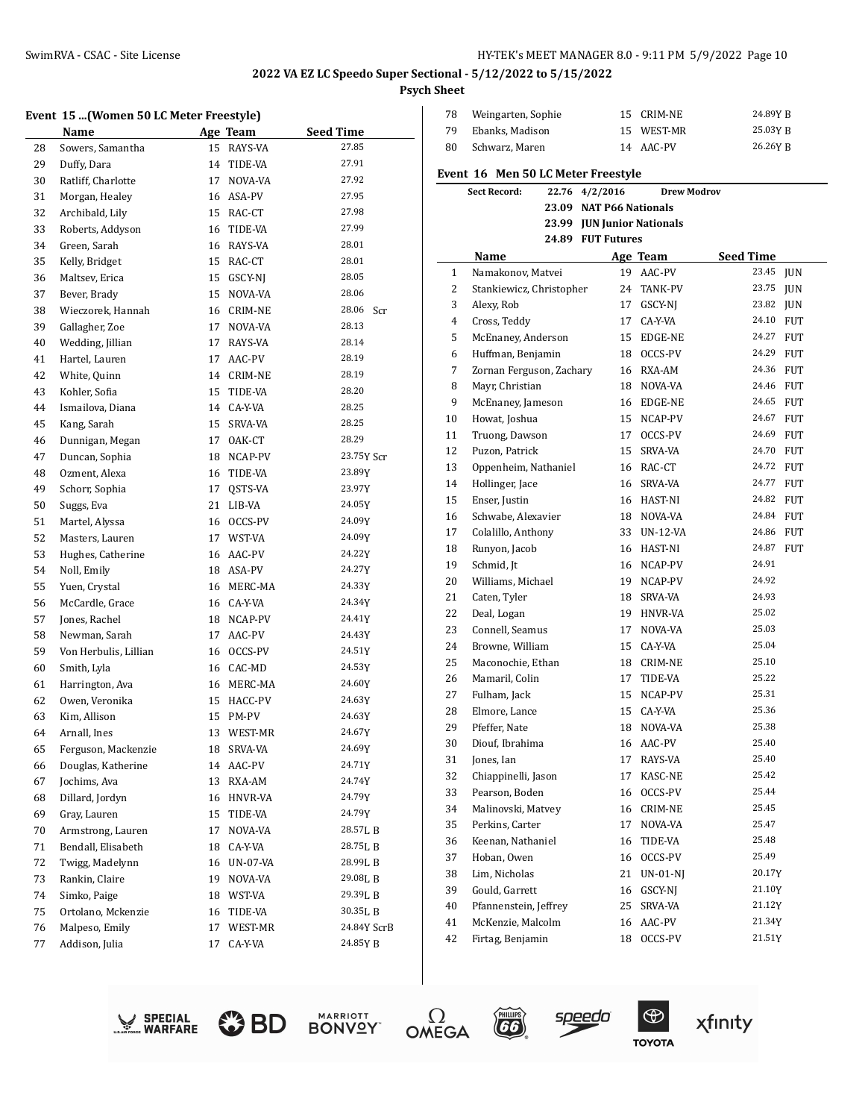# **Event 15 ...(Women 50 LC Meter Freestyle)**

|    | EVENt_15 (WOMEN 50 LC MEter Freestyle) |    |                |                  |
|----|----------------------------------------|----|----------------|------------------|
|    | Name                                   |    | Age Team       | <b>Seed Time</b> |
| 28 | Sowers, Samantha                       | 15 | RAYS-VA        | 27.85            |
| 29 | Duffy, Dara                            | 14 | TIDE-VA        | 27.91            |
| 30 | Ratliff, Charlotte                     | 17 | NOVA-VA        | 27.92            |
| 31 | Morgan, Healey                         | 16 | ASA-PV         | 27.95            |
| 32 | Archibald, Lily                        | 15 | RAC-CT         | 27.98            |
| 33 | Roberts, Addyson                       | 16 | TIDE-VA        | 27.99            |
| 34 | Green, Sarah                           | 16 | RAYS-VA        | 28.01            |
| 35 | Kelly, Bridget                         | 15 | RAC-CT         | 28.01            |
| 36 | Maltsev, Erica                         | 15 | GSCY-NJ        | 28.05            |
| 37 | Bever, Brady                           | 15 | NOVA-VA        | 28.06            |
| 38 | Wieczorek, Hannah                      | 16 | CRIM-NE        | 28.06<br>Scr     |
| 39 | Gallagher, Zoe                         | 17 | NOVA-VA        | 28.13            |
| 40 | Wedding, Jillian                       | 17 | RAYS-VA        | 28.14            |
| 41 | Hartel, Lauren                         | 17 | AAC-PV         | 28.19            |
| 42 | White, Quinn                           |    | 14 CRIM-NE     | 28.19            |
| 43 | Kohler, Sofia                          | 15 | TIDE-VA        | 28.20            |
| 44 | Ismailova, Diana                       | 14 | CA-Y-VA        | 28.25            |
| 45 | Kang, Sarah                            | 15 | <b>SRVA-VA</b> | 28.25            |
| 46 | Dunnigan, Megan                        | 17 | OAK-CT         | 28.29            |
| 47 | Duncan, Sophia                         | 18 | NCAP-PV        | 23.75Y Scr       |
| 48 | Ozment, Alexa                          | 16 | TIDE-VA        | 23.89Y           |
| 49 | Schorr, Sophia                         | 17 | QSTS-VA        | 23.97Y           |
| 50 | Suggs, Eva                             | 21 | LIB-VA         | 24.05Y           |
| 51 | Martel, Alyssa                         | 16 | OCCS-PV        | 24.09Y           |
| 52 | Masters, Lauren                        |    | 17 WST-VA      | 24.09Y           |
| 53 | Hughes, Catherine                      | 16 | AAC-PV         | 24.22Y           |
| 54 | Noll, Emily                            |    | 18 ASA-PV      | 24.27Y           |
| 55 | Yuen, Crystal                          | 16 | MERC-MA        | 24.33Y           |
| 56 | McCardle, Grace                        | 16 | CA-Y-VA        | 24.34Y           |
| 57 | Jones, Rachel                          | 18 | NCAP-PV        | 24.41Y           |
| 58 | Newman, Sarah                          | 17 | AAC-PV         | 24.43Y           |
| 59 | Von Herbulis, Lillian                  | 16 | OCCS-PV        | 24.51Y           |
| 60 | Smith, Lyla                            |    | 16 CAC-MD      | 24.53Y           |
| 61 | Harrington, Ava                        | 16 | MERC-MA        | 24.60Y           |
| 62 | Owen, Veronika                         | 15 | HACC-PV        | 24.63Y           |
| 63 | Kim, Allison                           | 15 | PM-PV          | 24.63Y           |
| 64 | Arnall, Ines                           | 13 | WEST-MR        | 24.67Y           |
| 65 | Ferguson, Mackenzie                    |    | 18 SRVA-VA     | 24.69Y           |
| 66 | Douglas, Katherine                     | 14 | AAC-PV         | 24.71Y           |
| 67 | Jochims, Ava                           | 13 | RXA-AM         | 24.74Y           |
| 68 | Dillard, Jordyn                        | 16 | HNVR-VA        | 24.79Y           |
| 69 | Gray, Lauren                           | 15 | TIDE-VA        | 24.79Y           |
| 70 | Armstrong, Lauren                      | 17 | NOVA-VA        | 28.57L B         |
| 71 | Bendall, Elisabeth                     | 18 | CA-Y-VA        | 28.75L B         |
| 72 | Twigg, Madelynn                        | 16 | UN-07-VA       | 28.99LB          |
| 73 | Rankin, Claire                         | 19 | NOVA-VA        | 29.08L B         |
| 74 | Simko, Paige                           | 18 | WST-VA         | 29.39L B         |
| 75 | Ortolano, Mckenzie                     | 16 | TIDE-VA        | 30.35LB          |
| 76 | Malpeso, Emily                         | 17 | WEST-MR        | 24.84Y ScrB      |
| 77 | Addison, Julia                         | 17 | CA-Y-VA        | 24.85YB          |
|    |                                        |    |                |                  |

| 78 | Weingarten, Sophie | 15 CRIM-NE | 24.89Y R |
|----|--------------------|------------|----------|
| 79 | Ebanks. Madison    | 15 WEST-MR | 25.03Y R |
| 80 | Schwarz, Maren     | 14 AAC-PV  | 26.26Y R |

#### **Event 16 Men 50 LC Meter Freestyle**

|    | <b>Sect Record:</b><br>22.76 | 4/2/2016                   | <b>Drew Modrov</b> |                  |            |
|----|------------------------------|----------------------------|--------------------|------------------|------------|
|    |                              | 23.09 NAT P66 Nationals    |                    |                  |            |
|    |                              | 23.99 JUN Junior Nationals |                    |                  |            |
|    |                              | 24.89 FUT Futures          |                    |                  |            |
|    | Name                         |                            | Age Team           | <b>Seed Time</b> |            |
| 1  | Namakonov, Matvei            |                            | 19 AAC-PV          | 23.45            | <b>JUN</b> |
| 2  | Stankiewicz, Christopher     | 24                         | TANK-PV            | 23.75            | <b>JUN</b> |
| 3  | Alexy, Rob                   | 17                         | GSCY-NJ            | 23.82 JUN        |            |
| 4  | Cross, Teddy                 | 17                         | CA-Y-VA            | 24.10 FUT        |            |
| 5  | McEnaney, Anderson           | 15                         | EDGE-NE            | 24.27            | <b>FUT</b> |
| 6  | Huffman, Benjamin            | 18                         | OCCS-PV            | 24.29 FUT        |            |
| 7  | Zornan Ferguson, Zachary     | 16                         | RXA-AM             | 24.36 FUT        |            |
| 8  | Mayr, Christian              | 18                         | NOVA-VA            | 24.46 FUT        |            |
| 9  | McEnaney, Jameson            | 16                         | EDGE-NE            | 24.65 FUT        |            |
| 10 | Howat, Joshua                | 15                         | NCAP-PV            | 24.67            | <b>FUT</b> |
| 11 | Truong, Dawson               | 17                         | OCCS-PV            | 24.69            | <b>FUT</b> |
| 12 | Puzon, Patrick               | 15                         | SRVA-VA            | 24.70 FUT        |            |
| 13 | Oppenheim, Nathaniel         |                            | 16 RAC-CT          | 24.72 FUT        |            |
| 14 | Hollinger, Jace              | 16                         | SRVA-VA            | 24.77 FUT        |            |
| 15 | Enser, Justin                |                            | 16 HAST-NI         | 24.82 FUT        |            |
| 16 | Schwabe, Alexavier           | 18                         | NOVA-VA            | 24.84 FUT        |            |
| 17 | Colalillo, Anthony           | 33                         | UN-12-VA           | 24.86 FUT        |            |
| 18 | Runyon, Jacob                | 16                         | HAST-NI            | 24.87            | <b>FUT</b> |
| 19 | Schmid, Jt                   | 16                         | NCAP-PV            | 24.91            |            |
| 20 | Williams, Michael            | 19                         | NCAP-PV            | 24.92            |            |
| 21 | Caten, Tyler                 | 18                         | SRVA-VA            | 24.93            |            |
| 22 | Deal, Logan                  | 19                         | HNVR-VA            | 25.02            |            |
| 23 | Connell, Seamus              | 17                         | NOVA-VA            | 25.03            |            |
| 24 | Browne, William              | 15                         | CA-Y-VA            | 25.04            |            |
| 25 | Maconochie, Ethan            | 18                         | CRIM-NE            | 25.10            |            |
| 26 | Mamaril, Colin               | 17                         | TIDE-VA            | 25.22            |            |
| 27 | Fulham, Jack                 | 15                         | NCAP-PV            | 25.31            |            |
| 28 | Elmore, Lance                | 15                         | CA-Y-VA            | 25.36            |            |
| 29 | Pfeffer, Nate                | 18                         | NOVA-VA            | 25.38            |            |
| 30 | Diouf, Ibrahima              | 16                         | AAC-PV             | 25.40            |            |
| 31 | Jones, Ian                   | 17                         | RAYS-VA            | 25.40            |            |
| 32 | Chiappinelli, Jason          | 17                         | KASC-NE            | 25.42            |            |
| 33 | Pearson, Boden               | 16                         | OCCS-PV            | 25.44            |            |
| 34 | Malinovski, Matvey           | 16                         | <b>CRIM-NE</b>     | 25.45            |            |
| 35 | Perkins, Carter              | 17                         | NOVA-VA            | 25.47            |            |
| 36 | Keenan, Nathaniel            | 16                         | TIDE-VA            | 25.48            |            |
| 37 | Hoban, Owen                  | 16                         | OCCS-PV            | 25.49            |            |
| 38 | Lim, Nicholas                | 21                         | $UN-01-NJ$         | 20.17Y           |            |
| 39 | Gould, Garrett               | 16                         | GSCY-NJ            | 21.10Y           |            |
| 40 | Pfannenstein, Jeffrey        | 25                         | SRVA-VA            | 21.12Y           |            |
| 41 | McKenzie, Malcolm            | 16                         | AAC-PV             | 21.34Y           |            |
| 42 | Firtag, Benjamin             | 18                         | OCCS-PV            | 21.51Y           |            |













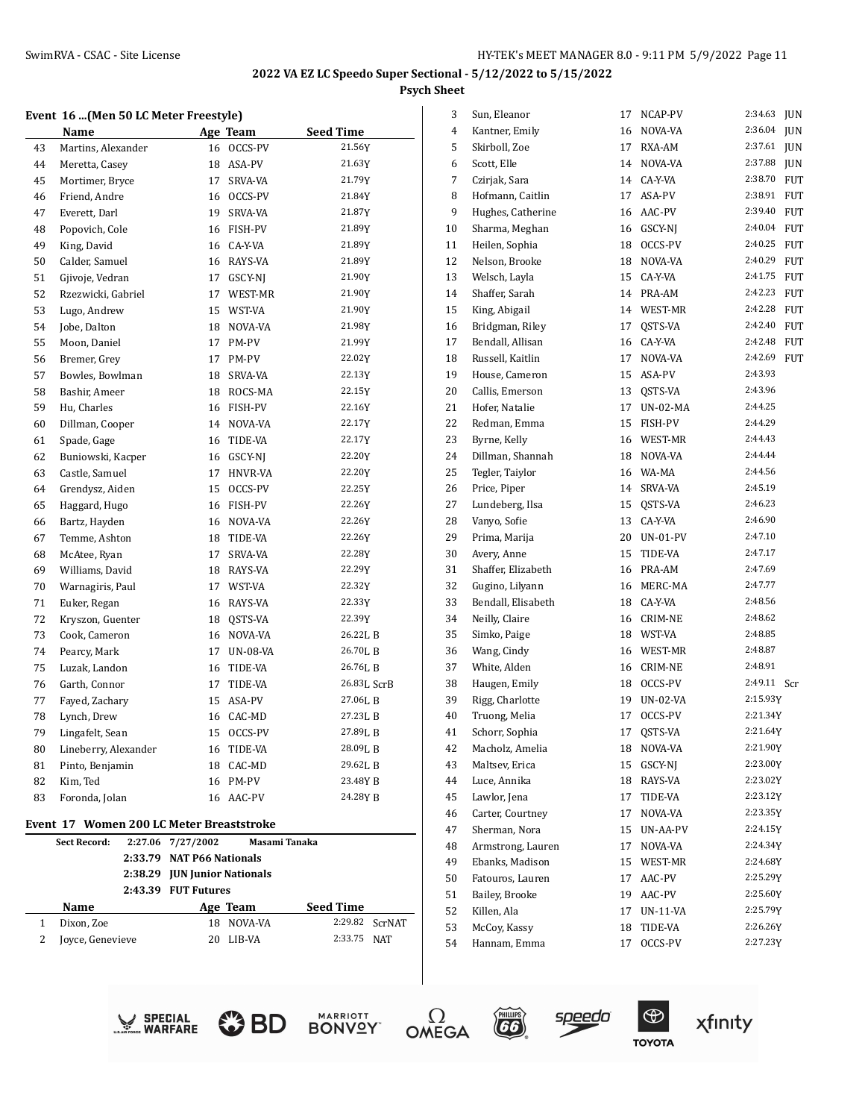#### **Event 16 ...(Men 50 LC Meter Freestyle)**

|    | Name                 |    | Age Team        | <b>Seed Time</b> |
|----|----------------------|----|-----------------|------------------|
| 43 | Martins, Alexander   | 16 | OCCS-PV         | 21.56Y           |
| 44 | Meretta, Casey       | 18 | ASA-PV          | 21.63Y           |
| 45 | Mortimer, Bryce      | 17 | SRVA-VA         | 21.79Y           |
| 46 | Friend, Andre        | 16 | OCCS-PV         | 21.84Y           |
| 47 | Everett, Darl        | 19 | SRVA-VA         | 21.87Y           |
| 48 | Popovich, Cole       | 16 | FISH-PV         | 21.89Y           |
| 49 | King, David          | 16 | CA-Y-VA         | 21.89Y           |
| 50 | Calder, Samuel       | 16 | RAYS-VA         | 21.89Y           |
| 51 | Gjivoje, Vedran      | 17 | GSCY-NJ         | 21.90Y           |
| 52 | Rzezwicki, Gabriel   | 17 | WEST-MR         | 21.90Y           |
| 53 | Lugo, Andrew         | 15 | WST-VA          | 21.90Y           |
| 54 | Jobe, Dalton         | 18 | NOVA-VA         | 21.98Y           |
| 55 | Moon, Daniel         | 17 | PM-PV           | 21.99Y           |
| 56 | Bremer, Grey         | 17 | PM-PV           | 22.02Y           |
| 57 | Bowles, Bowlman      | 18 | SRVA-VA         | 22.13Y           |
| 58 | Bashir, Ameer        | 18 | ROCS-MA         | 22.15Y           |
| 59 | Hu, Charles          | 16 | FISH-PV         | 22.16Y           |
| 60 | Dillman, Cooper      | 14 | NOVA-VA         | 22.17Y           |
| 61 | Spade, Gage          | 16 | TIDE-VA         | 22.17Y           |
| 62 | Buniowski, Kacper    | 16 | GSCY-NJ         | 22.20Y           |
| 63 | Castle, Samuel       | 17 | HNVR-VA         | 22.20Y           |
| 64 | Grendysz, Aiden      | 15 | OCCS-PV         | 22.25Y           |
| 65 | Haggard, Hugo        | 16 | FISH-PV         | 22.26Y           |
| 66 | Bartz, Hayden        | 16 | NOVA-VA         | 22.26Y           |
| 67 | Temme, Ashton        | 18 | TIDE-VA         | 22.26Y           |
| 68 | McAtee, Ryan         | 17 | SRVA-VA         | 22.28Y           |
| 69 | Williams, David      | 18 | RAYS-VA         | 22.29Y           |
| 70 | Warnagiris, Paul     | 17 | WST-VA          | 22.32Y           |
| 71 | Euker, Regan         | 16 | RAYS-VA         | 22.33Y           |
| 72 | Kryszon, Guenter     |    | 18 OSTS-VA      | 22.39Y           |
| 73 | Cook, Cameron        | 16 | NOVA-VA         | 26.22L B         |
| 74 | Pearcy, Mark         | 17 | <b>UN-08-VA</b> | 26.70LB          |
| 75 | Luzak, Landon        | 16 | TIDE-VA         | 26.76LB          |
| 76 | Garth, Connor        | 17 | TIDE-VA         | 26.83L ScrB      |
| 77 | Fayed, Zachary       | 15 | ASA-PV          | 27.06LB          |
| 78 | Lynch, Drew          |    | 16 CAC-MD       | 27.23LB          |
| 79 | Lingafelt, Sean      | 15 | OCCS-PV         | 27.89L B         |
| 80 | Lineberry, Alexander | 16 | TIDE-VA         | 28.09LB          |
| 81 | Pinto, Benjamin      | 18 | CAC-MD          | 29.62L B         |
| 82 | Kim, Ted             | 16 | PM-PV           | 23.48Y B         |
| 83 | Foronda, Jolan       | 16 | AAC-PV          | 24.28Y B         |
|    |                      |    |                 |                  |

#### **Event 17 Women 200 LC Meter Breaststroke**

 $\overline{a}$ 

| <b>Sect Record:</b> | 2:27.06 7/27/2002            | Masami Tanaka             |                  |                |  |
|---------------------|------------------------------|---------------------------|------------------|----------------|--|
|                     |                              | 2:33.79 NAT P66 Nationals |                  |                |  |
|                     | 2:38.29 JUN Junior Nationals |                           |                  |                |  |
|                     | 2:43.39 FUT Futures          |                           |                  |                |  |
| Name                |                              | Age Team                  | <b>Seed Time</b> |                |  |
| Dixon, Zoe          | 18.                          | NOVA-VA                   |                  | 2:29.82 ScrNAT |  |
| Joyce, Genevieve    |                              | LIB-VA                    | 2:33.75 NAT      |                |  |

| 3  | Sun, Eleanor       | 17 | NCAP-PV        | 2:34.63  | JUN        |
|----|--------------------|----|----------------|----------|------------|
| 4  | Kantner, Emily     | 16 | NOVA-VA        | 2:36.04  | <b>JUN</b> |
| 5  | Skirboll, Zoe      | 17 | RXA-AM         | 2:37.61  | <b>JUN</b> |
| 6  | Scott, Elle        | 14 | NOVA-VA        | 2:37.88  | <b>JUN</b> |
| 7  | Czirjak, Sara      | 14 | CA-Y-VA        | 2:38.70  | <b>FUT</b> |
| 8  | Hofmann, Caitlin   | 17 | ASA-PV         | 2:38.91  | FUT        |
| 9  | Hughes, Catherine  | 16 | AAC-PV         | 2:39.40  | FUT        |
| 10 | Sharma, Meghan     | 16 | GSCY-NJ        | 2:40.04  | FUT        |
| 11 | Heilen, Sophia     | 18 | OCCS-PV        | 2:40.25  | FUT        |
| 12 | Nelson, Brooke     | 18 | NOVA-VA        | 2:40.29  | <b>FUT</b> |
| 13 | Welsch, Layla      | 15 | CA-Y-VA        | 2:41.75  | FUT        |
| 14 | Shaffer, Sarah     | 14 | PRA-AM         | 2:42.23  | FUT        |
| 15 | King, Abigail      | 14 | WEST-MR        | 2:42.28  | <b>FUT</b> |
| 16 | Bridgman, Riley    | 17 | QSTS-VA        | 2:42.40  | <b>FUT</b> |
| 17 | Bendall, Allisan   | 16 | CA-Y-VA        | 2:42.48  | FUT        |
| 18 | Russell, Kaitlin   | 17 | NOVA-VA        | 2:42.69  | FUT        |
| 19 | House, Cameron     | 15 | ASA-PV         | 2:43.93  |            |
| 20 | Callis, Emerson    | 13 | OSTS-VA        | 2:43.96  |            |
| 21 | Hofer, Natalie     | 17 | UN-02-MA       | 2:44.25  |            |
| 22 | Redman, Emma       | 15 | <b>FISH-PV</b> | 2:44.29  |            |
| 23 | Byrne, Kelly       | 16 | WEST-MR        | 2:44.43  |            |
| 24 | Dillman, Shannah   | 18 | NOVA-VA        | 2:44.44  |            |
| 25 | Tegler, Taiylor    | 16 | WA-MA          | 2:44.56  |            |
| 26 | Price, Piper       | 14 | SRVA-VA        | 2:45.19  |            |
| 27 | Lundeberg, Ilsa    | 15 | QSTS-VA        | 2:46.23  |            |
| 28 | Vanyo, Sofie       | 13 | CA-Y-VA        | 2:46.90  |            |
| 29 | Prima, Marija      | 20 | UN-01-PV       | 2:47.10  |            |
| 30 | Avery, Anne        | 15 | TIDE-VA        | 2:47.17  |            |
| 31 | Shaffer, Elizabeth | 16 | PRA-AM         | 2:47.69  |            |
| 32 | Gugino, Lilyann    | 16 | MERC-MA        | 2:47.77  |            |
| 33 | Bendall, Elisabeth | 18 | CA-Y-VA        | 2:48.56  |            |
| 34 | Neilly, Claire     | 16 | <b>CRIM-NE</b> | 2:48.62  |            |
| 35 | Simko, Paige       | 18 | WST-VA         | 2:48.85  |            |
| 36 | Wang, Cindy        | 16 | WEST-MR        | 2:48.87  |            |
| 37 | White, Alden       | 16 | CRIM-NE        | 2:48.91  |            |
| 38 | Haugen, Emily      | 18 | OCCS-PV        | 2:49.11  | Scr        |
| 39 | Rigg, Charlotte    | 19 | UN-02-VA       | 2:15.93Y |            |
| 40 | Truong, Melia      | 17 | OCCS-PV        | 2:21.34Y |            |
| 41 | Schorr, Sophia     | 17 | QSTS-VA        | 2:21.64Y |            |
| 42 | Macholz, Amelia    | 18 | NOVA-VA        | 2:21.90Y |            |
| 43 | Maltsev, Erica     | 15 | GSCY-NJ        | 2:23.00Y |            |
| 44 | Luce, Annika       | 18 | RAYS-VA        | 2:23.02Y |            |
| 45 | Lawlor, Jena       | 17 | TIDE-VA        | 2:23.12Y |            |
| 46 | Carter, Courtney   | 17 | NOVA-VA        | 2:23.35Y |            |
| 47 | Sherman, Nora      | 15 | UN-AA-PV       | 2:24.15Y |            |
| 48 | Armstrong, Lauren  | 17 | NOVA-VA        | 2:24.34Y |            |
| 49 | Ebanks, Madison    | 15 | WEST-MR        | 2:24.68Y |            |
| 50 | Fatouros, Lauren   | 17 | AAC-PV         | 2:25.29Y |            |
| 51 | Bailey, Brooke     | 19 | AAC-PV         | 2:25.60Y |            |
| 52 | Killen, Ala        | 17 | UN-11-VA       | 2:25.79Y |            |
| 53 | McCoy, Kassy       | 18 | TIDE-VA        | 2:26.26Y |            |
| 54 | Hannam, Emma       | 17 | OCCS-PV        | 2:27.23Y |            |
|    |                    |    |                |          |            |











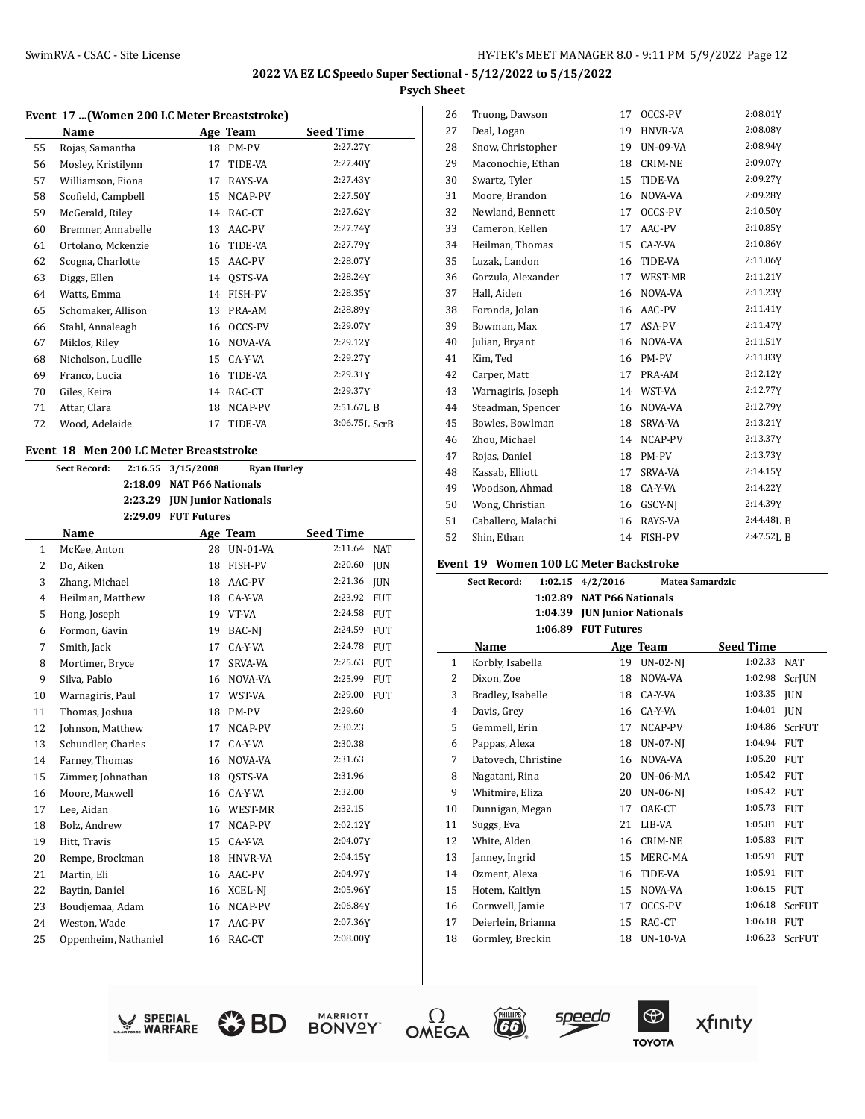#### **Event 17 ...(Women 200 LC Meter Breaststroke)**

| Name               |    |                | <b>Seed Time</b> |
|--------------------|----|----------------|------------------|
| Rojas, Samantha    | 18 | PM-PV          | 2:27.27Y         |
| Mosley, Kristilynn | 17 | TIDE-VA        | 2:27.40Y         |
| Williamson, Fiona  | 17 | RAYS-VA        | 2:27.43Y         |
| Scofield, Campbell | 15 | NCAP-PV        | 2:27.50Y         |
| McGerald, Riley    | 14 | RAC-CT         | 2:27.62Y         |
| Bremner, Annabelle | 13 | AAC-PV         | 2:27.74Y         |
| Ortolano, Mckenzie | 16 | TIDE-VA        | 2:27.79Y         |
| Scogna, Charlotte  | 15 | AAC-PV         | 2:28.07Y         |
| Diggs, Ellen       | 14 | OSTS-VA        | 2:28.24Y         |
| Watts, Emma        | 14 | <b>FISH-PV</b> | 2:28.35Y         |
| Schomaker, Allison | 13 | PRA-AM         | 2:28.89Y         |
| Stahl, Annaleagh   | 16 | OCCS-PV        | 2:29.07Y         |
| Miklos, Riley      | 16 | NOVA-VA        | 2:29.12Y         |
| Nicholson, Lucille | 15 | CA-Y-VA        | 2:29.27Y         |
| Franco, Lucia      | 16 | TIDE-VA        | 2:29.31Y         |
| Giles, Keira       | 14 | RAC-CT         | 2:29.37Y         |
| Attar, Clara       | 18 | NCAP-PV        | 2:51.67LB        |
| Wood, Adelaide     | 17 | TIDE-VA        | 3:06.75L ScrB    |
|                    |    |                | Age Team         |

#### **Event 18 Men 200 LC Meter Breaststroke**

|                | <b>Sect Record:</b>  | 2:16.55 | 3/15/2008                    | <b>Ryan Hurley</b> |                       |
|----------------|----------------------|---------|------------------------------|--------------------|-----------------------|
|                |                      | 2:18.09 | <b>NAT P66 Nationals</b>     |                    |                       |
|                |                      |         | 2:23.29 JUN Junior Nationals |                    |                       |
|                |                      |         | 2:29.09 FUT Futures          |                    |                       |
|                | Name                 |         |                              | Age Team           | <b>Seed Time</b>      |
| $\mathbf{1}$   | McKee, Anton         |         | 28                           | <b>UN-01-VA</b>    | 2:11.64<br><b>NAT</b> |
| $\overline{2}$ | Do, Aiken            |         | 18                           | FISH-PV            | 2:20.60<br>JUN        |
| 3              | Zhang, Michael       |         | 18                           | AAC-PV             | 2:21.36<br><b>IUN</b> |
| $\overline{4}$ | Heilman, Matthew     |         | 18                           | CA-Y-VA            | 2:23.92<br><b>FUT</b> |
| 5              | Hong, Joseph         |         |                              | 19 VT-VA           | 2:24.58<br><b>FUT</b> |
| 6              | Formon, Gavin        |         | 19                           | BAC-NJ             | 2:24.59<br><b>FUT</b> |
| 7              | Smith, Jack          |         | 17                           | CA-Y-VA            | 2:24.78<br>FUT        |
| 8              | Mortimer, Bryce      |         | 17                           | <b>SRVA-VA</b>     | 2:25.63<br><b>FUT</b> |
| 9              | Silva, Pablo         |         | 16                           | NOVA-VA            | 2:25.99<br><b>FUT</b> |
| 10             | Warnagiris, Paul     |         | 17                           | WST-VA             | 2:29.00<br><b>FUT</b> |
| 11             | Thomas, Joshua       |         | 18                           | PM-PV              | 2:29.60               |
| 12             | Johnson, Matthew     |         | 17                           | NCAP-PV            | 2:30.23               |
| 13             | Schundler, Charles   |         | 17                           | CA-Y-VA            | 2:30.38               |
| 14             | Farney, Thomas       |         | 16                           | NOVA-VA            | 2:31.63               |
| 15             | Zimmer, Johnathan    |         | 18                           | OSTS-VA            | 2:31.96               |
| 16             | Moore, Maxwell       |         | 16                           | CA-Y-VA            | 2:32.00               |
| 17             | Lee, Aidan           |         | 16                           | WEST-MR            | 2:32.15               |
| 18             | Bolz, Andrew         |         | 17                           | NCAP-PV            | 2:02.12Y              |
| 19             | Hitt, Travis         |         | 15                           | CA-Y-VA            | 2:04.07Y              |
| 20             | Rempe, Brockman      |         | 18                           | <b>HNVR-VA</b>     | 2:04.15Y              |
| 21             | Martin, Eli          |         | 16                           | AAC-PV             | 2:04.97Y              |
| 22             | Baytin, Daniel       |         | 16                           | XCEL-NJ            | 2:05.96Y              |
| 23             | Boudjemaa, Adam      |         | 16                           | NCAP-PV            | 2:06.84Y              |
| 24             | Weston, Wade         |         | 17                           | AAC-PV             | 2:07.36Y              |
| 25             | Oppenheim, Nathaniel |         | 16                           | RAC-CT             | 2:08.00Y              |
|                |                      |         |                              |                    |                       |

| 26 | Truong, Dawson     | 17 | OCCS-PV        | 2:08.01Y  |
|----|--------------------|----|----------------|-----------|
| 27 | Deal, Logan        | 19 | <b>HNVR-VA</b> | 2:08.08Y  |
| 28 | Snow, Christopher  | 19 | UN-09-VA       | 2:08.94Y  |
| 29 | Maconochie, Ethan  | 18 | <b>CRIM-NE</b> | 2:09.07Y  |
| 30 | Swartz, Tyler      | 15 | TIDE-VA        | 2:09.27Y  |
| 31 | Moore, Brandon     | 16 | NOVA-VA        | 2:09.28Y  |
| 32 | Newland, Bennett   | 17 | OCCS-PV        | 2:10.50Y  |
| 33 | Cameron, Kellen    | 17 | AAC-PV         | 2:10.85Y  |
| 34 | Heilman, Thomas    | 15 | CA-Y-VA        | 2:10.86Y  |
| 35 | Luzak, Landon      | 16 | TIDE-VA        | 2:11.06Y  |
| 36 | Gorzula, Alexander | 17 | WEST-MR        | 2:11.21Y  |
| 37 | Hall, Aiden        | 16 | NOVA-VA        | 2:11.23Y  |
| 38 | Foronda, Jolan     | 16 | AAC-PV         | 2:11.41Y  |
| 39 | Bowman, Max        | 17 | ASA-PV         | 2:11.47Y  |
| 40 | Julian, Bryant     | 16 | NOVA-VA        | 2:11.51Y  |
| 41 | Kim, Ted           | 16 | PM-PV          | 2:11.83Y  |
| 42 | Carper, Matt       | 17 | PRA-AM         | 2:12.12Y  |
| 43 | Warnagiris, Joseph | 14 | WST-VA         | 2:12.77Y  |
| 44 | Steadman, Spencer  | 16 | NOVA-VA        | 2:12.79Y  |
| 45 | Bowles, Bowlman    | 18 | <b>SRVA-VA</b> | 2:13.21Y  |
| 46 | Zhou, Michael      | 14 | NCAP-PV        | 2:13.37Y  |
| 47 | Rojas, Daniel      | 18 | PM-PV          | 2:13.73Y  |
| 48 | Kassab, Elliott    | 17 | SRVA-VA        | 2:14.15Y  |
| 49 | Woodson, Ahmad     | 18 | CA-Y-VA        | 2:14.22Y  |
| 50 | Wong, Christian    | 16 | GSCY-NJ        | 2:14.39Y  |
| 51 | Caballero, Malachi | 16 | RAYS-VA        | 2:44.48LB |
| 52 | Shin, Ethan        | 14 | FISH-PV        | 2:47.52LB |
|    |                    |    |                |           |

#### **Event 19 Women 100 LC Meter Backstroke**

|    | <b>Sect Record:</b> | 1:02.15 | 4/2/2016                    | <b>Matea Samardzic</b> |                  |               |
|----|---------------------|---------|-----------------------------|------------------------|------------------|---------------|
|    |                     | 1:02.89 | <b>NAT P66 Nationals</b>    |                        |                  |               |
|    |                     | 1:04.39 | <b>JUN Junior Nationals</b> |                        |                  |               |
|    |                     | 1:06.89 | <b>FUT Futures</b>          |                        |                  |               |
|    | Name                |         |                             | Age Team               | <b>Seed Time</b> |               |
| 1  | Korbly, Isabella    |         | 19                          | <b>UN-02-NI</b>        | 1:02.33          | <b>NAT</b>    |
| 2  | Dixon, Zoe          |         | 18                          | NOVA-VA                | 1:02.98          | <b>ScrIUN</b> |
| 3  | Bradley, Isabelle   |         | 18                          | CA-Y-VA                | 1:03.35          | <b>JUN</b>    |
| 4  | Davis, Grey         |         | 16                          | CA-Y-VA                | 1:04.01          | <b>JUN</b>    |
| 5  | Gemmell, Erin       |         | 17                          | NCAP-PV                | 1:04.86          | ScrFUT        |
| 6  | Pappas, Alexa       |         | 18                          | <b>UN-07-NI</b>        | 1:04.94          | <b>FUT</b>    |
| 7  | Datovech, Christine |         | 16                          | NOVA-VA                | 1:05.20          | <b>FUT</b>    |
| 8  | Nagatani, Rina      |         | 20                          | <b>UN-06-MA</b>        | 1:05.42          | <b>FUT</b>    |
| 9  | Whitmire, Eliza     |         | 20                          | <b>UN-06-NJ</b>        | 1:05.42          | <b>FUT</b>    |
| 10 | Dunnigan, Megan     |         | 17                          | OAK-CT                 | 1:05.73          | <b>FUT</b>    |
| 11 | Suggs, Eva          |         | 21                          | LIB-VA                 | 1:05.81          | <b>FUT</b>    |
| 12 | White, Alden        |         | 16                          | CRIM-NE                | 1:05.83          | <b>FUT</b>    |
| 13 | Janney, Ingrid      |         | 15                          | MERC-MA                | 1:05.91          | <b>FUT</b>    |
| 14 | Ozment, Alexa       |         | 16                          | TIDE-VA                | 1:05.91          | <b>FUT</b>    |
| 15 | Hotem, Kaitlyn      |         | 15                          | NOVA-VA                | 1:06.15          | <b>FUT</b>    |
| 16 | Cornwell, Jamie     |         | 17                          | OCCS-PV                | 1:06.18          | ScrFUT        |
| 17 | Deierlein, Brianna  |         | 15                          | RAC-CT                 | 1:06.18          | <b>FUT</b>    |
| 18 | Gormley, Breckin    |         | 18                          | <b>UN-10-VA</b>        | 1:06.23          | ScrFUT        |
|    |                     |         |                             |                        |                  |               |











 $\sqrt{66}$ 



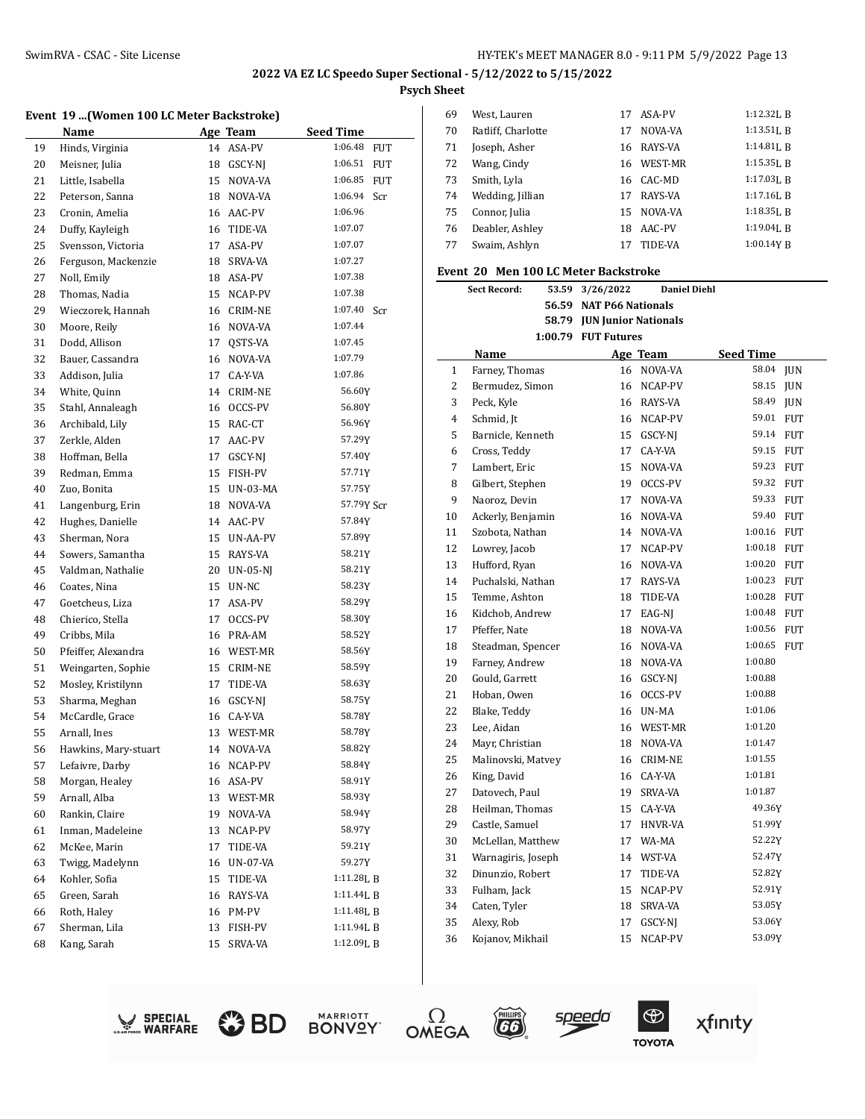$\overline{a}$ 

### **Event 19 ...(Women 100 LC Meter Backstroke)**

|    | LV CIIL 17<br>TURNED TOO BE METER BUCKSTEDING |    |                |                       |
|----|-----------------------------------------------|----|----------------|-----------------------|
|    | Name                                          |    | Age Team       | <b>Seed Time</b>      |
| 19 | Hinds, Virginia                               | 14 | ASA-PV         | 1:06.48<br><b>FUT</b> |
| 20 | Meisner, Julia                                | 18 | GSCY-NJ        | 1:06.51<br>FUT        |
| 21 | Little, Isabella                              | 15 | NOVA-VA        | 1:06.85<br>FUT        |
| 22 | Peterson, Sanna                               | 18 | NOVA-VA        | 1:06.94<br>Scr        |
| 23 | Cronin, Amelia                                | 16 | AAC-PV         | 1:06.96               |
| 24 | Duffy, Kayleigh                               | 16 | TIDE-VA        | 1:07.07               |
| 25 | Svensson, Victoria                            | 17 | ASA-PV         | 1:07.07               |
| 26 | Ferguson, Mackenzie                           | 18 | SRVA-VA        | 1:07.27               |
| 27 | Noll, Emily                                   | 18 | ASA-PV         | 1:07.38               |
| 28 | Thomas, Nadia                                 | 15 | NCAP-PV        | 1:07.38               |
| 29 | Wieczorek, Hannah                             | 16 | CRIM-NE        | 1:07.40<br>Scr        |
| 30 | Moore, Reily                                  | 16 | NOVA-VA        | 1:07.44               |
| 31 | Dodd, Allison                                 | 17 | QSTS-VA        | 1:07.45               |
| 32 | Bauer, Cassandra                              | 16 | NOVA-VA        | 1:07.79               |
| 33 | Addison, Julia                                | 17 | CA-Y-VA        | 1:07.86               |
| 34 | White, Quinn                                  | 14 | <b>CRIM-NE</b> | 56.60Y                |
| 35 | Stahl, Annaleagh                              |    | 16 OCCS-PV     | 56.80Y                |
| 36 | Archibald, Lily                               | 15 | RAC-CT         | 56.96Y                |
| 37 | Zerkle, Alden                                 | 17 | AAC-PV         | 57.29Y                |
| 38 | Hoffman, Bella                                | 17 | GSCY-NJ        | 57.40Y                |
| 39 | Redman, Emma                                  | 15 | FISH-PV        | 57.71Y                |
| 40 | Zuo, Bonita                                   | 15 | UN-03-MA       | 57.75Y                |
| 41 | Langenburg, Erin                              | 18 | NOVA-VA        | 57.79Y Scr            |
| 42 | Hughes, Danielle                              | 14 | AAC-PV         | 57.84Y                |
| 43 | Sherman, Nora                                 | 15 | UN-AA-PV       | 57.89Y                |
| 44 | Sowers, Samantha                              | 15 | RAYS-VA        | 58.21Y                |
| 45 | Valdman, Nathalie                             | 20 | UN-05-NJ       | 58.21Y                |
| 46 | Coates, Nina                                  | 15 | UN-NC          | 58.23Y                |
| 47 | Goetcheus, Liza                               | 17 | ASA-PV         | 58.29Y                |
| 48 | Chierico, Stella                              | 17 | OCCS-PV        | 58.30Y                |
| 49 | Cribbs, Mila                                  | 16 | PRA-AM         | 58.52Y                |
| 50 | Pfeiffer, Alexandra                           | 16 | WEST-MR        | 58.56Y                |
| 51 | Weingarten, Sophie                            | 15 | CRIM-NE        | 58.59Y                |
| 52 | Mosley, Kristilynn                            | 17 | TIDE-VA        | 58.63Y                |
| 53 | Sharma, Meghan                                | 16 | GSCY-NJ        | 58.75Y                |
| 54 | McCardle, Grace                               | 16 | CA-Y-VA        | 58.78Y                |
| 55 | Arnall, Ines                                  | 13 | WEST-MR        | 58.78Y                |
| 56 | Hawkins, Mary-stuart                          |    | 14 NOVA-VA     | 58.82Y                |
| 57 | Lefaivre, Darby                               | 16 | NCAP-PV        | 58.84Y                |
| 58 | Morgan, Healey                                | 16 | ASA-PV         | 58.91Y                |
| 59 | Arnall, Alba                                  | 13 | WEST-MR        | 58.93Y                |
| 60 | Rankin, Claire                                | 19 | NOVA-VA        | 58.94Y                |
| 61 | Inman, Madeleine                              | 13 | NCAP-PV        | 58.97Y                |
| 62 | McKee, Marin                                  | 17 | TIDE-VA        | 59.21Y                |
| 63 | Twigg, Madelynn                               | 16 | UN-07-VA       | 59.27Y                |
| 64 | Kohler, Sofia                                 | 15 | TIDE-VA        | 1:11.28L B            |
| 65 | Green, Sarah                                  | 16 | RAYS-VA        | 1:11.44LB             |
| 66 | Roth, Haley                                   | 16 | PM-PV          | 1:11.48L B            |
| 67 | Sherman, Lila                                 | 13 | FISH-PV        | 1:11.94L B            |
| 68 | Kang, Sarah                                   | 15 | SRVA-VA        | 1:12.09LB             |
|    |                                               |    |                |                       |

| 69 | West, Lauren       | 17 | ASA-PV         | $1:12.32$ I. R |
|----|--------------------|----|----------------|----------------|
| 70 | Ratliff, Charlotte | 17 | NOVA-VA        | $1:13.51$ , R  |
| 71 | Joseph, Asher      | 16 | RAYS-VA        | $1:14.81$ , B  |
| 72 | Wang, Cindy        | 16 | <b>WEST-MR</b> | $1:15.35$ , R  |
| 73 | Smith, Lyla        |    | 16 CAC-MD      | $1:17.03$ J. R |
| 74 | Wedding, Jillian   | 17 | RAYS-VA        | $1:17.16$ , B  |
| 75 | Connor, Julia      | 15 | NOVA-VA        | $1:18.35$ , B  |
| 76 | Deabler, Ashley    | 18 | AAC-PV         | $1:19.04$ J. R |
| 77 | Swaim, Ashlyn      | 17 | TIDE-VA        | 1:00.14Y B     |

# **Event 20 Men 100 LC Meter Backstroke**

|                | <b>Sect Record:</b><br>53.59 | 3/26/2022                         | <b>Daniel Diehl</b> |                  |            |
|----------------|------------------------------|-----------------------------------|---------------------|------------------|------------|
|                |                              | 56.59 NAT P66 Nationals           |                     |                  |            |
|                |                              | 58.79 <b>JUN Junior Nationals</b> |                     |                  |            |
|                |                              | 1:00.79 FUT Futures               |                     |                  |            |
|                | Name                         |                                   | Age Team            | <b>Seed Time</b> |            |
| $\mathbf{1}$   | Farney, Thomas               |                                   | 16 NOVA-VA          | 58.04            | <b>JUN</b> |
| $\overline{2}$ | Bermudez, Simon              |                                   | 16 NCAP-PV          | 58.15            | <b>JUN</b> |
| 3              | Peck, Kyle                   |                                   | 16 RAYS-VA          | 58.49            | <b>JUN</b> |
| $\overline{4}$ | Schmid, Jt                   |                                   | 16 NCAP-PV          | 59.01 FUT        |            |
| 5              | Barnicle, Kenneth            | 15                                | GSCY-NJ             | 59.14 FUT        |            |
| 6              | Cross, Teddy                 | 17                                | CA-Y-VA             | 59.15            | <b>FUT</b> |
| 7              | Lambert, Eric                | 15                                | NOVA-VA             | 59.23            | <b>FUT</b> |
| 8              | Gilbert, Stephen             | 19                                | OCCS-PV             | 59.32 FUT        |            |
| 9              | Naoroz, Devin                | 17                                | NOVA-VA             | 59.33 FUT        |            |
| 10             | Ackerly, Benjamin            | 16                                | NOVA-VA             | 59.40            | <b>FUT</b> |
| 11             | Szobota, Nathan              | 14                                | NOVA-VA             | 1:00.16          | <b>FUT</b> |
| 12             | Lowrey, Jacob                | 17                                | NCAP-PV             | 1:00.18 FUT      |            |
| 13             | Hufford, Ryan                |                                   | 16 NOVA-VA          | 1:00.20 FUT      |            |
| 14             | Puchalski. Nathan            | 17                                | RAYS-VA             | 1:00.23 FUT      |            |
| 15             | Temme, Ashton                | 18                                | TIDE-VA             | 1:00.28          | <b>FUT</b> |
| 16             | Kidchob, Andrew              | 17                                | EAG-NJ              | 1:00.48 FUT      |            |
| 17             | Pfeffer, Nate                | 18                                | NOVA-VA             | 1:00.56 FUT      |            |
| 18             | Steadman, Spencer            | 16                                | NOVA-VA             | 1:00.65          | <b>FUT</b> |
| 19             | Farney, Andrew               |                                   | 18 NOVA-VA          | 1:00.80          |            |
| 20             | Gould, Garrett               | 16                                | GSCY-NJ             | 1:00.88          |            |
| 21             | Hoban, Owen                  | 16                                | OCCS-PV             | 1:00.88          |            |
| 22             | Blake, Teddy                 |                                   | 16 UN-MA            | 1:01.06          |            |
| 23             | Lee, Aidan                   |                                   | 16 WEST-MR          | 1:01.20          |            |
| 24             | Mayr, Christian              |                                   | 18 NOVA-VA          | 1:01.47          |            |
| 25             | Malinovski, Matvey           |                                   | 16 CRIM-NE          | 1:01.55          |            |
| 26             | King, David                  |                                   | 16 CA-Y-VA          | 1:01.81          |            |
| 27             | Datovech, Paul               | 19                                | SRVA-VA             | 1:01.87          |            |
| 28             | Heilman, Thomas              | 15                                | CA-Y-VA             | 49.36Y           |            |
| 29             | Castle, Samuel               | 17                                | <b>HNVR-VA</b>      | 51.99Y           |            |
| 30             | McLellan, Matthew            | 17                                | WA-MA               | 52.22Y           |            |
| 31             | Warnagiris, Joseph           | 14                                | WST-VA              | 52.47Y           |            |
| 32             | Dinunzio, Robert             | 17                                | TIDE-VA             | 52.82Y           |            |
| 33             | Fulham, Jack                 | 15                                | NCAP-PV             | 52.91Y           |            |
| 34             | Caten, Tyler                 |                                   | 18 SRVA-VA          | 53.05Y           |            |
| 35             | Alexy, Rob                   | 17                                | GSCY-NI             | 53.06Y           |            |
| 36             | Kojanov, Mikhail             | 15                                | NCAP-PV             | 53.09Y           |            |











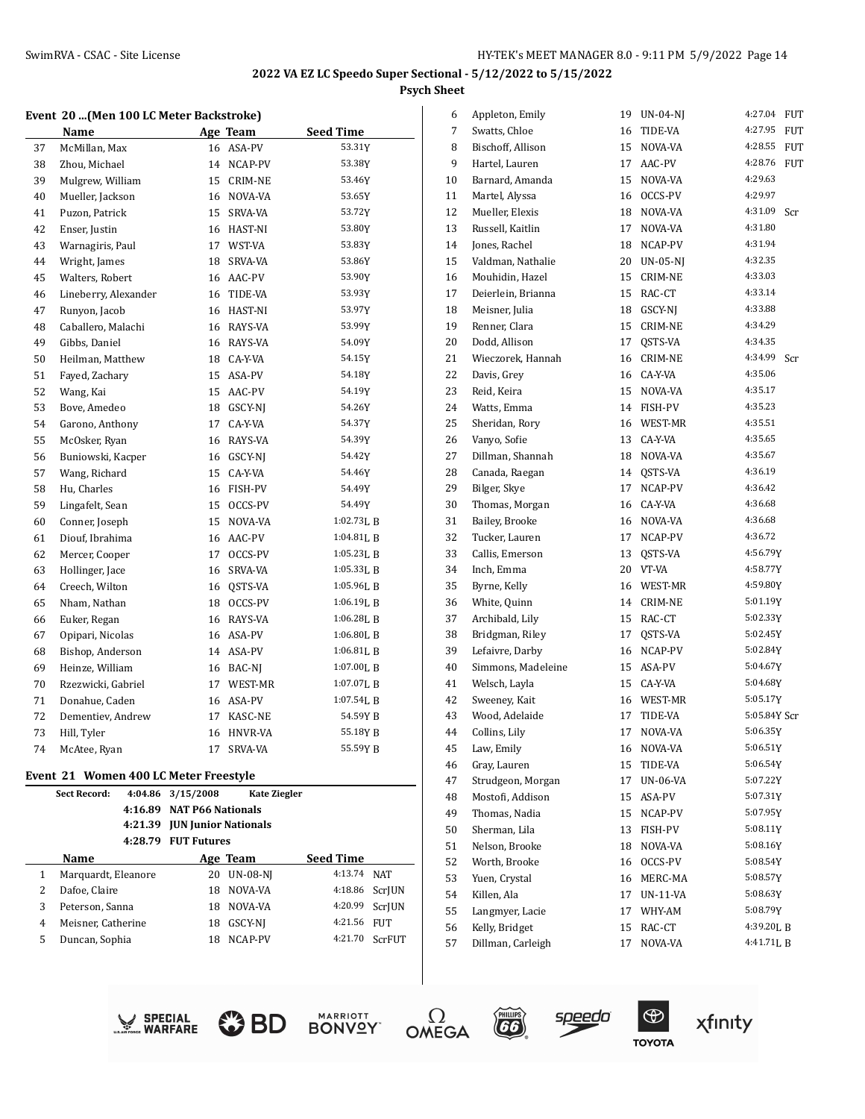#### **Event 20 ...(Men 100 LC Meter Backstroke)**

|    | Name                 |    | Age Team       | <b>Seed Time</b>         |
|----|----------------------|----|----------------|--------------------------|
| 37 | McMillan, Max        | 16 | ASA-PV         | 53.31Y                   |
| 38 | Zhou, Michael        | 14 | NCAP-PV        | 53.38Y                   |
| 39 | Mulgrew, William     | 15 | <b>CRIM-NE</b> | 53.46Y                   |
| 40 | Mueller, Jackson     | 16 | NOVA-VA        | 53.65Y                   |
| 41 | Puzon, Patrick       | 15 | SRVA-VA        | 53.72Y                   |
| 42 | Enser, Justin        | 16 | HAST-NI        | 53.80Y                   |
| 43 | Warnagiris, Paul     | 17 | WST-VA         | 53.83Y                   |
| 44 | Wright, James        | 18 | SRVA-VA        | 53.86Y                   |
| 45 | Walters, Robert      | 16 | AAC-PV         | 53.90Y                   |
| 46 | Lineberry, Alexander | 16 | TIDE-VA        | 53.93Y                   |
| 47 | Runyon, Jacob        | 16 | HAST-NI        | 53.97Y                   |
| 48 | Caballero, Malachi   | 16 | RAYS-VA        | 53.99Y                   |
| 49 | Gibbs, Daniel        | 16 | RAYS-VA        | 54.09Y                   |
| 50 | Heilman, Matthew     | 18 | CA-Y-VA        | 54.15Y                   |
| 51 | Fayed, Zachary       | 15 | ASA-PV         | 54.18Y                   |
| 52 | Wang, Kai            | 15 | AAC-PV         | 54.19Y                   |
| 53 | Bove, Amedeo         | 18 | GSCY-NI        | 54.26Y                   |
| 54 | Garono, Anthony      | 17 | CA-Y-VA        | 54.37Y                   |
| 55 | McOsker, Ryan        | 16 | RAYS-VA        | 54.39Y                   |
| 56 | Buniowski, Kacper    | 16 | GSCY-NJ        | 54.42Y                   |
| 57 | Wang, Richard        | 15 | CA-Y-VA        | 54.46Y                   |
| 58 | Hu, Charles          | 16 | FISH-PV        | 54.49Y                   |
| 59 | Lingafelt, Sean      | 15 | OCCS-PV        | 54.49Y                   |
| 60 | Conner, Joseph       | 15 | NOVA-VA        | $1:02.73$ J, B           |
| 61 | Diouf, Ibrahima      | 16 | AAC-PV         | $1:04.81$ [, B           |
| 62 | Mercer, Cooper       | 17 | OCCS-PV        | 1:05.23LB                |
| 63 | Hollinger, Jace      | 16 | SRVA-VA        | 1:05.33LB                |
| 64 | Creech, Wilton       | 16 | QSTS-VA        | 1:05.96LB                |
| 65 | Nham, Nathan         | 18 | OCCS-PV        | 1:06.19LB                |
| 66 | Euker, Regan         | 16 | RAYS-VA        | 1:06.28LB                |
| 67 | Opipari, Nicolas     | 16 | ASA-PV         | $1:06.80$ <sub>L</sub> B |
| 68 | Bishop, Anderson     | 14 | ASA-PV         | 1:06.81LB                |
| 69 | Heinze, William      | 16 | BAC-NJ         | 1:07.00LB                |
| 70 | Rzezwicki, Gabriel   | 17 | WEST-MR        | 1:07.07LB                |
| 71 | Donahue, Caden       | 16 | ASA-PV         | 1:07.54LB                |
| 72 | Dementiev, Andrew    | 17 | KASC-NE        | 54.59Y B                 |
| 73 | Hill, Tyler          | 16 | <b>HNVR-VA</b> | 55.18Y B                 |
| 74 | McAtee, Ryan         | 17 | SRVA-VA        | 55.59Y B                 |

#### **Event 21 Women 400 LC Meter Freestyle**

|   | <b>Sect Record:</b> | 4:04.86 | 3/15/2008                | <b>Kate Ziegler</b>                 |           |               |
|---|---------------------|---------|--------------------------|-------------------------------------|-----------|---------------|
|   |                     | 4:16.89 | <b>NAT P66 Nationals</b> |                                     |           |               |
|   |                     |         |                          | 4:21.39 <b>JUN</b> Junior Nationals |           |               |
|   |                     | 4:28.79 | <b>FUT Futures</b>       |                                     |           |               |
|   | Name                |         |                          | Age Team                            | Seed Time |               |
| 1 | Marquardt, Eleanore |         | 20                       | <b>UN-08-NJ</b>                     | 4:13.74   | NAT           |
| 2 | Dafoe, Claire       |         | 18                       | NOVA-VA                             | 4:18.86   | ScrIUN        |
| 3 | Peterson, Sanna     |         | 18                       | NOVA-VA                             | 4:20.99   | <b>ScrIUN</b> |
| 4 | Meisner, Catherine  |         | 18                       | GSCY-NI                             | 4:21.56   | FUT           |
| 5 | Duncan, Sophia      |         | 18                       | NCAP-PV                             | 4:21.70   | ScrFUT        |
|   |                     |         |                          |                                     |           |               |

| 6  | Appleton, Emily    | 19 | UN-04-NJ        | 4:27.04      | FUT        |
|----|--------------------|----|-----------------|--------------|------------|
| 7  | Swatts, Chloe      | 16 | TIDE-VA         | 4:27.95      | <b>FUT</b> |
| 8  | Bischoff, Allison  | 15 | NOVA-VA         | 4:28.55      | <b>FUT</b> |
| 9  | Hartel, Lauren     | 17 | AAC-PV          | 4:28.76      | FUT        |
| 10 | Barnard, Amanda    | 15 | NOVA-VA         | 4:29.63      |            |
| 11 | Martel, Alyssa     | 16 | OCCS-PV         | 4:29.97      |            |
| 12 | Mueller, Elexis    | 18 | NOVA-VA         | 4:31.09      | Scr        |
| 13 | Russell, Kaitlin   | 17 | NOVA-VA         | 4:31.80      |            |
| 14 | Jones, Rachel      | 18 | NCAP-PV         | 4:31.94      |            |
| 15 | Valdman, Nathalie  | 20 | <b>UN-05-NJ</b> | 4:32.35      |            |
| 16 | Mouhidin, Hazel    | 15 | <b>CRIM-NE</b>  | 4:33.03      |            |
| 17 | Deierlein, Brianna | 15 | RAC-CT          | 4:33.14      |            |
| 18 | Meisner, Julia     | 18 | GSCY-NJ         | 4:33.88      |            |
| 19 | Renner, Clara      | 15 | <b>CRIM-NE</b>  | 4:34.29      |            |
| 20 | Dodd, Allison      | 17 | QSTS-VA         | 4:34.35      |            |
| 21 | Wieczorek, Hannah  | 16 | CRIM-NE         | 4:34.99      | Scr        |
| 22 | Davis, Grey        | 16 | CA-Y-VA         | 4:35.06      |            |
| 23 | Reid, Keira        | 15 | NOVA-VA         | 4:35.17      |            |
| 24 | Watts, Emma        | 14 | <b>FISH-PV</b>  | 4:35.23      |            |
| 25 | Sheridan, Rory     | 16 | WEST-MR         | 4:35.51      |            |
| 26 | Vanyo, Sofie       | 13 | CA-Y-VA         | 4:35.65      |            |
| 27 | Dillman, Shannah   | 18 | NOVA-VA         | 4:35.67      |            |
| 28 | Canada, Raegan     | 14 | QSTS-VA         | 4:36.19      |            |
| 29 | Bilger, Skye       | 17 | NCAP-PV         | 4:36.42      |            |
| 30 | Thomas, Morgan     | 16 | CA-Y-VA         | 4:36.68      |            |
| 31 | Bailey, Brooke     | 16 | NOVA-VA         | 4:36.68      |            |
| 32 | Tucker, Lauren     | 17 | NCAP-PV         | 4:36.72      |            |
| 33 | Callis, Emerson    | 13 | QSTS-VA         | 4:56.79Y     |            |
| 34 | Inch, Emma         | 20 | VT-VA           | 4:58.77Y     |            |
| 35 | Byrne, Kelly       | 16 | WEST-MR         | 4:59.80Y     |            |
| 36 | White, Quinn       | 14 | <b>CRIM-NE</b>  | 5:01.19Y     |            |
| 37 | Archibald, Lily    | 15 | RAC-CT          | 5:02.33Y     |            |
| 38 | Bridgman, Riley    | 17 | QSTS-VA         | 5:02.45Y     |            |
| 39 | Lefaivre, Darby    | 16 | NCAP-PV         | 5:02.84Y     |            |
| 40 | Simmons, Madeleine | 15 | ASA-PV          | 5:04.67Y     |            |
| 41 | Welsch, Layla      | 15 | CA-Y-VA         | 5:04.68Y     |            |
| 42 | Sweeney, Kait      | 16 | WEST-MR         | 5:05.17Y     |            |
| 43 | Wood, Adelaide     | 17 | TIDE-VA         | 5:05.84Y Scr |            |
| 44 | Collins, Lily      | 17 | NOVA-VA         | 5:06.35Y     |            |
| 45 | Law, Emily         | 16 | NOVA-VA         | 5:06.51Y     |            |
| 46 | Gray, Lauren       | 15 | TIDE-VA         | 5:06.54Y     |            |
| 47 | Strudgeon, Morgan  | 17 | UN-06-VA        | 5:07.22Y     |            |
| 48 | Mostofi, Addison   | 15 | ASA-PV          | 5:07.31Y     |            |
| 49 | Thomas, Nadia      | 15 | NCAP-PV         | 5:07.95Y     |            |
| 50 | Sherman, Lila      | 13 | FISH-PV         | 5:08.11Y     |            |
| 51 | Nelson, Brooke     | 18 | NOVA-VA         | 5:08.16Y     |            |
| 52 | Worth, Brooke      | 16 | OCCS-PV         | 5:08.54Y     |            |
| 53 | Yuen, Crystal      | 16 | MERC-MA         | 5:08.57Y     |            |
| 54 | Killen, Ala        | 17 | UN-11-VA        | 5:08.63Y     |            |
| 55 | Langmyer, Lacie    | 17 | WHY-AM          | 5:08.79Y     |            |
| 56 | Kelly, Bridget     | 15 | RAC-CT          | 4:39.20LB    |            |
| 57 | Dillman, Carleigh  | 17 | NOVA-VA         | 4:41.71L B   |            |
|    |                    |    |                 |              |            |













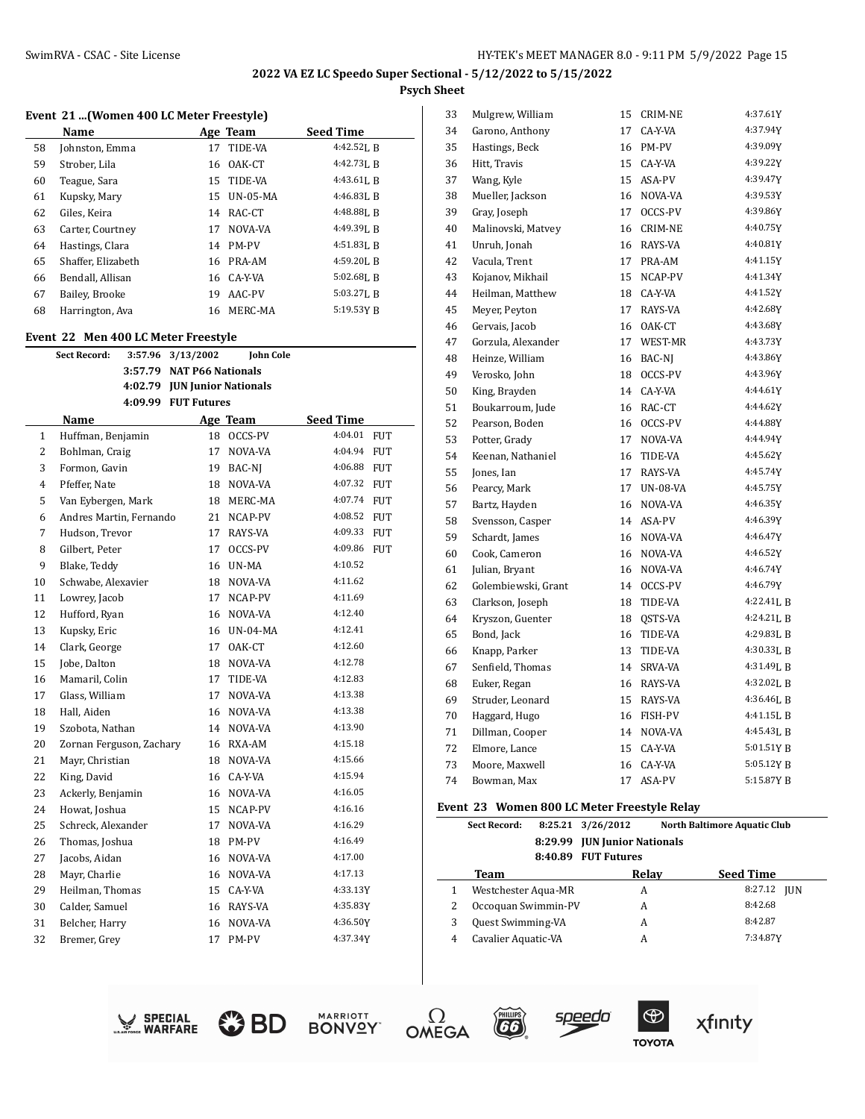# **Event 21 ...(Women 400 LC Meter Freestyle)**

|    | Name               |    | Age Team        | <b>Seed Time</b> |
|----|--------------------|----|-----------------|------------------|
| 58 | Johnston, Emma     | 17 | TIDE-VA         | $4:42.52$ , R    |
| 59 | Strober, Lila      | 16 | OAK-CT          | 4:42.73LB        |
| 60 | Teague, Sara       | 15 | TIDE-VA         | $4:43.61$ J, R   |
| 61 | Kupsky, Mary       | 15 | <b>UN-05-MA</b> | $4:46.83$ J, B   |
| 62 | Giles, Keira       | 14 | RAC-CT          | 4:48.88LB        |
| 63 | Carter, Courtney   | 17 | NOVA-VA         | 4:49.39J, R      |
| 64 | Hastings, Clara    | 14 | <b>PM-PV</b>    | $4:51.83$ J, R   |
| 65 | Shaffer, Elizabeth | 16 | PRA-AM          | $4:59.20$ . B    |
| 66 | Bendall, Allisan   |    | 16 CA-Y-VA      | $5:02.68$ LR     |
| 67 | Bailey, Brooke     | 19 | AAC-PV          | $5:03.27$ J. R   |
| 68 | Harrington, Ava    | 16 | MERC-MA         | $5:19.53Y$ R     |

# **Event 22 Men 400 LC Meter Freestyle**

|                | <b>Sect Record:</b>      | 3:57.96 3/13/2002            | <b>John Cole</b> |           |            |
|----------------|--------------------------|------------------------------|------------------|-----------|------------|
|                |                          | 3:57.79 NAT P66 Nationals    |                  |           |            |
|                |                          | 4:02.79 JUN Junior Nationals |                  |           |            |
|                |                          | 4:09.99 FUT Futures          |                  |           |            |
|                | Name                     |                              | Age Team         | Seed Time |            |
| $\mathbf{1}$   | Huffman, Benjamin        | 18                           | OCCS-PV          | 4:04.01   | <b>FUT</b> |
| 2              | Bohlman, Craig           | 17                           | NOVA-VA          | 4:04.94   | <b>FUT</b> |
| 3              | Formon, Gavin            | 19                           | BAC-NJ           | 4:06.88   | <b>FUT</b> |
| $\overline{4}$ | Pfeffer, Nate            | 18                           | NOVA-VA          | 4:07.32   | <b>FUT</b> |
| 5              | Van Eybergen, Mark       | 18                           | MERC-MA          | 4:07.74   | <b>FUT</b> |
| 6              | Andres Martin, Fernando  | 21                           | NCAP-PV          | 4:08.52   | <b>FUT</b> |
| 7              | Hudson, Trevor           | 17                           | RAYS-VA          | 4:09.33   | <b>FUT</b> |
| 8              | Gilbert, Peter           | 17                           | OCCS-PV          | 4:09.86   | <b>FUT</b> |
| 9              | Blake, Teddy             | 16                           | UN-MA            | 4:10.52   |            |
| 10             | Schwabe, Alexavier       | 18                           | NOVA-VA          | 4:11.62   |            |
| 11             | Lowrey, Jacob            | 17                           | NCAP-PV          | 4:11.69   |            |
| 12             | Hufford, Ryan            | 16                           | NOVA-VA          | 4:12.40   |            |
| 13             | Kupsky, Eric             | 16                           | $UN-04-MA$       | 4:12.41   |            |
| 14             | Clark, George            | 17                           | OAK-CT           | 4:12.60   |            |
| 15             | Jobe, Dalton             | 18                           | NOVA-VA          | 4:12.78   |            |
| 16             | Mamaril, Colin           | 17                           | TIDE-VA          | 4:12.83   |            |
| 17             | Glass, William           | 17                           | NOVA-VA          | 4:13.38   |            |
| 18             | Hall, Aiden              | 16                           | NOVA-VA          | 4:13.38   |            |
| 19             | Szobota, Nathan          | 14                           | NOVA-VA          | 4:13.90   |            |
| 20             | Zornan Ferguson, Zachary | 16                           | RXA-AM           | 4:15.18   |            |
| 21             | Mayr, Christian          | 18                           | NOVA-VA          | 4:15.66   |            |
| 22             | King, David              | 16                           | CA-Y-VA          | 4:15.94   |            |
| 23             | Ackerly, Benjamin        | 16                           | NOVA-VA          | 4:16.05   |            |
| 24             | Howat, Joshua            | 15                           | NCAP-PV          | 4:16.16   |            |
| 25             | Schreck, Alexander       | 17                           | NOVA-VA          | 4:16.29   |            |
| 26             | Thomas, Joshua           | 18                           | PM-PV            | 4:16.49   |            |
| 27             | Jacobs, Aidan            | 16                           | NOVA-VA          | 4:17.00   |            |
| 28             | Mayr, Charlie            | 16                           | NOVA-VA          | 4:17.13   |            |
| 29             | Heilman, Thomas          | 15                           | CA-Y-VA          | 4:33.13Y  |            |
| 30             | Calder, Samuel           | 16                           | RAYS-VA          | 4:35.83Y  |            |
| 31             | Belcher, Harry           | 16                           | NOVA-VA          | 4:36.50Y  |            |
| 32             | Bremer, Grey             | 17                           | PM-PV            | 4:37.34Y  |            |

| 33 | Mulgrew, William    | 15 | CRIM-NE         | 4:37.61Y    |
|----|---------------------|----|-----------------|-------------|
| 34 | Garono, Anthony     | 17 | CA-Y-VA         | 4:37.94Y    |
| 35 | Hastings, Beck      | 16 | PM-PV           | 4:39.09Y    |
| 36 | Hitt, Travis        | 15 | CA-Y-VA         | 4:39.22Y    |
| 37 | Wang, Kyle          | 15 | ASA-PV          | 4:39.47Y    |
| 38 | Mueller, Jackson    | 16 | NOVA-VA         | 4:39.53Y    |
| 39 | Gray, Joseph        | 17 | OCCS-PV         | 4:39.86Y    |
| 40 | Malinovski, Matvey  | 16 | <b>CRIM-NE</b>  | 4:40.75Y    |
| 41 | Unruh, Jonah        | 16 | RAYS-VA         | 4:40.81Y    |
| 42 | Vacula, Trent       | 17 | PRA-AM          | 4:41.15Y    |
| 43 | Kojanov, Mikhail    | 15 | NCAP-PV         | 4:41.34Y    |
| 44 | Heilman, Matthew    | 18 | CA-Y-VA         | 4:41.52Y    |
| 45 | Meyer, Peyton       | 17 | RAYS-VA         | 4:42.68Y    |
| 46 | Gervais, Jacob      | 16 | OAK-CT          | 4:43.68Y    |
| 47 | Gorzula, Alexander  | 17 | WEST-MR         | 4:43.73Y    |
| 48 | Heinze, William     | 16 | BAC-NJ          | 4:43.86Y    |
| 49 | Verosko, John       | 18 | OCCS-PV         | 4:43.96Y    |
| 50 | King, Brayden       | 14 | CA-Y-VA         | 4:44.61Y    |
| 51 | Boukarroum, Jude    | 16 | RAC-CT          | 4:44.62Y    |
| 52 | Pearson, Boden      | 16 | OCCS-PV         | 4:44.88Y    |
| 53 | Potter, Grady       | 17 | NOVA-VA         | 4:44.94Y    |
| 54 | Keenan, Nathaniel   | 16 | TIDE-VA         | 4:45.62Y    |
| 55 | Jones, Ian          | 17 | RAYS-VA         | 4:45.74Y    |
| 56 | Pearcy, Mark        | 17 | <b>UN-08-VA</b> | 4:45.75Y    |
| 57 | Bartz, Hayden       | 16 | NOVA-VA         | 4:46.35Y    |
| 58 | Svensson, Casper    | 14 | ASA-PV          | 4:46.39Y    |
| 59 | Schardt, James      | 16 | NOVA-VA         | 4:46.47Y    |
| 60 | Cook, Cameron       | 16 | NOVA-VA         | 4:46.52Y    |
| 61 | Julian, Bryant      | 16 | NOVA-VA         | 4:46.74Y    |
| 62 | Golembiewski, Grant | 14 | OCCS-PV         | 4:46.79Y    |
| 63 | Clarkson, Joseph    | 18 | TIDE-VA         | 4:22.41LB   |
| 64 | Kryszon, Guenter    | 18 | QSTS-VA         | 4:24.21LB   |
| 65 | Bond, Jack          | 16 | TIDE-VA         | 4:29.83L B  |
| 66 | Knapp, Parker       | 13 | TIDE-VA         | 4:30.33L B  |
| 67 | Senfield, Thomas    | 14 | SRVA-VA         | 4:31.49J, B |
| 68 | Euker, Regan        | 16 | RAYS-VA         | 4:32.02LB   |
| 69 | Struder, Leonard    | 15 | RAYS-VA         | 4:36.46LB   |
| 70 | Haggard, Hugo       | 16 | FISH-PV         | 4:41.15LB   |
| 71 | Dillman, Cooper     | 14 | NOVA-VA         | 4:45.43LB   |
| 72 | Elmore, Lance       | 15 | CA-Y-VA         | 5:01.51YB   |
| 73 | Moore, Maxwell      | 16 | CA-Y-VA         | 5:05.12Y B  |
| 74 | Bowman, Max         | 17 | ASA-PV          | 5:15.87Y B  |
|    |                     |    |                 |             |

#### **Event 23 Women 800 LC Meter Freestyle Relay**

|   | prent so rromen ovo borietti riecotric kentr |         |                              |                                     |  |  |  |  |
|---|----------------------------------------------|---------|------------------------------|-------------------------------------|--|--|--|--|
|   | <b>Sect Record:</b>                          |         | 8:25.21 3/26/2012            | <b>North Baltimore Aquatic Club</b> |  |  |  |  |
|   |                                              |         | 8:29.99 JUN Junior Nationals |                                     |  |  |  |  |
|   |                                              | 8:40.89 | <b>FUT Futures</b>           |                                     |  |  |  |  |
|   | Team                                         |         | Relay                        | <b>Seed Time</b>                    |  |  |  |  |
|   | Westchester Aqua-MR                          |         | A                            | 8:27.12<br><b>IUN</b>               |  |  |  |  |
| 2 | Occoquan Swimmin-PV                          |         | А                            | 8:42.68                             |  |  |  |  |
| 3 | <b>Quest Swimming-VA</b>                     |         | A                            | 8:42.87                             |  |  |  |  |
| 4 | Cavalier Aquatic-VA                          |         | А                            | 7:34.87Y                            |  |  |  |  |
|   |                                              |         |                              |                                     |  |  |  |  |













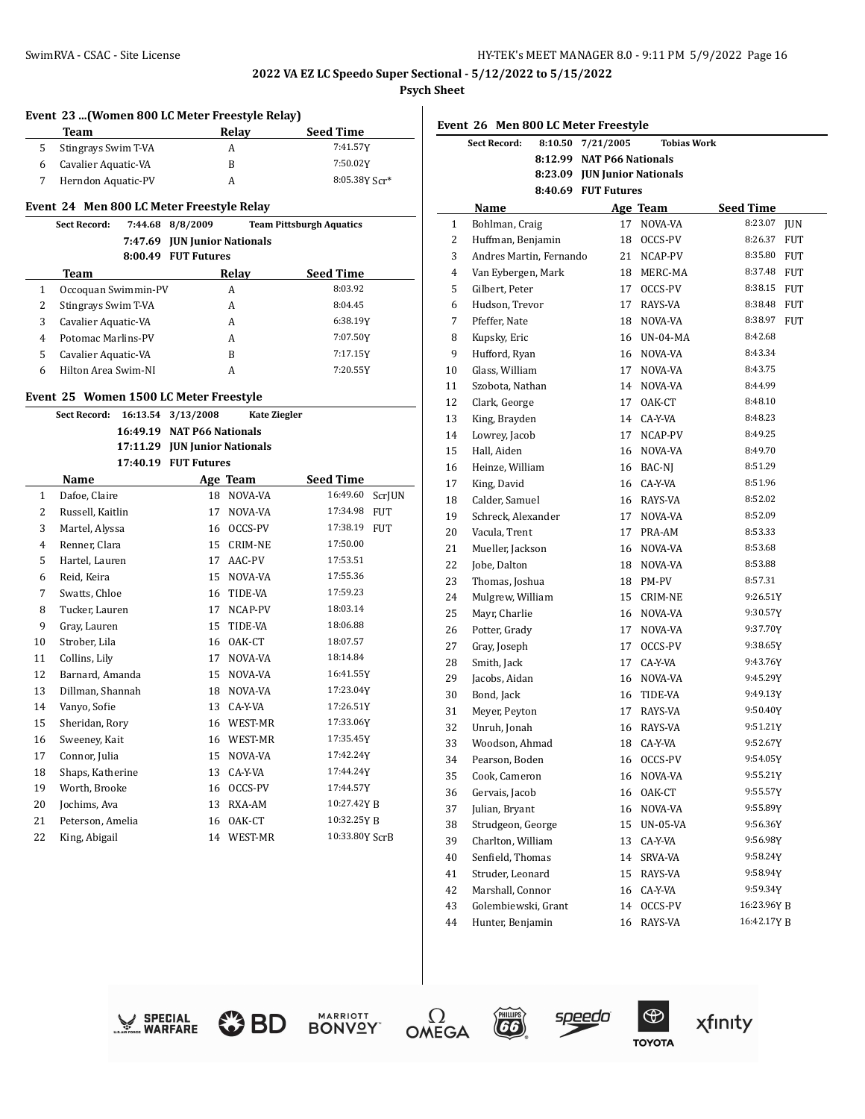**2022 VA EZ LC Speedo Super Sectional - 5/12/2022 to 5/15/2022**

**Psych Sheet**  $\overline{1}$ 

| Event 23  (Women 800 LC Meter Freestyle Relay) |                                           |  |                               |                     |                                 |               |  |
|------------------------------------------------|-------------------------------------------|--|-------------------------------|---------------------|---------------------------------|---------------|--|
|                                                | <b>Team</b>                               |  |                               | Relay               | <b>Seed Time</b>                |               |  |
| 5                                              | Stingrays Swim T-VA                       |  |                               | A                   | 7:41.57Y                        |               |  |
| 6                                              | Cavalier Aquatic-VA                       |  |                               | B                   | 7:50.02Y                        |               |  |
| 7                                              | Herndon Aquatic-PV                        |  |                               | A                   |                                 | 8:05.38Y Scr* |  |
|                                                | Event 24 Men 800 LC Meter Freestyle Relay |  |                               |                     |                                 |               |  |
|                                                | <b>Sect Record:</b>                       |  | 7:44.68 8/8/2009              |                     | <b>Team Pittsburgh Aquatics</b> |               |  |
|                                                |                                           |  | 7:47.69 JUN Junior Nationals  |                     |                                 |               |  |
|                                                |                                           |  | 8:00.49 FUT Futures           |                     |                                 |               |  |
|                                                | Team                                      |  |                               | <b>Relay</b>        | <b>Seed Time</b>                |               |  |
| $\mathbf{1}$                                   | Occoquan Swimmin-PV                       |  |                               | A                   | 8:03.92                         |               |  |
| 2                                              | Stingrays Swim T-VA                       |  |                               | A                   | 8:04.45                         |               |  |
| 3                                              | Cavalier Aquatic-VA                       |  |                               | A                   | 6:38.19Y                        |               |  |
| $\overline{4}$                                 | Potomac Marlins-PV                        |  |                               | A                   | 7:07.50Y                        |               |  |
| 5                                              | Cavalier Aquatic-VA                       |  |                               | B                   | 7:17.15Y                        |               |  |
| 6                                              | Hilton Area Swim-NI                       |  |                               | A                   | 7:20.55Y                        |               |  |
|                                                | Event 25 Women 1500 LC Meter Freestyle    |  |                               |                     |                                 |               |  |
|                                                | Sect Record:                              |  | 16:13.54 3/13/2008            | <b>Kate Ziegler</b> |                                 |               |  |
|                                                |                                           |  | 16:49.19 NAT P66 Nationals    |                     |                                 |               |  |
|                                                |                                           |  | 17:11.29 JUN Junior Nationals |                     |                                 |               |  |
|                                                |                                           |  | 17:40.19 FUT Futures          |                     |                                 |               |  |
|                                                | Name                                      |  |                               | Age Team            | <b>Seed Time</b>                |               |  |
| $\mathbf{1}$                                   | Dafoe, Claire                             |  |                               | 18 NOVA-VA          | 16:49.60                        | <b>ScrJUN</b> |  |
| 2                                              | Russell, Kaitlin                          |  | 17                            | NOVA-VA             | 17:34.98                        | <b>FUT</b>    |  |
| 3                                              | Martel, Alyssa                            |  | 16                            | OCCS-PV             | 17:38.19                        | <b>FUT</b>    |  |
| 4                                              | Renner, Clara                             |  | 15                            | CRIM-NE             | 17:50.00                        |               |  |
| 5                                              | Hartel, Lauren                            |  | 17                            | AAC-PV              | 17:53.51                        |               |  |
| 6                                              | Reid, Keira                               |  | 15                            | NOVA-VA             | 17:55.36                        |               |  |
| 7                                              | Swatts, Chloe                             |  | 16                            | TIDE-VA             | 17:59.23                        |               |  |
| 8                                              | Tucker, Lauren                            |  | 17                            | NCAP-PV             | 18:03.14                        |               |  |
| 9                                              | Gray, Lauren                              |  | 15                            | TIDE-VA             | 18:06.88                        |               |  |
| 10                                             | Strober, Lila                             |  | 16                            | OAK-CT              | 18:07.57                        |               |  |
| 11                                             | Collins, Lily                             |  | 17                            | NOVA-VA             | 18:14.84                        |               |  |
| 12                                             | Barnard, Amanda                           |  | 15                            | NOVA-VA             | 16:41.55Y                       |               |  |
| 13                                             | Dillman, Shannah                          |  | 18                            | NOVA-VA             | 17:23.04Y                       |               |  |
| 14                                             | Vanyo, Sofie                              |  | 13                            | CA-Y-VA             | 17:26.51Y                       |               |  |
| 15                                             | Sheridan, Rory                            |  | 16                            | WEST-MR             | 17:33.06Y                       |               |  |
| 16                                             | Sweeney, Kait                             |  |                               | 16 WEST-MR          | 17:35.45Y                       |               |  |
| 17                                             | Connor, Julia                             |  | 15                            | NOVA-VA             | 17:42.24Y                       |               |  |
| 18                                             | Shaps, Katherine                          |  | 13                            | CA-Y-VA             | 17:44.24Y                       |               |  |
| 19                                             | Worth, Brooke                             |  | 16                            | OCCS-PV             | 17:44.57Y                       |               |  |
| 20                                             | Jochims, Ava                              |  | 13                            | RXA-AM              | 10:27.42Y B                     |               |  |
| 21                                             | Peterson, Amelia                          |  | 16                            | OAK-CT              | 10:32.25Y B                     |               |  |
| 22                                             | King, Abigail                             |  | 14                            | WEST-MR             | 10:33.80Y ScrB                  |               |  |
|                                                |                                           |  |                               |                     |                                 |               |  |

|    | Event 26 Men 800 LC Meter Freestyle |                     |           |    |                             |             |            |  |
|----|-------------------------------------|---------------------|-----------|----|-----------------------------|-------------|------------|--|
|    | <b>Sect Record:</b>                 | 8:10.50             | 7/21/2005 |    | <b>Tobias Work</b>          |             |            |  |
|    |                                     | 8:12.99             |           |    | <b>NAT P66 Nationals</b>    |             |            |  |
|    |                                     | 8:23.09             |           |    | <b>JUN Junior Nationals</b> |             |            |  |
|    |                                     | 8:40.69 FUT Futures |           |    |                             |             |            |  |
|    | Name                                |                     |           |    | Age Team                    | Seed Time   |            |  |
| 1  | Bohlman, Craig                      |                     |           | 17 | NOVA-VA                     | 8:23.07     | JUN        |  |
| 2  | Huffman, Benjamin                   |                     |           | 18 | OCCS-PV                     | 8:26.37     | FUT        |  |
| 3  | Andres Martin, Fernando             |                     |           | 21 | NCAP-PV                     | 8:35.80     | FUT        |  |
| 4  | Van Eybergen, Mark                  |                     |           | 18 | MERC-MA                     | 8:37.48     | <b>FUT</b> |  |
| 5  | Gilbert, Peter                      |                     |           | 17 | OCCS-PV                     | 8:38.15     | <b>FUT</b> |  |
| 6  | Hudson, Trevor                      |                     |           | 17 | RAYS-VA                     | 8:38.48     | FUT        |  |
| 7  | Pfeffer, Nate                       |                     |           | 18 | NOVA-VA                     | 8:38.97     | <b>FUT</b> |  |
| 8  | Kupsky, Eric                        |                     |           | 16 | <b>UN-04-MA</b>             | 8:42.68     |            |  |
| 9  | Hufford, Ryan                       |                     |           | 16 | NOVA-VA                     | 8:43.34     |            |  |
| 10 | Glass, William                      |                     |           | 17 | NOVA-VA                     | 8:43.75     |            |  |
| 11 | Szobota, Nathan                     |                     |           | 14 | NOVA-VA                     | 8:44.99     |            |  |
| 12 | Clark, George                       |                     |           | 17 | OAK-CT                      | 8:48.10     |            |  |
| 13 | King, Brayden                       |                     |           | 14 | CA-Y-VA                     | 8:48.23     |            |  |
| 14 | Lowrey, Jacob                       |                     |           | 17 | NCAP-PV                     | 8:49.25     |            |  |
| 15 | Hall, Aiden                         |                     |           | 16 | NOVA-VA                     | 8:49.70     |            |  |
| 16 | Heinze, William                     |                     |           | 16 | BAC-NJ                      | 8:51.29     |            |  |
| 17 | King, David                         |                     |           | 16 | CA-Y-VA                     | 8:51.96     |            |  |
| 18 | Calder, Samuel                      |                     |           | 16 | RAYS-VA                     | 8:52.02     |            |  |
| 19 | Schreck, Alexander                  |                     |           | 17 | NOVA-VA                     | 8:52.09     |            |  |
| 20 | Vacula, Trent                       |                     |           | 17 | PRA-AM                      | 8:53.33     |            |  |
| 21 | Mueller, Jackson                    |                     |           | 16 | NOVA-VA                     | 8:53.68     |            |  |
| 22 | Jobe, Dalton                        |                     |           | 18 | NOVA-VA                     | 8:53.88     |            |  |
| 23 | Thomas, Joshua                      |                     |           | 18 | PM-PV                       | 8:57.31     |            |  |
| 24 | Mulgrew, William                    |                     |           | 15 | CRIM-NE                     | 9:26.51Y    |            |  |
| 25 | Mayr, Charlie                       |                     |           | 16 | NOVA-VA                     | 9:30.57Y    |            |  |
| 26 | Potter, Grady                       |                     |           | 17 | NOVA-VA                     | 9:37.70Y    |            |  |
| 27 | Gray, Joseph                        |                     |           | 17 | OCCS-PV                     | 9:38.65Y    |            |  |
| 28 | Smith, Jack                         |                     |           | 17 | CA-Y-VA                     | 9:43.76Y    |            |  |
| 29 | Jacobs, Aidan                       |                     |           | 16 | NOVA-VA                     | 9:45.29Y    |            |  |
| 30 | Bond, Jack                          |                     |           | 16 | TIDE-VA                     | 9:49.13Y    |            |  |
| 31 | Meyer, Peyton                       |                     |           | 17 | RAYS-VA                     | 9:50.40Y    |            |  |
| 32 | Unruh, Jonah                        |                     |           | 16 | RAYS-VA                     | 9:51.21Y    |            |  |
| 33 | Woodson, Ahmad                      |                     |           | 18 | CA-Y-VA                     | 9:52.67Y    |            |  |
| 34 | Pearson, Boden                      |                     |           | 16 | OCCS-PV                     | 9:54.05Y    |            |  |
| 35 | Cook, Cameron                       |                     |           | 16 | NOVA-VA                     | 9:55.21Y    |            |  |
| 36 | Gervais, Jacob                      |                     |           | 16 | OAK-CT                      | 9:55.57Y    |            |  |
| 37 | Julian, Bryant                      |                     |           | 16 | NOVA-VA                     | 9:55.89Y    |            |  |
| 38 | Strudgeon, George                   |                     |           | 15 | UN-05-VA                    | 9:56.36Y    |            |  |
| 39 | Charlton, William                   |                     |           | 13 | CA-Y-VA                     | 9:56.98Y    |            |  |
| 40 | Senfield, Thomas                    |                     |           | 14 | SRVA-VA                     | 9:58.24Y    |            |  |
| 41 | Struder, Leonard                    |                     |           | 15 | RAYS-VA                     | 9:58.94Y    |            |  |
| 42 | Marshall, Connor                    |                     |           | 16 | CA-Y-VA                     | 9:59.34Y    |            |  |
| 43 | Golembiewski, Grant                 |                     |           | 14 | OCCS-PV                     | 16:23.96Y B |            |  |
| 44 | Hunter, Benjamin                    |                     |           | 16 | RAYS-VA                     | 16:42.17Y B |            |  |
|    |                                     |                     |           |    |                             |             |            |  |









$$
\overbrace{\hspace{2.5cm}}^{\text{\tiny{(HillIPS)}}}\hspace{2.5cm}\text{Speedo}
$$

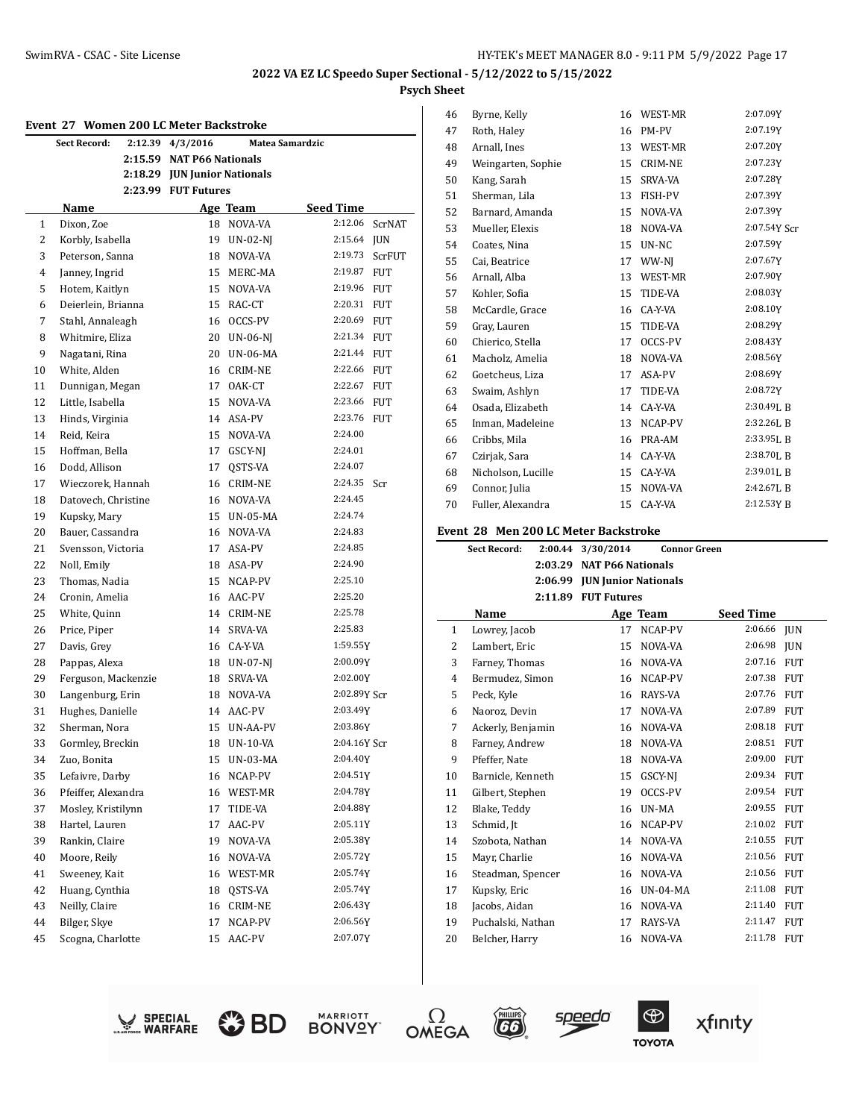#### **Event 27 Women 200 LC Meter Backstroke**

| Evelil 47<br>WOMEN ZOU LU METER DAUKSU OKE<br>2:12.39 4/3/2016<br>Sect Record:<br>Matea Samardzic |                     |         |                              |                 |              |            |
|---------------------------------------------------------------------------------------------------|---------------------|---------|------------------------------|-----------------|--------------|------------|
|                                                                                                   |                     | 2:15.59 | <b>NAT P66 Nationals</b>     |                 |              |            |
|                                                                                                   |                     |         | 2:18.29 JUN Junior Nationals |                 |              |            |
|                                                                                                   |                     |         | 2:23.99 FUT Futures          |                 |              |            |
|                                                                                                   | Name                |         |                              | Age Team        | Seed Time    |            |
| 1                                                                                                 | Dixon, Zoe          |         | 18                           | NOVA-VA         | 2:12.06      | ScrNAT     |
| 2                                                                                                 | Korbly, Isabella    |         | 19                           | $UN-02-NJ$      | 2:15.64 JUN  |            |
| 3                                                                                                 | Peterson, Sanna     |         | 18                           | NOVA-VA         | 2:19.73      | ScrFUT     |
| 4                                                                                                 | Janney, Ingrid      |         | 15                           | MERC-MA         | 2:19.87      | <b>FUT</b> |
| 5                                                                                                 | Hotem, Kaitlyn      |         |                              | 15 NOVA-VA      | 2:19.96      | <b>FUT</b> |
| 6                                                                                                 | Deierlein, Brianna  |         |                              | 15 RAC-CT       | 2:20.31      | <b>FUT</b> |
| 7                                                                                                 | Stahl, Annaleagh    |         |                              | 16 OCCS-PV      | 2:20.69      | <b>FUT</b> |
| 8                                                                                                 | Whitmire, Eliza     |         |                              | 20 UN-06-NJ     | 2:21.34 FUT  |            |
| 9                                                                                                 | Nagatani, Rina      |         | 20                           | <b>UN-06-MA</b> | 2:21.44 FUT  |            |
| 10                                                                                                | White, Alden        |         | 16                           | CRIM-NE         | 2:22.66 FUT  |            |
| 11                                                                                                | Dunnigan, Megan     |         | 17                           | OAK-CT          | 2:22.67      | FUT        |
| 12                                                                                                | Little, Isabella    |         | 15                           | NOVA-VA         | 2:23.66      | <b>FUT</b> |
| 13                                                                                                | Hinds, Virginia     |         | 14                           | ASA-PV          | 2:23.76      | <b>FUT</b> |
| 14                                                                                                | Reid, Keira         |         | 15                           | NOVA-VA         | 2:24.00      |            |
| 15                                                                                                | Hoffman, Bella      |         | 17                           | GSCY-NJ         | 2:24.01      |            |
| 16                                                                                                | Dodd, Allison       |         | 17                           | QSTS-VA         | 2:24.07      |            |
| 17                                                                                                | Wieczorek, Hannah   |         | 16                           | CRIM-NE         | 2:24.35      | Scr        |
| 18                                                                                                | Datovech, Christine |         |                              | 16 NOVA-VA      | 2:24.45      |            |
| 19                                                                                                | Kupsky, Mary        |         |                              | 15 UN-05-MA     | 2:24.74      |            |
| 20                                                                                                | Bauer, Cassandra    |         |                              | 16 NOVA-VA      | 2:24.83      |            |
| 21                                                                                                | Svensson, Victoria  |         | 17                           | ASA-PV          | 2:24.85      |            |
| 22                                                                                                | Noll, Emily         |         |                              | 18 ASA-PV       | 2:24.90      |            |
| 23                                                                                                | Thomas, Nadia       |         | 15                           | NCAP-PV         | 2:25.10      |            |
| 24                                                                                                | Cronin, Amelia      |         | 16                           | AAC-PV          | 2:25.20      |            |
| 25                                                                                                | White, Quinn        |         | 14                           | <b>CRIM-NE</b>  | 2:25.78      |            |
| 26                                                                                                | Price, Piper        |         | 14                           | SRVA-VA         | 2:25.83      |            |
| 27                                                                                                | Davis, Grey         |         | 16                           | CA-Y-VA         | 1:59.55Y     |            |
| 28                                                                                                | Pappas, Alexa       |         | 18                           | UN-07-NJ        | 2:00.09Y     |            |
| 29                                                                                                | Ferguson, Mackenzie |         | 18                           | SRVA-VA         | 2:02.00Y     |            |
| 30                                                                                                | Langenburg, Erin    |         | 18                           | NOVA-VA         | 2:02.89Y Scr |            |
| 31                                                                                                | Hughes, Danielle    |         |                              | 14 AAC-PV       | 2:03.49Y     |            |
| 32                                                                                                | Sherman, Nora       |         |                              | 15 UN-AA-PV     | 2:03.86Y     |            |
| 33                                                                                                | Gormley, Breckin    |         |                              | 18 UN-10-VA     | 2:04.16Y Scr |            |
| 34                                                                                                | Zuo, Bonita         |         |                              | 15 UN-03-MA     | 2:04.40Y     |            |
| 35                                                                                                | Lefaivre, Darby     |         |                              | 16 NCAP-PV      | 2:04.51Y     |            |
| 36                                                                                                | Pfeiffer, Alexandra |         | 16                           | WEST-MR         | 2:04.78Y     |            |
| 37                                                                                                | Mosley, Kristilynn  |         | 17                           | TIDE-VA         | 2:04.88Y     |            |
| 38                                                                                                | Hartel, Lauren      |         | 17                           | AAC-PV          | 2:05.11Y     |            |
| 39                                                                                                | Rankin, Claire      |         | 19                           | NOVA-VA         | 2:05.38Y     |            |
| 40                                                                                                | Moore, Reily        |         | 16                           | NOVA-VA         | 2:05.72Y     |            |
| 41                                                                                                | Sweeney, Kait       |         | 16                           | WEST-MR         | 2:05.74Y     |            |
| 42                                                                                                | Huang, Cynthia      |         | 18                           | QSTS-VA         | 2:05.74Y     |            |
| 43                                                                                                | Neilly, Claire      |         | 16                           | CRIM-NE         | 2:06.43Y     |            |
| 44                                                                                                | Bilger, Skye        |         | 17                           | NCAP-PV         | 2:06.56Y     |            |
| 45                                                                                                | Scogna, Charlotte   |         | 15                           | AAC-PV          | 2:07.07Y     |            |
|                                                                                                   |                     |         |                              |                 |              |            |

| 46 | Byrne, Kelly       | 16 | WEST-MR        | 2:07.09Y     |
|----|--------------------|----|----------------|--------------|
| 47 | Roth, Haley        | 16 | PM-PV          | 2:07.19Y     |
| 48 | Arnall, Ines       | 13 | WEST-MR        | 2:07.20Y     |
| 49 | Weingarten, Sophie | 15 | <b>CRIM-NE</b> | 2:07.23Y     |
| 50 | Kang, Sarah        | 15 | <b>SRVA-VA</b> | 2:07.28Y     |
| 51 | Sherman, Lila      | 13 | FISH-PV        | 2:07.39Y     |
| 52 | Barnard, Amanda    | 15 | NOVA-VA        | 2:07.39Y     |
| 53 | Mueller, Elexis    | 18 | NOVA-VA        | 2:07.54Y Scr |
| 54 | Coates, Nina       | 15 | UN-NC          | 2:07.59Y     |
| 55 | Cai, Beatrice      | 17 | WW-NJ          | 2:07.67Y     |
| 56 | Arnall, Alba       | 13 | WEST-MR        | 2:07.90Y     |
| 57 | Kohler, Sofia      | 15 | TIDE-VA        | 2:08.03Y     |
| 58 | McCardle, Grace    | 16 | CA-Y-VA        | 2:08.10Y     |
| 59 | Gray, Lauren       | 15 | TIDE-VA        | 2:08.29Y     |
| 60 | Chierico, Stella   | 17 | OCCS-PV        | 2:08.43Y     |
| 61 | Macholz, Amelia    | 18 | NOVA-VA        | 2:08.56Y     |
| 62 | Goetcheus, Liza    | 17 | ASA-PV         | 2:08.69Y     |
| 63 | Swaim, Ashlyn      | 17 | TIDE-VA        | 2:08.72Y     |
| 64 | Osada, Elizabeth   | 14 | CA-Y-VA        | 2:30.49LB    |
| 65 | Inman, Madeleine   | 13 | NCAP-PV        | 2:32.26LB    |
| 66 | Cribbs, Mila       | 16 | PRA-AM         | 2:33.95LB    |
| 67 | Czirjak, Sara      | 14 | CA-Y-VA        | 2:38.70LB    |
| 68 | Nicholson, Lucille | 15 | CA-Y-VA        | 2:39.01LB    |
| 69 | Connor, Julia      | 15 | NOVA-VA        | 2:42.67LB    |
| 70 | Fuller, Alexandra  | 15 | CA-Y-VA        | 2:12.53Y B   |

#### **Event 28 Men 200 LC Meter Backstroke**

|              | <b>Sect Record:</b> | 2:00.44 3/30/2014            | <b>Connor Green</b> |                  |            |  |
|--------------|---------------------|------------------------------|---------------------|------------------|------------|--|
|              |                     | 2:03.29 NAT P66 Nationals    |                     |                  |            |  |
|              |                     | 2:06.99 JUN Junior Nationals |                     |                  |            |  |
|              |                     | 2:11.89 FUT Futures          |                     |                  |            |  |
|              | Name                |                              | Age Team            | <b>Seed Time</b> |            |  |
| $\mathbf{1}$ | Lowrey, Jacob       |                              | 17 NCAP-PV          | 2:06.66 JUN      |            |  |
| 2            | Lambert, Eric       |                              | 15 NOVA-VA          | 2:06.98          | <b>IUN</b> |  |
|              | ות ה                |                              | 4.C. MOTTA TTA      | $2.0716$ pum     |            |  |

| Farney, Thomas    | 16 | NOVA-VA         | 2:07.16 | <b>FUT</b> |
|-------------------|----|-----------------|---------|------------|
| Bermudez, Simon   | 16 | NCAP-PV         | 2:07.38 | <b>FUT</b> |
| Peck, Kyle        | 16 | RAYS-VA         | 2:07.76 | <b>FUT</b> |
| Naoroz, Devin     | 17 | NOVA-VA         | 2:07.89 | <b>FUT</b> |
| Ackerly, Benjamin | 16 | NOVA-VA         | 2:08.18 | <b>FUT</b> |
| Farney, Andrew    | 18 | NOVA-VA         | 2:08.51 | <b>FUT</b> |
| Pfeffer, Nate     | 18 | NOVA-VA         | 2:09.00 | <b>FUT</b> |
| Barnicle, Kenneth | 15 | GSCY-NI         | 2:09.34 | <b>FUT</b> |
| Gilbert, Stephen  | 19 | OCCS-PV         | 2:09.54 | <b>FUT</b> |
| Blake, Teddy      | 16 | UN-MA           | 2:09.55 | <b>FUT</b> |
| Schmid, It        | 16 | NCAP-PV         | 2:10.02 | <b>FUT</b> |
| Szobota, Nathan   | 14 | NOVA-VA         | 2:10.55 | <b>FUT</b> |
| Mayr, Charlie     | 16 | NOVA-VA         | 2:10.56 | <b>FUT</b> |
| Steadman, Spencer | 16 | NOVA-VA         | 2:10.56 | <b>FUT</b> |
| Kupsky, Eric      | 16 | <b>UN-04-MA</b> | 2:11.08 | <b>FUT</b> |
| Jacobs, Aidan     | 16 | NOVA-VA         | 2:11.40 | <b>FUT</b> |
| Puchalski, Nathan | 17 | RAYS-VA         | 2:11.47 | <b>FUT</b> |
| Belcher, Harry    | 16 | NOVA-VA         | 2:11.78 | <b>FUT</b> |
|                   |    |                 |         |            |

**TOYOTA** 

xfinity









**EG** 

speedo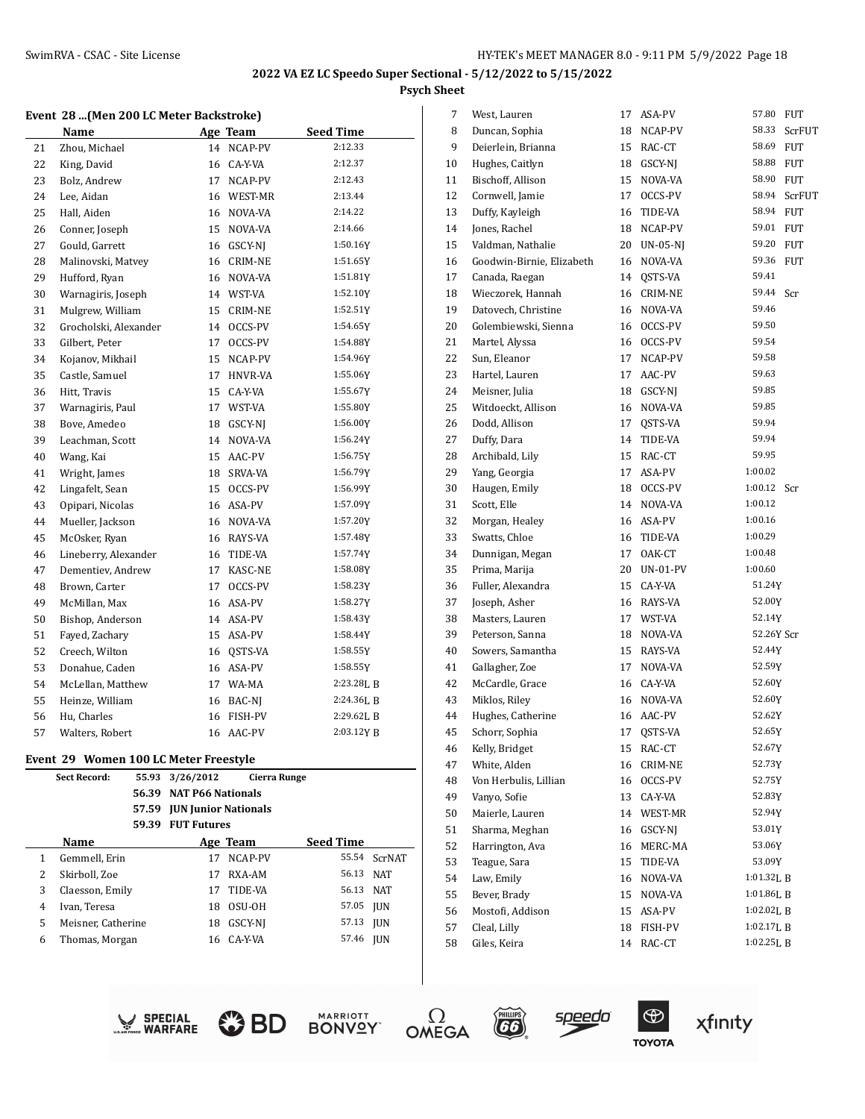#### **Event 28 ...(Men 200 LC Meter Backstroke)**

|    | Name                  |    | Age Team       | <b>Seed Time</b> |
|----|-----------------------|----|----------------|------------------|
| 21 | Zhou, Michael         | 14 | NCAP-PV        | 2:12.33          |
| 22 | King, David           | 16 | CA-Y-VA        | 2:12.37          |
| 23 | Bolz, Andrew          | 17 | NCAP-PV        | 2:12.43          |
| 24 | Lee, Aidan            | 16 | WEST-MR        | 2:13.44          |
| 25 | Hall, Aiden           | 16 | NOVA-VA        | 2:14.22          |
| 26 | Conner, Joseph        | 15 | NOVA-VA        | 2:14.66          |
| 27 | Gould, Garrett        | 16 | GSCY-NJ        | 1:50.16Y         |
| 28 | Malinovski, Matvey    | 16 | CRIM-NE        | 1:51.65Y         |
| 29 | Hufford, Ryan         | 16 | NOVA-VA        | 1:51.81Y         |
| 30 | Warnagiris, Joseph    |    | 14 WST-VA      | 1:52.10Y         |
| 31 | Mulgrew, William      | 15 | CRIM-NE        | 1:52.51Y         |
| 32 | Grocholski, Alexander | 14 | OCCS-PV        | 1:54.65Y         |
| 33 | Gilbert, Peter        | 17 | OCCS-PV        | 1:54.88Y         |
| 34 | Kojanov, Mikhail      | 15 | NCAP-PV        | 1:54.96Y         |
| 35 | Castle, Samuel        | 17 | <b>HNVR-VA</b> | 1:55.06Y         |
| 36 | Hitt, Travis          | 15 | CA-Y-VA        | 1:55.67Y         |
| 37 | Warnagiris, Paul      | 17 | WST-VA         | 1:55.80Y         |
| 38 | Bove, Amedeo          | 18 | GSCY-NJ        | 1:56.00Y         |
| 39 | Leachman, Scott       | 14 | NOVA-VA        | 1:56.24Y         |
| 40 | Wang, Kai             | 15 | AAC-PV         | 1:56.75Y         |
| 41 | Wright, James         | 18 | SRVA-VA        | 1:56.79Y         |
| 42 | Lingafelt, Sean       | 15 | OCCS-PV        | 1:56.99Y         |
| 43 | Opipari, Nicolas      | 16 | ASA-PV         | 1:57.09Y         |
| 44 | Mueller, Jackson      | 16 | NOVA-VA        | 1:57.20Y         |
| 45 | McOsker, Ryan         | 16 | RAYS-VA        | 1:57.48Y         |
| 46 | Lineberry, Alexander  | 16 | TIDE-VA        | 1:57.74Y         |
| 47 | Dementiev, Andrew     | 17 | KASC-NE        | 1:58.08Y         |
| 48 | Brown, Carter         | 17 | OCCS-PV        | 1:58.23Y         |
| 49 | McMillan, Max         | 16 | ASA-PV         | 1:58.27Y         |
| 50 | Bishop, Anderson      | 14 | ASA-PV         | 1:58.43Y         |
| 51 | Fayed, Zachary        | 15 | ASA-PV         | 1:58.44Y         |
| 52 | Creech, Wilton        | 16 | QSTS-VA        | 1:58.55Y         |
| 53 | Donahue, Caden        | 16 | ASA-PV         | 1:58.55Y         |
| 54 | McLellan, Matthew     | 17 | WA-MA          | $2:23.28$ , B    |
| 55 | Heinze, William       | 16 | BAC-NJ         | 2:24.36LB        |
| 56 | Hu, Charles           | 16 | FISH-PV        | 2:29.62LB        |
| 57 | Walters, Robert       | 16 | AAC-PV         | 2:03.12YB        |

#### **Event 29 Women 100 LC Meter Freestyle**

|   | <b>Sect Record:</b> | 55.93 | 3/26/2012                   | <b>Cierra Runge</b> |           |               |
|---|---------------------|-------|-----------------------------|---------------------|-----------|---------------|
|   |                     | 56.39 | <b>NAT P66 Nationals</b>    |                     |           |               |
|   |                     | 57.59 | <b>JUN Junior Nationals</b> |                     |           |               |
|   |                     | 59.39 | <b>FUT Futures</b>          |                     |           |               |
|   | Name                |       |                             | Age Team            | Seed Time |               |
| 1 | Gemmell, Erin       |       | 17                          | NCAP-PV             | 55.54     | <b>ScrNAT</b> |
| 2 | Skirboll, Zoe       |       | 17                          | RXA-AM              | 56.13     | <b>NAT</b>    |
| 3 | Claesson, Emily     |       | 17                          | TIDE-VA             | 56.13     | <b>NAT</b>    |
| 4 | Ivan, Teresa        |       | 18                          | OSU-OH              | 57.05     | <b>IUN</b>    |
| 5 | Meisner, Catherine  |       | 18                          | GSCY-NI             | 57.13     | <b>IUN</b>    |
| 6 | Thomas, Morgan      |       | 16                          | CA-Y-VA             | 57.46     | <b>IUN</b>    |
|   |                     |       |                             |                     |           |               |

| 7  | West, Lauren              | 17 | ASA-PV          | 57.80<br><b>FUT</b> |
|----|---------------------------|----|-----------------|---------------------|
| 8  | Duncan, Sophia            | 18 | NCAP-PV         | 58.33<br>ScrFUT     |
| 9  | Deierlein, Brianna        | 15 | RAC-CT          | 58.69<br><b>FUT</b> |
| 10 | Hughes, Caitlyn           | 18 | GSCY-NJ         | 58.88<br><b>FUT</b> |
| 11 | Bischoff, Allison         | 15 | NOVA-VA         | 58.90<br><b>FUT</b> |
| 12 | Cornwell, Jamie           | 17 | OCCS-PV         | 58.94<br>ScrFUT     |
| 13 | Duffy, Kayleigh           | 16 | TIDE-VA         | 58.94<br><b>FUT</b> |
| 14 | Jones, Rachel             | 18 | NCAP-PV         | 59.01<br><b>FUT</b> |
| 15 | Valdman, Nathalie         | 20 | $UN-05-NJ$      | 59.20<br><b>FUT</b> |
| 16 | Goodwin-Birnie, Elizabeth | 16 | NOVA-VA         | 59.36<br><b>FUT</b> |
| 17 | Canada, Raegan            | 14 | OSTS-VA         | 59.41               |
| 18 | Wieczorek, Hannah         | 16 | CRIM-NE         | 59.44<br>Scr        |
| 19 | Datovech, Christine       | 16 | NOVA-VA         | 59.46               |
| 20 | Golembiewski, Sienna      | 16 | OCCS-PV         | 59.50               |
| 21 | Martel, Alyssa            | 16 | OCCS-PV         | 59.54               |
| 22 | Sun, Eleanor              | 17 | NCAP-PV         | 59.58               |
| 23 | Hartel, Lauren            | 17 | AAC-PV          | 59.63               |
| 24 | Meisner, Julia            | 18 | GSCY-NJ         | 59.85               |
| 25 | Witdoeckt, Allison        | 16 | NOVA-VA         | 59.85               |
| 26 | Dodd, Allison             | 17 | QSTS-VA         | 59.94               |
| 27 | Duffy, Dara               | 14 | TIDE-VA         | 59.94               |
| 28 | Archibald, Lily           | 15 | RAC-CT          | 59.95               |
| 29 | Yang, Georgia             | 17 | ASA-PV          | 1:00.02             |
| 30 | Haugen, Emily             | 18 | OCCS-PV         | 1:00.12<br>Scr      |
| 31 | Scott, Elle               | 14 | NOVA-VA         | 1:00.12             |
| 32 | Morgan, Healey            | 16 | ASA-PV          | 1:00.16             |
| 33 | Swatts, Chloe             | 16 | TIDE-VA         | 1:00.29             |
| 34 | Dunnigan, Megan           | 17 | OAK-CT          | 1:00.48             |
| 35 | Prima, Marija             | 20 | <b>UN-01-PV</b> | 1:00.60             |
| 36 | Fuller, Alexandra         | 15 | CA-Y-VA         | 51.24Y              |
| 37 | Joseph, Asher             |    | 16 RAYS-VA      | 52.00Y              |
| 38 | Masters, Lauren           |    | 17 WST-VA       | 52.14Y              |
| 39 | Peterson, Sanna           | 18 | NOVA-VA         | 52.26Y Scr          |
| 40 | Sowers, Samantha          | 15 | RAYS-VA         | 52.44Y              |
| 41 | Gallagher, Zoe            | 17 | NOVA-VA         | 52.59Y              |
| 42 | McCardle, Grace           | 16 | CA-Y-VA         | 52.60Y              |
| 43 | Miklos, Riley             | 16 | NOVA-VA         | 52.60Y              |
| 44 | Hughes, Catherine         | 16 | AAC-PV          | 52.62Y              |
| 45 | Schorr, Sophia            | 17 | QSTS-VA         | 52.65Y              |
| 46 | Kelly, Bridget            | 15 | RAC-CT          | 52.67Y              |
| 47 | White, Alden              | 16 | CRIM-NE         | 52.73Y              |
| 48 | Von Herbulis, Lillian     | 16 | OCCS-PV         | 52.75Y              |
| 49 | Vanyo, Sofie              | 13 | CA-Y-VA         | 52.83Y              |
| 50 | Maierle, Lauren           | 14 | WEST-MR         | 52.94Y              |
| 51 | Sharma, Meghan            | 16 | GSCY-NJ         | 53.01Y              |
| 52 | Harrington, Ava           | 16 | MERC-MA         | 53.06Y              |
| 53 | Teague, Sara              | 15 | TIDE-VA         | 53.09Y              |
| 54 | Law, Emily                | 16 | NOVA-VA         | 1:01.32LB           |
| 55 | Bever, Brady              | 15 | NOVA-VA         | 1:01.86L B          |
| 56 | Mostofi, Addison          | 15 | ASA-PV          | 1:02.02L B          |
| 57 | Cleal, Lilly              | 18 | FISH-PV         | 1:02.17LB           |
| 58 | Giles, Keira              | 14 | RAC-CT          | 1:02.25L B          |
|    |                           |    |                 |                     |













s<u>peed</u>o

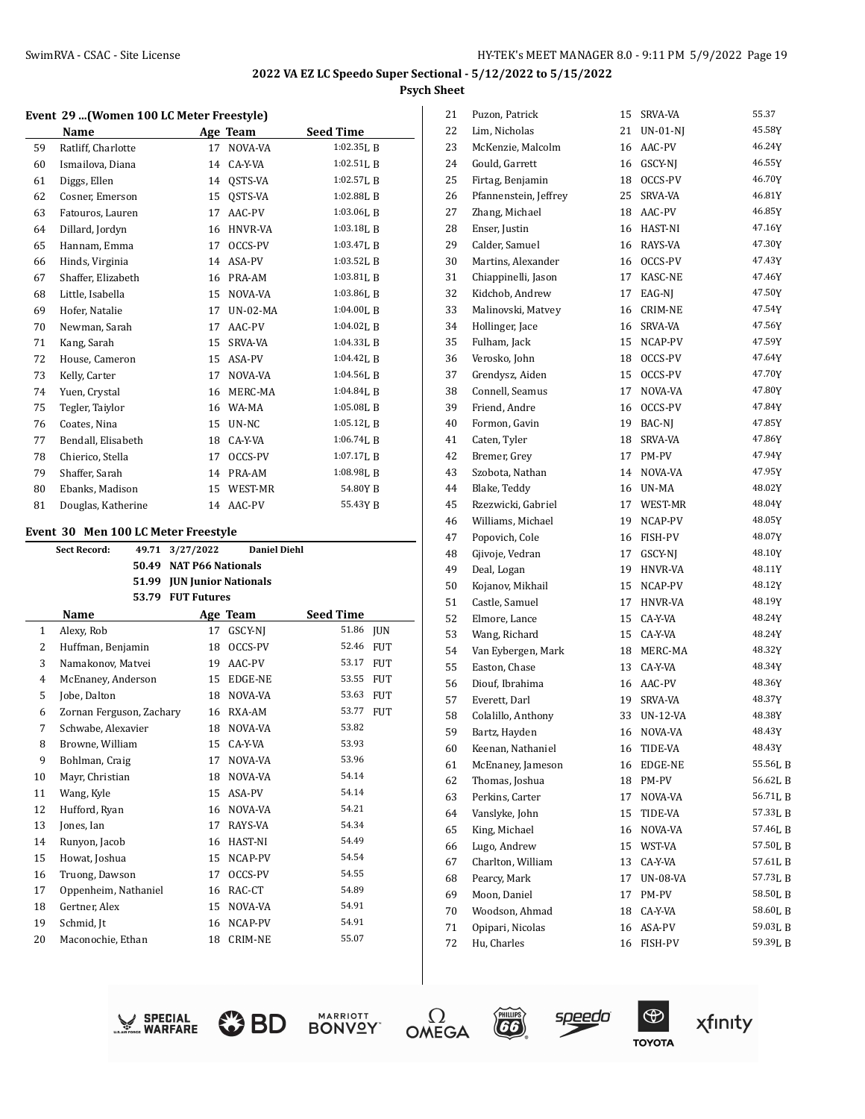#### **Event 29 ...(Women 100 LC Meter Freestyle)**

|    | Name               |    | Age Team | <b>Seed Time</b> |
|----|--------------------|----|----------|------------------|
| 59 | Ratliff, Charlotte | 17 | NOVA-VA  | $1:02.35$ J, B   |
| 60 | Ismailova, Diana   | 14 | CA-Y-VA  | 1:02.51L B       |
| 61 | Diggs, Ellen       | 14 | QSTS-VA  | $1:02.57$ , B    |
| 62 | Cosner, Emerson    | 15 | OSTS-VA  | $1:02.88$ LB     |
| 63 | Fatouros, Lauren   | 17 | AAC-PV   | 1:03.06LB        |
| 64 | Dillard, Jordyn    | 16 | HNVR-VA  | 1:03.18LB        |
| 65 | Hannam, Emma       | 17 | OCCS-PV  | $1:03.47$ J, B   |
| 66 | Hinds, Virginia    | 14 | ASA-PV   | 1:03.52LB        |
| 67 | Shaffer, Elizabeth | 16 | PRA-AM   | $1:03.81$ [, B   |
| 68 | Little, Isabella   | 15 | NOVA-VA  | $1:03.86$ , B    |
| 69 | Hofer, Natalie     | 17 | UN-02-MA | 1:04.00LB        |
| 70 | Newman, Sarah      | 17 | AAC-PV   | $1:04.02$ , B    |
| 71 | Kang, Sarah        | 15 | SRVA-VA  | 1:04.33LB        |
| 72 | House, Cameron     | 15 | ASA-PV   | 1:04.42LB        |
| 73 | Kelly, Carter      | 17 | NOVA-VA  | $1:04.56$ , B    |
| 74 | Yuen, Crystal      | 16 | MERC-MA  | $1:04.84$ J, B   |
| 75 | Tegler, Taiylor    | 16 | WA-MA    | 1:05.08L B       |
| 76 | Coates, Nina       | 15 | UN-NC    | $1:05.12$ , B    |
| 77 | Bendall, Elisabeth | 18 | CA-Y-VA  | $1:06.74$ , B    |
| 78 | Chierico, Stella   | 17 | OCCS-PV  | 1:07.17LB        |
| 79 | Shaffer, Sarah     | 14 | PRA-AM   | 1:08.98LB        |
| 80 | Ebanks, Madison    | 15 | WEST-MR  | 54.80Y B         |
| 81 | Douglas, Katherine | 14 | AAC-PV   | 55.43Y B         |

#### **Event 30 Men 100 LC Meter Freestyle**

|    |                          | 49.71 | 3/27/2022          | <b>Daniel Diehl</b>        |                  |            |
|----|--------------------------|-------|--------------------|----------------------------|------------------|------------|
|    | 50.49                    |       |                    | <b>NAT P66 Nationals</b>   |                  |            |
|    |                          |       |                    | 51.99 JUN Junior Nationals |                  |            |
|    |                          | 53.79 | <b>FUT Futures</b> |                            |                  |            |
|    | Name                     |       |                    | Age Team                   | <b>Seed Time</b> |            |
| 1  | Alexy, Rob               |       | 17                 | GSCY-NJ                    | 51.86            | <b>JUN</b> |
| 2  | Huffman, Benjamin        |       | 18                 | OCCS-PV                    | 52.46            | <b>FUT</b> |
| 3  | Namakonov, Matvei        |       | 19                 | AAC-PV                     | 53.17            | <b>FUT</b> |
| 4  | McEnaney, Anderson       |       | 15                 | EDGE-NE                    | 53.55            | <b>FUT</b> |
| 5  | Jobe, Dalton             |       | 18                 | NOVA-VA                    | 53.63            | <b>FUT</b> |
| 6  | Zornan Ferguson, Zachary |       | 16                 | RXA-AM                     | 53.77            | <b>FUT</b> |
| 7  | Schwabe, Alexavier       |       | 18                 | NOVA-VA                    | 53.82            |            |
| 8  | Browne, William          |       | 15                 | CA-Y-VA                    | 53.93            |            |
| 9  | Bohlman, Craig           |       | 17                 | NOVA-VA                    | 53.96            |            |
| 10 | Mayr, Christian          |       | 18                 | NOVA-VA                    | 54.14            |            |
| 11 | Wang, Kyle               |       | 15                 | ASA-PV                     | 54.14            |            |
| 12 | Hufford, Ryan            |       | 16                 | NOVA-VA                    | 54.21            |            |
| 13 | Jones, Ian               |       | 17                 | RAYS-VA                    | 54.34            |            |
| 14 | Runyon, Jacob            |       | 16                 | HAST-NI                    | 54.49            |            |
| 15 | Howat, Joshua            |       | 15                 | NCAP-PV                    | 54.54            |            |
| 16 | Truong, Dawson           |       | 17                 | OCCS-PV                    | 54.55            |            |
| 17 | Oppenheim, Nathaniel     |       | 16                 | RAC-CT                     | 54.89            |            |
| 18 | Gertner, Alex            |       | 15                 | NOVA-VA                    | 54.91            |            |
| 19 | Schmid, Jt               |       | 16                 | NCAP-PV                    | 54.91            |            |
| 20 | Maconochie, Ethan        |       | 18                 | <b>CRIM-NE</b>             | 55.07            |            |

| 21 | Puzon, Patrick        | 15 | SRVA-VA        | 55.37    |
|----|-----------------------|----|----------------|----------|
| 22 | Lim, Nicholas         | 21 | $UN-01-NJ$     | 45.58Y   |
| 23 | McKenzie, Malcolm     | 16 | AAC-PV         | 46.24Y   |
| 24 | Gould, Garrett        | 16 | GSCY-NJ        | 46.55Y   |
| 25 | Firtag, Benjamin      | 18 | OCCS-PV        | 46.70Y   |
| 26 | Pfannenstein, Jeffrey | 25 | SRVA-VA        | 46.81Y   |
| 27 | Zhang, Michael        | 18 | AAC-PV         | 46.85Y   |
| 28 | Enser, Justin         | 16 | HAST-NI        | 47.16Y   |
| 29 | Calder, Samuel        | 16 | RAYS-VA        | 47.30Y   |
| 30 | Martins, Alexander    | 16 | OCCS-PV        | 47.43Y   |
| 31 | Chiappinelli, Jason   | 17 | KASC-NE        | 47.46Y   |
| 32 | Kidchob, Andrew       | 17 | EAG-NJ         | 47.50Y   |
| 33 | Malinovski, Matvey    | 16 | <b>CRIM-NE</b> | 47.54Y   |
| 34 | Hollinger, Jace       | 16 | SRVA-VA        | 47.56Y   |
| 35 | Fulham, Jack          | 15 | NCAP-PV        | 47.59Y   |
| 36 | Verosko, John         | 18 | OCCS-PV        | 47.64Y   |
| 37 | Grendysz, Aiden       | 15 | OCCS-PV        | 47.70Y   |
| 38 | Connell, Seamus       | 17 | NOVA-VA        | 47.80Y   |
| 39 | Friend, Andre         | 16 | OCCS-PV        | 47.84Y   |
| 40 | Formon, Gavin         | 19 | BAC-NJ         | 47.85Y   |
| 41 | Caten, Tyler          | 18 | SRVA-VA        | 47.86Y   |
| 42 | Bremer, Grey          | 17 | PM-PV          | 47.94Y   |
| 43 | Szobota, Nathan       | 14 | NOVA-VA        | 47.95Y   |
| 44 | Blake, Teddy          | 16 | UN-MA          | 48.02Y   |
| 45 | Rzezwicki, Gabriel    | 17 | WEST-MR        | 48.04Y   |
| 46 | Williams, Michael     | 19 | NCAP-PV        | 48.05Y   |
| 47 | Popovich, Cole        | 16 | FISH-PV        | 48.07Y   |
| 48 | Gjivoje, Vedran       | 17 | GSCY-NJ        | 48.10Y   |
| 49 | Deal, Logan           | 19 | HNVR-VA        | 48.11Y   |
| 50 | Kojanov, Mikhail      | 15 | NCAP-PV        | 48.12Y   |
| 51 | Castle, Samuel        | 17 | HNVR-VA        | 48.19Y   |
| 52 | Elmore, Lance         | 15 | CA-Y-VA        | 48.24Y   |
| 53 | Wang, Richard         | 15 | CA-Y-VA        | 48.24Y   |
| 54 | Van Eybergen, Mark    | 18 | MERC-MA        | 48.32Y   |
| 55 | Easton, Chase         | 13 | CA-Y-VA        | 48.34Y   |
| 56 | Diouf, Ibrahima       | 16 | AAC-PV         | 48.36Y   |
| 57 | Everett, Darl         | 19 | SRVA-VA        | 48.37Y   |
| 58 | Colalillo, Anthony    | 33 | UN-12-VA       | 48.38Y   |
| 59 | Bartz, Hayden         | 16 | NOVA-VA        | 48.43Y   |
| 60 | Keenan, Nathaniel     | 16 | TIDE-VA        | 48.43Y   |
| 61 | McEnaney, Jameson     | 16 | EDGE-NE        | 55.56LB  |
| 62 | Thomas, Joshua        | 18 | PM-PV          | 56.62L B |
| 63 | Perkins, Carter       | 17 | NOVA-VA        | 56.71LB  |
| 64 | Vanslyke, John        | 15 | TIDE-VA        | 57.33LB  |
| 65 | King, Michael         | 16 | NOVA-VA        | 57.46LB  |
| 66 | Lugo, Andrew          | 15 | WST-VA         | 57.50LB  |
| 67 | Charlton, William     | 13 | CA-Y-VA        | 57.61LB  |
| 68 | Pearcy, Mark          | 17 | UN-08-VA       | 57.73LB  |
| 69 | Moon, Daniel          | 17 | PM-PV          | 58.50LB  |
| 70 | Woodson, Ahmad        | 18 | CA-Y-VA        | 58.60LB  |
| 71 | Opipari, Nicolas      | 16 | ASA-PV         | 59.03L B |
| 72 | Hu, Charles           | 16 | FISH-PV        | 59.39L B |
|    |                       |    |                |          |











**EG** 

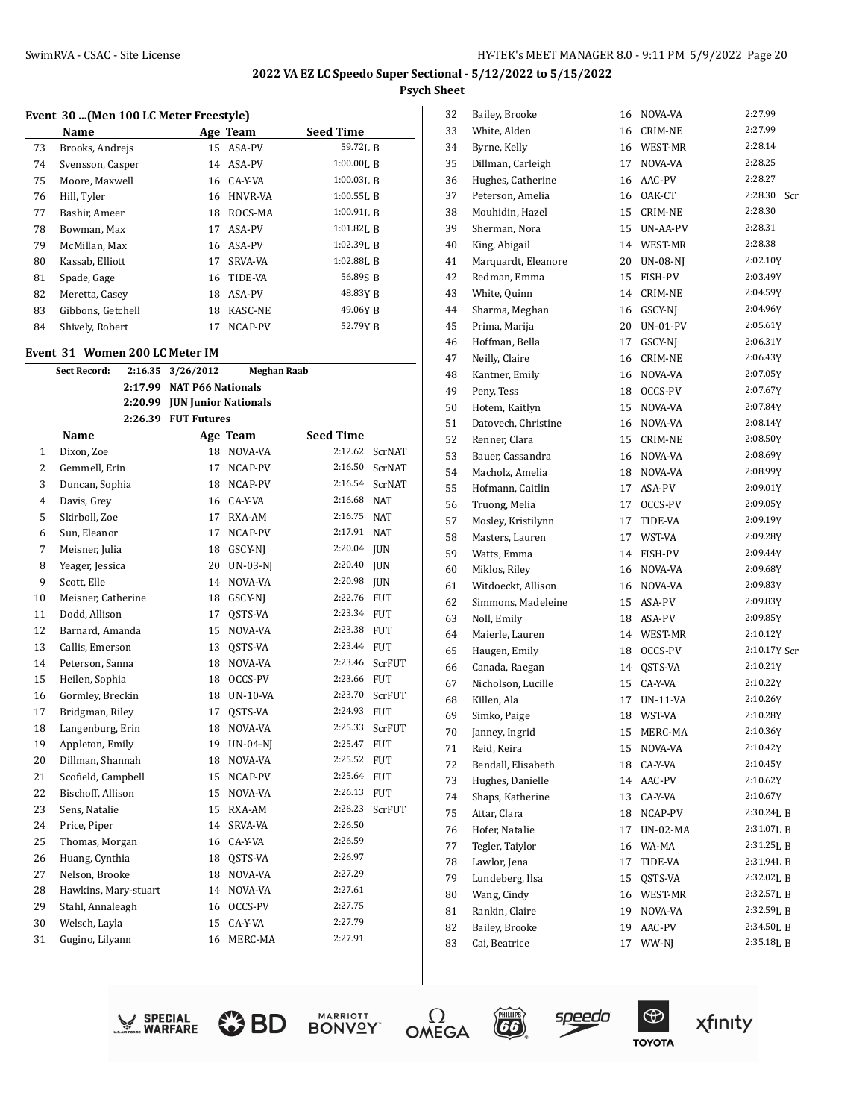# **Event 30 ...(Men 100 LC Meter Freestyle)**

|    | Name              |    | Age Team       | <b>Seed Time</b> |
|----|-------------------|----|----------------|------------------|
| 73 | Brooks, Andrejs   | 15 | ASA-PV         | 59.72L B         |
| 74 | Svensson, Casper  | 14 | ASA-PV         | $1:00.00$ , B    |
| 75 | Moore, Maxwell    |    | 16 CA-Y-VA     | $1:00.03$ . B    |
| 76 | Hill, Tyler       | 16 | <b>HNVR-VA</b> | $1:00.55$ [, B   |
| 77 | Bashir, Ameer     | 18 | ROCS-MA        | $1:00.91$ . B    |
| 78 | Bowman, Max       | 17 | ASA-PV         | $1:01.82$ . B    |
| 79 | McMillan, Max     | 16 | ASA-PV         | $1:02.39$ LR     |
| 80 | Kassab, Elliott   | 17 | <b>SRVA-VA</b> | $1:02.88$ LB     |
| 81 | Spade, Gage       | 16 | TIDE-VA        | 56.89S B         |
| 82 | Meretta, Casev    | 18 | ASA-PV         | 48.83Y B         |
| 83 | Gibbons, Getchell | 18 | <b>KASC-NE</b> | 49.06Y B         |
| 84 | Shively, Robert   | 17 | NCAP-PV        | 52.79Y R         |

#### **Event 31 Women 200 LC Meter IM**

|                | <b>Sect Record:</b>  | 2:16.35 | 3/26/2012<br><b>Meghan Raab</b> |                 |                  |               |  |
|----------------|----------------------|---------|---------------------------------|-----------------|------------------|---------------|--|
|                |                      |         | 2:17.99 NAT P66 Nationals       |                 |                  |               |  |
|                |                      |         | 2:20.99 JUN Junior Nationals    |                 |                  |               |  |
|                |                      |         | 2:26.39 FUT Futures             |                 |                  |               |  |
|                | Name                 |         |                                 | Age Team        | <b>Seed Time</b> |               |  |
| $\mathbf{1}$   | Dixon, Zoe           |         | 18                              | NOVA-VA         | 2:12.62          | <b>ScrNAT</b> |  |
| $\overline{c}$ | Gemmell, Erin        |         | 17                              | NCAP-PV         | 2:16.50          | ScrNAT        |  |
| 3              | Duncan, Sophia       |         | 18                              | NCAP-PV         | 2:16.54          | <b>ScrNAT</b> |  |
| $\overline{4}$ | Davis, Grey          |         | 16                              | CA-Y-VA         | 2:16.68          | <b>NAT</b>    |  |
| 5              | Skirboll, Zoe        |         | 17                              | RXA-AM          | 2:16.75          | <b>NAT</b>    |  |
| 6              | Sun, Eleanor         |         | 17                              | NCAP-PV         | 2:17.91          | <b>NAT</b>    |  |
| 7              | Meisner, Julia       |         | 18                              | GSCY-NJ         | 2:20.04          | <b>JUN</b>    |  |
| 8              | Yeager, Jessica      |         | 20                              | <b>UN-03-NI</b> | 2:20.40          | <b>JUN</b>    |  |
| 9              | Scott, Elle          |         | 14                              | NOVA-VA         | 2:20.98          | <b>JUN</b>    |  |
| 10             | Meisner, Catherine   |         | 18                              | GSCY-NJ         | 2:22.76          | <b>FUT</b>    |  |
| 11             | Dodd, Allison        |         | 17                              | OSTS-VA         | 2:23.34          | <b>FUT</b>    |  |
| 12             | Barnard, Amanda      |         | 15                              | NOVA-VA         | 2:23.38          | <b>FUT</b>    |  |
| 13             | Callis, Emerson      |         | 13                              | QSTS-VA         | 2:23.44          | <b>FUT</b>    |  |
| 14             | Peterson, Sanna      |         | 18                              | NOVA-VA         | 2:23.46          | ScrFUT        |  |
| 15             | Heilen, Sophia       |         | 18                              | OCCS-PV         | 2:23.66          | <b>FUT</b>    |  |
| 16             | Gormley, Breckin     |         | 18                              | UN-10-VA        | 2:23.70          | ScrFUT        |  |
| 17             | Bridgman, Riley      |         | 17                              | QSTS-VA         | 2:24.93          | <b>FUT</b>    |  |
| 18             | Langenburg, Erin     |         | 18                              | NOVA-VA         | 2:25.33          | ScrFUT        |  |
| 19             | Appleton, Emily      |         | 19                              | <b>UN-04-NI</b> | 2:25.47          | <b>FUT</b>    |  |
| 20             | Dillman, Shannah     |         | 18                              | NOVA-VA         | 2:25.52          | <b>FUT</b>    |  |
| 21             | Scofield, Campbell   |         | 15                              | NCAP-PV         | 2:25.64          | <b>FUT</b>    |  |
| 22             | Bischoff, Allison    |         | 15                              | NOVA-VA         | 2:26.13          | <b>FUT</b>    |  |
| 23             | Sens, Natalie        |         | 15                              | RXA-AM          | 2:26.23          | ScrFUT        |  |
| 24             | Price, Piper         |         | 14                              | SRVA-VA         | 2:26.50          |               |  |
| 25             | Thomas, Morgan       |         | 16                              | CA-Y-VA         | 2:26.59          |               |  |
| 26             | Huang, Cynthia       |         | 18                              | QSTS-VA         | 2:26.97          |               |  |
| 27             | Nelson, Brooke       |         | 18                              | NOVA-VA         | 2:27.29          |               |  |
| 28             | Hawkins, Mary-stuart |         | 14                              | NOVA-VA         | 2:27.61          |               |  |
| 29             | Stahl, Annaleagh     |         | 16                              | OCCS-PV         | 2:27.75          |               |  |
| 30             | Welsch, Layla        |         | 15                              | CA-Y-VA         | 2:27.79          |               |  |
| 31             | Gugino, Lilyann      |         | 16                              | MERC-MA         | 2:27.91          |               |  |
|                |                      |         |                                 |                 |                  |               |  |

| 32 | Bailey, Brooke      | 16 | NOVA-VA         | 2:27.99        |
|----|---------------------|----|-----------------|----------------|
| 33 | White, Alden        | 16 | CRIM-NE         | 2:27.99        |
| 34 | Byrne, Kelly        | 16 | WEST-MR         | 2:28.14        |
| 35 | Dillman, Carleigh   | 17 | NOVA-VA         | 2:28.25        |
| 36 | Hughes, Catherine   | 16 | AAC-PV          | 2:28.27        |
| 37 | Peterson, Amelia    | 16 | OAK-CT          | 2:28.30<br>Scr |
| 38 | Mouhidin, Hazel     | 15 | CRIM-NE         | 2:28.30        |
| 39 | Sherman, Nora       | 15 | UN-AA-PV        | 2:28.31        |
| 40 | King, Abigail       | 14 | WEST-MR         | 2:28.38        |
| 41 | Marquardt, Eleanore | 20 | UN-08-NJ        | 2:02.10Y       |
| 42 | Redman, Emma        | 15 | FISH-PV         | 2:03.49Y       |
| 43 | White, Quinn        | 14 | <b>CRIM-NE</b>  | 2:04.59Y       |
| 44 | Sharma, Meghan      | 16 | GSCY-NJ         | 2:04.96Y       |
| 45 | Prima, Marija       | 20 | <b>UN-01-PV</b> | 2:05.61Y       |
| 46 | Hoffman, Bella      | 17 | GSCY-NJ         | 2:06.31Y       |
| 47 | Neilly, Claire      | 16 | CRIM-NE         | 2:06.43Y       |
| 48 | Kantner, Emily      | 16 | NOVA-VA         | 2:07.05Y       |
| 49 | Peny, Tess          | 18 | OCCS-PV         | 2:07.67Y       |
| 50 | Hotem, Kaitlyn      | 15 | NOVA-VA         | 2:07.84Y       |
| 51 | Datovech, Christine | 16 | NOVA-VA         | 2:08.14Y       |
| 52 | Renner, Clara       | 15 | <b>CRIM-NE</b>  | 2:08.50Y       |
| 53 | Bauer, Cassandra    | 16 | NOVA-VA         | 2:08.69Y       |
| 54 | Macholz, Amelia     | 18 | NOVA-VA         | 2:08.99Y       |
| 55 | Hofmann, Caitlin    | 17 | ASA-PV          | 2:09.01Y       |
| 56 | Truong, Melia       | 17 | OCCS-PV         | 2:09.05Y       |
| 57 | Mosley, Kristilynn  | 17 | TIDE-VA         | 2:09.19Y       |
| 58 | Masters, Lauren     | 17 | WST-VA          | 2:09.28Y       |
| 59 | Watts, Emma         | 14 | FISH-PV         | 2:09.44Y       |
| 60 | Miklos, Riley       | 16 | NOVA-VA         | 2:09.68Y       |
| 61 | Witdoeckt, Allison  | 16 | NOVA-VA         | 2:09.83Y       |
| 62 | Simmons, Madeleine  | 15 | ASA-PV          | 2:09.83Y       |
| 63 | Noll, Emily         | 18 | ASA-PV          | 2:09.85Y       |
| 64 | Maierle, Lauren     | 14 | WEST-MR         | 2:10.12Y       |
| 65 | Haugen, Emily       | 18 | OCCS-PV         | 2:10.17Y Scr   |
| 66 | Canada, Raegan      | 14 | OSTS-VA         | 2:10.21Y       |
| 67 | Nicholson, Lucille  | 15 | CA-Y-VA         | 2:10.22Y       |
| 68 | Killen, Ala         | 17 | $UN-11-VA$      | 2:10.26Y       |
| 69 | Simko, Paige        | 18 | WST-VA          | 2:10.28Y       |
| 70 | Janney, Ingrid      | 15 | MERC-MA         | 2:10.36Y       |
| 71 | Reid, Keira         | 15 | NOVA-VA         | 2:10.42Y       |
| 72 | Bendall, Elisabeth  | 18 | CA-Y-VA         | 2:10.45Y       |
| 73 | Hughes, Danielle    | 14 | AAC-PV          | 2:10.62Y       |
| 74 | Shaps, Katherine    | 13 | CA-Y-VA         | 2:10.67Y       |
| 75 | Attar, Clara        | 18 | NCAP-PV         | 2:30.24L B     |
| 76 | Hofer, Natalie      | 17 | UN-02-MA        | 2:31.07LB      |
| 77 | Tegler, Taiylor     | 16 | WA-MA           | 2:31.25LB      |
| 78 | Lawlor, Jena        | 17 | TIDE-VA         | 2:31.94L B     |
| 79 | Lundeberg, Ilsa     | 15 | QSTS-VA         | 2:32.02LB      |
| 80 | Wang, Cindy         | 16 | WEST-MR         | 2:32.57LB      |
| 81 | Rankin, Claire      | 19 | NOVA-VA         | 2:32.59L B     |
| 82 | Bailey, Brooke      | 19 | AAC-PV          | 2:34.50LB      |
| 83 | Cai, Beatrice       | 17 | WW-NJ           | 2:35.18LB      |
|    |                     |    |                 |                |









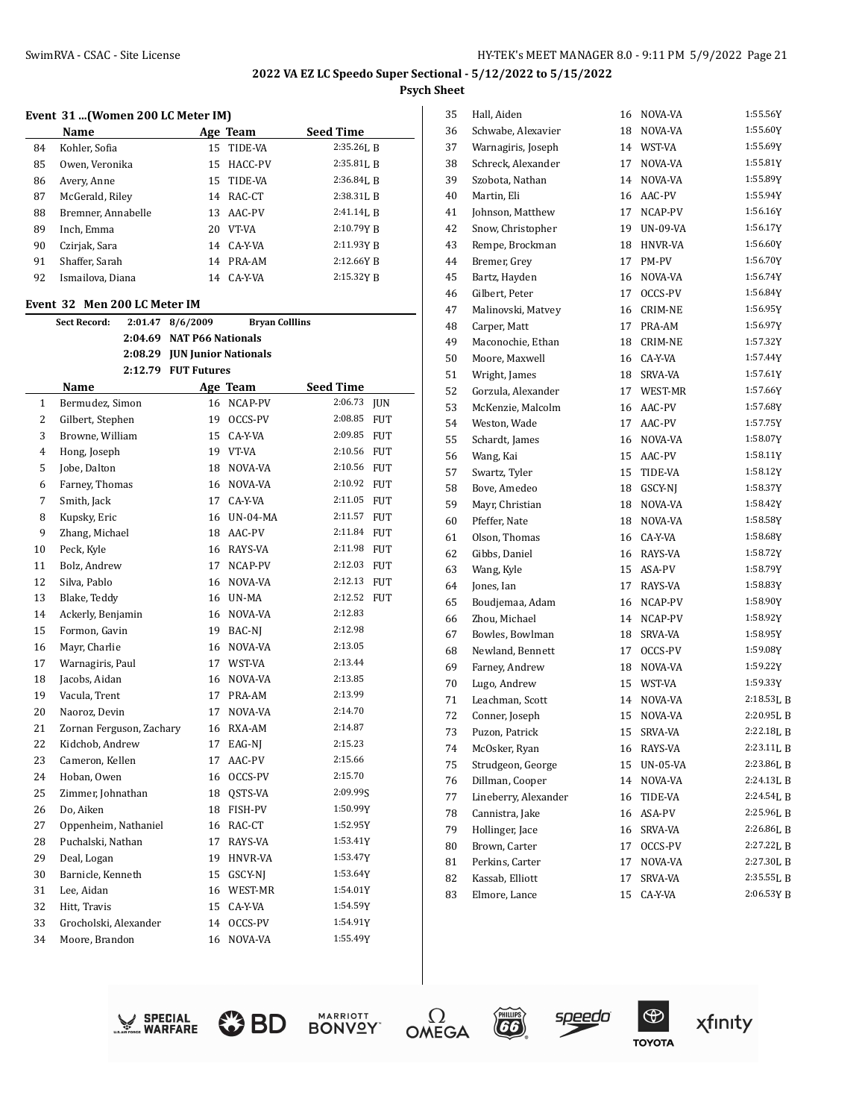# **Event 31 ...(Women 200 LC Meter IM)**

|    | Name               |    | Age Team   | <b>Seed Time</b> |
|----|--------------------|----|------------|------------------|
| 84 | Kohler, Sofia      |    | 15 TIDE-VA | $2:35.26$ , R    |
| 85 | Owen, Veronika     | 15 | HACC-PV    | $2:35.81$ , B    |
| 86 | Avery, Anne        | 15 | TIDE-VA    | $2:36.84$ J, B   |
| 87 | McGerald, Riley    | 14 | RAC-CT     | $2:38.31$ J, B   |
| 88 | Bremner, Annabelle | 13 | AAC-PV     | $2:41.14$ , B    |
| 89 | Inch, Emma         | 20 | VT-VA      | 2:10.79Y R       |
| 90 | Czirjak, Sara      | 14 | CA-Y-VA    | 2:11.93Y R       |
| 91 | Shaffer, Sarah     | 14 | PRA-AM     | 2:12.66Y B       |
| 92 | Ismailova, Diana   | 14 | CA-Y-VA    | 2:15.32Y R       |

#### **Event 32 Men 200 LC Meter IM**

|              | <b>Sect Record:</b>      | 2:01.47 | 8/6/2009                     | <b>Bryan Colllins</b> |           |            |
|--------------|--------------------------|---------|------------------------------|-----------------------|-----------|------------|
|              |                          |         | 2:04.69 NAT P66 Nationals    |                       |           |            |
|              |                          |         | 2:08.29 JUN Junior Nationals |                       |           |            |
|              |                          |         | 2:12.79 FUT Futures          |                       |           |            |
|              | Name                     |         |                              | Age Team              | Seed Time |            |
| $\mathbf{1}$ | Bermudez, Simon          |         | 16                           | NCAP-PV               | 2:06.73   | <b>JUN</b> |
| 2            | Gilbert, Stephen         |         |                              | 19 OCCS-PV            | 2:08.85   | <b>FUT</b> |
| 3            | Browne, William          |         |                              | 15 CA-Y-VA            | 2:09.85   | <b>FUT</b> |
| 4            | Hong, Joseph             |         |                              | 19 VT-VA              | 2:10.56   | <b>FUT</b> |
| 5            | Jobe, Dalton             |         | 18                           | NOVA-VA               | 2:10.56   | <b>FUT</b> |
| 6            | Farney, Thomas           |         | 16                           | NOVA-VA               | 2:10.92   | <b>FUT</b> |
| 7            | Smith, Jack              |         |                              | 17 CA-Y-VA            | 2:11.05   | <b>FUT</b> |
| 8            | Kupsky, Eric             |         |                              | 16 UN-04-MA           | 2:11.57   | <b>FUT</b> |
| 9            | Zhang, Michael           |         | 18                           | AAC-PV                | 2:11.84   | <b>FUT</b> |
| 10           | Peck, Kyle               |         | 16                           | RAYS-VA               | 2:11.98   | FUT        |
| 11           | Bolz, Andrew             |         | 17                           | NCAP-PV               | 2:12.03   | <b>FUT</b> |
| 12           | Silva, Pablo             |         | 16                           | NOVA-VA               | 2:12.13   | <b>FUT</b> |
| 13           | Blake, Teddy             |         |                              | 16 UN-MA              | 2:12.52   | <b>FUT</b> |
| 14           | Ackerly, Benjamin        |         |                              | 16 NOVA-VA            | 2:12.83   |            |
| 15           | Formon, Gavin            |         | 19                           | BAC-NI                | 2:12.98   |            |
| 16           | Mayr, Charlie            |         | 16                           | NOVA-VA               | 2:13.05   |            |
| 17           | Warnagiris, Paul         |         |                              | 17 WST-VA             | 2:13.44   |            |
| 18           | Jacobs, Aidan            |         | 16                           | NOVA-VA               | 2:13.85   |            |
| 19           | Vacula, Trent            |         | 17                           | PRA-AM                | 2:13.99   |            |
| 20           | Naoroz. Devin            |         | 17                           | NOVA-VA               | 2:14.70   |            |
| 21           | Zornan Ferguson, Zachary |         |                              | 16 RXA-AM             | 2:14.87   |            |
| 22           | Kidchob, Andrew          |         | 17                           | EAG-NJ                | 2:15.23   |            |
| 23           | Cameron, Kellen          |         | 17                           | AAC-PV                | 2:15.66   |            |
| 24           | Hoban, Owen              |         |                              | 16 OCCS-PV            | 2:15.70   |            |
| 25           | Zimmer, Johnathan        |         |                              | 18 QSTS-VA            | 2:09.99S  |            |
| 26           | Do, Aiken                |         | 18                           | FISH-PV               | 1:50.99Y  |            |
| 27           | Oppenheim, Nathaniel     |         | 16                           | RAC-CT                | 1:52.95Y  |            |
| 28           | Puchalski, Nathan        |         | 17                           | RAYS-VA               | 1:53.41Y  |            |
| 29           | Deal, Logan              |         | 19                           | <b>HNVR-VA</b>        | 1:53.47Y  |            |
| 30           | Barnicle, Kenneth        |         | 15                           | GSCY-NJ               | 1:53.64Y  |            |
| 31           | Lee, Aidan               |         | 16                           | WEST-MR               | 1:54.01Y  |            |
| 32           | Hitt, Travis             |         | 15                           | CA-Y-VA               | 1:54.59Y  |            |
| 33           | Grocholski, Alexander    |         | 14                           | OCCS-PV               | 1:54.91Y  |            |
| 34           | Moore, Brandon           |         | 16                           | NOVA-VA               | 1:55.49Y  |            |
|              |                          |         |                              |                       |           |            |

| 35 | Hall, Aiden          | 16 | NOVA-VA  | 1:55.56Y   |
|----|----------------------|----|----------|------------|
| 36 | Schwabe, Alexavier   | 18 | NOVA-VA  | 1:55.60Y   |
| 37 | Warnagiris, Joseph   | 14 | WST-VA   | 1:55.69Y   |
| 38 | Schreck, Alexander   | 17 | NOVA-VA  | 1:55.81Y   |
| 39 | Szobota. Nathan      | 14 | NOVA-VA  | 1:55.89Y   |
| 40 | Martin, Eli          | 16 | AAC-PV   | 1:55.94Y   |
| 41 | Johnson, Matthew     | 17 | NCAP-PV  | 1:56.16Y   |
| 42 | Snow, Christopher    | 19 | UN-09-VA | 1:56.17Y   |
| 43 | Rempe, Brockman      | 18 | HNVR-VA  | 1:56.60Y   |
| 44 | Bremer, Grey         | 17 | PM-PV    | 1:56.70Y   |
| 45 | Bartz, Hayden        | 16 | NOVA-VA  | 1:56.74Y   |
| 46 | Gilbert, Peter       | 17 | OCCS-PV  | 1:56.84Y   |
| 47 | Malinovski, Matvey   | 16 | CRIM-NE  | 1:56.95Y   |
| 48 | Carper, Matt         | 17 | PRA-AM   | 1:56.97Y   |
| 49 | Maconochie, Ethan    | 18 | CRIM-NE  | 1:57.32Y   |
| 50 | Moore, Maxwell       | 16 | CA-Y-VA  | 1:57.44Y   |
| 51 | Wright, James        | 18 | SRVA-VA  | 1:57.61Y   |
| 52 | Gorzula, Alexander   | 17 | WEST-MR  | 1:57.66Y   |
| 53 | McKenzie, Malcolm    | 16 | AAC-PV   | 1:57.68Y   |
| 54 | Weston, Wade         | 17 | AAC-PV   | 1:57.75Y   |
| 55 | Schardt, James       | 16 | NOVA-VA  | 1:58.07Y   |
| 56 | Wang, Kai            | 15 | AAC-PV   | 1:58.11Y   |
| 57 | Swartz, Tyler        | 15 | TIDE-VA  | 1:58.12Y   |
| 58 | Bove, Amedeo         | 18 | GSCY-NI  | 1:58.37Y   |
| 59 | Mayr, Christian      | 18 | NOVA-VA  | 1:58.42Y   |
| 60 | Pfeffer, Nate        | 18 | NOVA-VA  | 1:58.58Y   |
| 61 | Olson, Thomas        | 16 | CA-Y-VA  | 1:58.68Y   |
| 62 | Gibbs, Daniel        | 16 | RAYS-VA  | 1:58.72Y   |
| 63 | Wang, Kyle           | 15 | ASA-PV   | 1:58.79Y   |
| 64 | Jones, Ian           | 17 | RAYS-VA  | 1:58.83Y   |
| 65 | Boudjemaa, Adam      | 16 | NCAP-PV  | 1:58.90Y   |
| 66 | Zhou, Michael        | 14 | NCAP-PV  | 1:58.92Y   |
| 67 | Bowles, Bowlman      | 18 | SRVA-VA  | 1:58.95Y   |
| 68 | Newland, Bennett     | 17 | OCCS-PV  | 1:59.08Y   |
| 69 | Farney, Andrew       | 18 | NOVA-VA  | 1:59.22Y   |
| 70 | Lugo, Andrew         | 15 | WST-VA   | 1:59.33Y   |
| 71 | Leachman, Scott      | 14 | NOVA-VA  | 2:18.53L B |
| 72 | Conner, Joseph       | 15 | NOVA-VA  | 2:20.95L B |
| 73 | Puzon, Patrick       | 15 | SRVA-VA  | 2:22.18LB  |
| 74 | McOsker, Ryan        | 16 | RAYS-VA  | 2:23.11LB  |
| 75 | Strudgeon, George    | 15 | UN-05-VA | 2:23.86L B |
| 76 | Dillman, Cooper      | 14 | NOVA-VA  | 2:24.13LB  |
| 77 | Lineberry, Alexander | 16 | TIDE-VA  | 2:24.54L B |
| 78 | Cannistra, Jake      | 16 | ASA-PV   | 2:25.96L B |
| 79 | Hollinger, Jace      | 16 | SRVA-VA  | 2:26.86LB  |
| 80 | Brown, Carter        | 17 | OCCS-PV  | 2:27.22L B |
| 81 | Perkins, Carter      | 17 | NOVA-VA  | 2:27.30L B |
| 82 | Kassab, Elliott      | 17 | SRVA-VA  | 2:35.55LB  |
| 83 | Elmore, Lance        | 15 | CA-Y-VA  | 2:06.53Y B |
|    |                      |    |          |            |